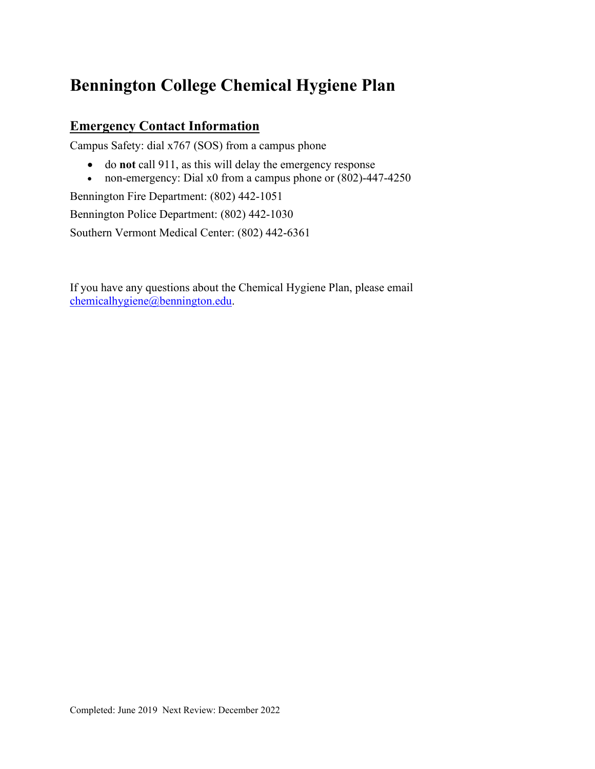# **Bennington College Chemical Hygiene Plan**

## **Emergency Contact Information**

Campus Safety: dial x767 (SOS) from a campus phone

- do **not** call 911, as this will delay the emergency response
- non-emergency: Dial x0 from a campus phone or (802)-447-4250

Bennington Fire Department: (802) 442-1051

Bennington Police Department: (802) 442-1030

Southern Vermont Medical Center: (802) 442-6361

If you have any questions about the Chemical Hygiene Plan, please email [chemicalhygiene@bennington.edu.](mailto:chemicalhygiene@bennington.edu)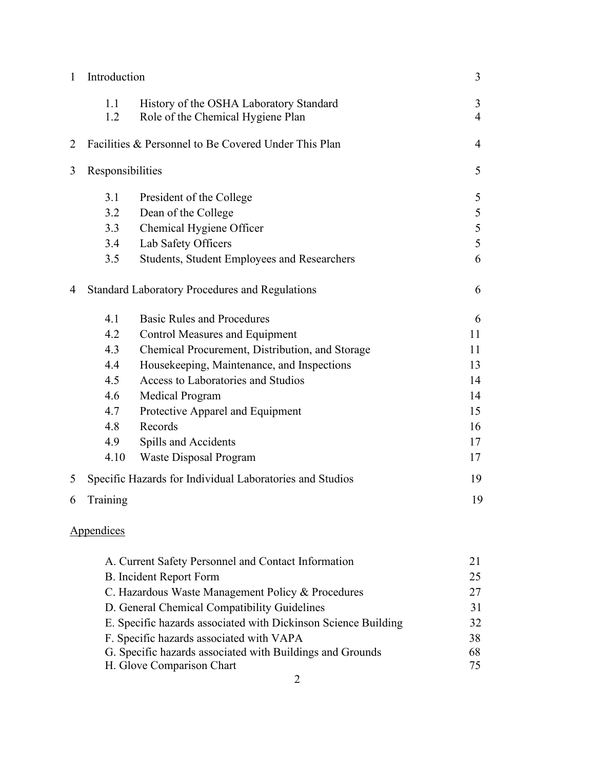| 1                                            | Introduction                                              |                                                                              | 3              |  |
|----------------------------------------------|-----------------------------------------------------------|------------------------------------------------------------------------------|----------------|--|
|                                              | 1.1<br>1.2                                                | History of the OSHA Laboratory Standard<br>Role of the Chemical Hygiene Plan | 3<br>4         |  |
| 2                                            |                                                           | Facilities & Personnel to Be Covered Under This Plan                         | $\overline{4}$ |  |
| 3                                            | Responsibilities                                          |                                                                              | 5              |  |
|                                              | 3.1                                                       | President of the College                                                     | 5              |  |
|                                              | 3.2                                                       | Dean of the College                                                          | 5              |  |
|                                              | 3.3                                                       | Chemical Hygiene Officer                                                     | 5              |  |
|                                              | 3.4                                                       | Lab Safety Officers                                                          | 5              |  |
|                                              | 3.5                                                       | <b>Students, Student Employees and Researchers</b>                           | 6              |  |
| 4                                            |                                                           | <b>Standard Laboratory Procedures and Regulations</b>                        | 6              |  |
|                                              | 4.1                                                       | <b>Basic Rules and Procedures</b>                                            | 6              |  |
|                                              | 4.2                                                       | <b>Control Measures and Equipment</b>                                        | 11             |  |
|                                              | 4.3                                                       | Chemical Procurement, Distribution, and Storage                              | 11             |  |
|                                              | 4.4                                                       | Housekeeping, Maintenance, and Inspections                                   | 13             |  |
|                                              | 4.5                                                       | Access to Laboratories and Studios                                           | 14             |  |
|                                              | 4.6                                                       | Medical Program                                                              | 14             |  |
|                                              | 4.7                                                       | Protective Apparel and Equipment                                             | 15             |  |
|                                              | 4.8                                                       | Records                                                                      | 16             |  |
|                                              | 4.9                                                       | Spills and Accidents                                                         | 17             |  |
|                                              | 4.10                                                      | Waste Disposal Program                                                       | 17             |  |
| 5                                            |                                                           | Specific Hazards for Individual Laboratories and Studios                     | 19             |  |
| 6                                            | Training                                                  |                                                                              | 19             |  |
|                                              | Appendices                                                |                                                                              |                |  |
|                                              |                                                           | A. Current Safety Personnel and Contact Information                          | 21             |  |
|                                              |                                                           | <b>B.</b> Incident Report Form                                               | 25             |  |
|                                              |                                                           | C. Hazardous Waste Management Policy & Procedures                            | 27             |  |
| D. General Chemical Compatibility Guidelines |                                                           |                                                                              | 31             |  |
|                                              |                                                           | E. Specific hazards associated with Dickinson Science Building               | 32             |  |
|                                              |                                                           | F. Specific hazards associated with VAPA                                     | 38             |  |
|                                              | G. Specific hazards associated with Buildings and Grounds |                                                                              |                |  |
| H. Glove Comparison Chart                    |                                                           |                                                                              |                |  |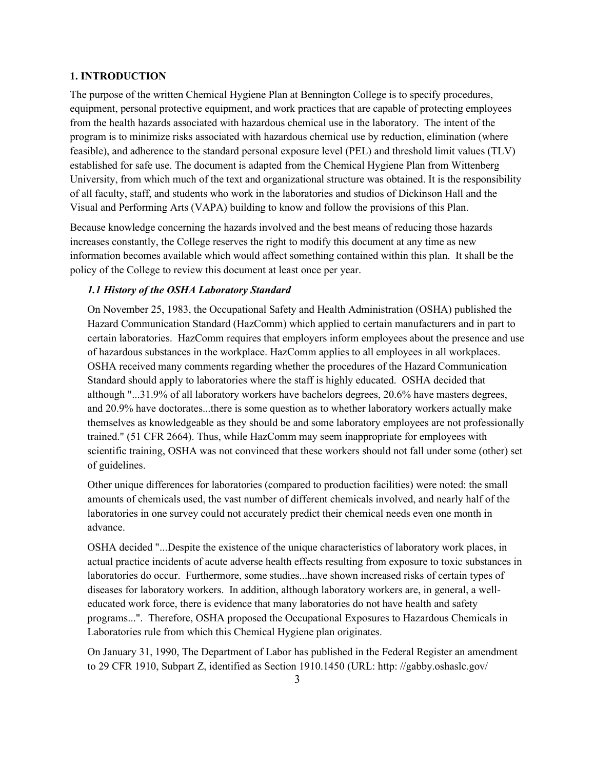#### **1. INTRODUCTION**

The purpose of the written Chemical Hygiene Plan at Bennington College is to specify procedures, equipment, personal protective equipment, and work practices that are capable of protecting employees from the health hazards associated with hazardous chemical use in the laboratory. The intent of the program is to minimize risks associated with hazardous chemical use by reduction, elimination (where feasible), and adherence to the standard personal exposure level (PEL) and threshold limit values (TLV) established for safe use. The document is adapted from the Chemical Hygiene Plan from Wittenberg University, from which much of the text and organizational structure was obtained. It is the responsibility of all faculty, staff, and students who work in the laboratories and studios of Dickinson Hall and the Visual and Performing Arts (VAPA) building to know and follow the provisions of this Plan.

Because knowledge concerning the hazards involved and the best means of reducing those hazards increases constantly, the College reserves the right to modify this document at any time as new information becomes available which would affect something contained within this plan. It shall be the policy of the College to review this document at least once per year.

## *1.1 History of the OSHA Laboratory Standard*

On November 25, 1983, the Occupational Safety and Health Administration (OSHA) published the Hazard Communication Standard (HazComm) which applied to certain manufacturers and in part to certain laboratories. HazComm requires that employers inform employees about the presence and use of hazardous substances in the workplace. HazComm applies to all employees in all workplaces. OSHA received many comments regarding whether the procedures of the Hazard Communication Standard should apply to laboratories where the staff is highly educated. OSHA decided that although "...31.9% of all laboratory workers have bachelors degrees, 20.6% have masters degrees, and 20.9% have doctorates...there is some question as to whether laboratory workers actually make themselves as knowledgeable as they should be and some laboratory employees are not professionally trained." (51 CFR 2664). Thus, while HazComm may seem inappropriate for employees with scientific training, OSHA was not convinced that these workers should not fall under some (other) set of guidelines.

Other unique differences for laboratories (compared to production facilities) were noted: the small amounts of chemicals used, the vast number of different chemicals involved, and nearly half of the laboratories in one survey could not accurately predict their chemical needs even one month in advance.

OSHA decided "...Despite the existence of the unique characteristics of laboratory work places, in actual practice incidents of acute adverse health effects resulting from exposure to toxic substances in laboratories do occur. Furthermore, some studies...have shown increased risks of certain types of diseases for laboratory workers. In addition, although laboratory workers are, in general, a welleducated work force, there is evidence that many laboratories do not have health and safety programs...". Therefore, OSHA proposed the Occupational Exposures to Hazardous Chemicals in Laboratories rule from which this Chemical Hygiene plan originates.

On January 31, 1990, The Department of Labor has published in the Federal Register an amendment to 29 CFR 1910, Subpart Z, identified as Section 1910.1450 (URL: http: //gabby.oshaslc.gov/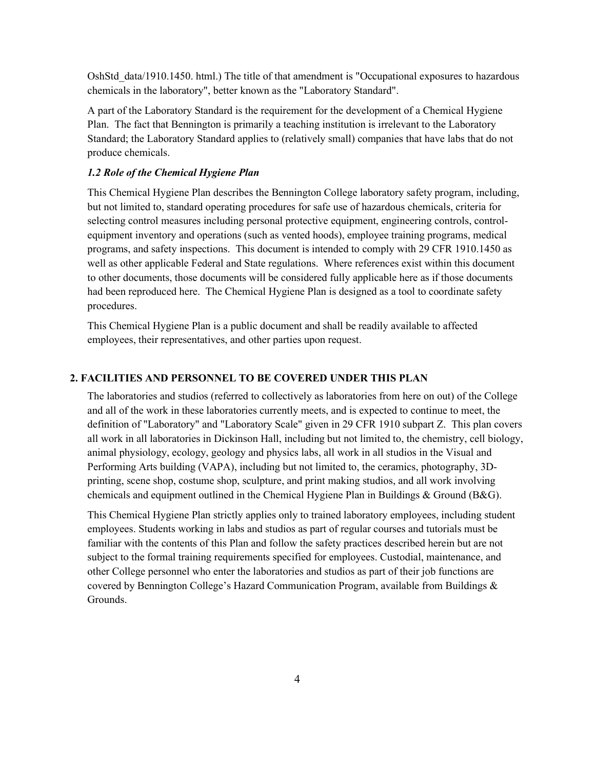OshStd\_data/1910.1450. html.) The title of that amendment is "Occupational exposures to hazardous chemicals in the laboratory", better known as the "Laboratory Standard".

A part of the Laboratory Standard is the requirement for the development of a Chemical Hygiene Plan. The fact that Bennington is primarily a teaching institution is irrelevant to the Laboratory Standard; the Laboratory Standard applies to (relatively small) companies that have labs that do not produce chemicals.

## *1.2 Role of the Chemical Hygiene Plan*

This Chemical Hygiene Plan describes the Bennington College laboratory safety program, including, but not limited to, standard operating procedures for safe use of hazardous chemicals, criteria for selecting control measures including personal protective equipment, engineering controls, controlequipment inventory and operations (such as vented hoods), employee training programs, medical programs, and safety inspections. This document is intended to comply with 29 CFR 1910.1450 as well as other applicable Federal and State regulations. Where references exist within this document to other documents, those documents will be considered fully applicable here as if those documents had been reproduced here. The Chemical Hygiene Plan is designed as a tool to coordinate safety procedures.

This Chemical Hygiene Plan is a public document and shall be readily available to affected employees, their representatives, and other parties upon request.

### **2. FACILITIES AND PERSONNEL TO BE COVERED UNDER THIS PLAN**

The laboratories and studios (referred to collectively as laboratories from here on out) of the College and all of the work in these laboratories currently meets, and is expected to continue to meet, the definition of "Laboratory" and "Laboratory Scale" given in 29 CFR 1910 subpart Z. This plan covers all work in all laboratories in Dickinson Hall, including but not limited to, the chemistry, cell biology, animal physiology, ecology, geology and physics labs, all work in all studios in the Visual and Performing Arts building (VAPA), including but not limited to, the ceramics, photography, 3Dprinting, scene shop, costume shop, sculpture, and print making studios, and all work involving chemicals and equipment outlined in the Chemical Hygiene Plan in Buildings & Ground (B&G).

This Chemical Hygiene Plan strictly applies only to trained laboratory employees, including student employees. Students working in labs and studios as part of regular courses and tutorials must be familiar with the contents of this Plan and follow the safety practices described herein but are not subject to the formal training requirements specified for employees. Custodial, maintenance, and other College personnel who enter the laboratories and studios as part of their job functions are covered by Bennington College's Hazard Communication Program, available from Buildings & Grounds.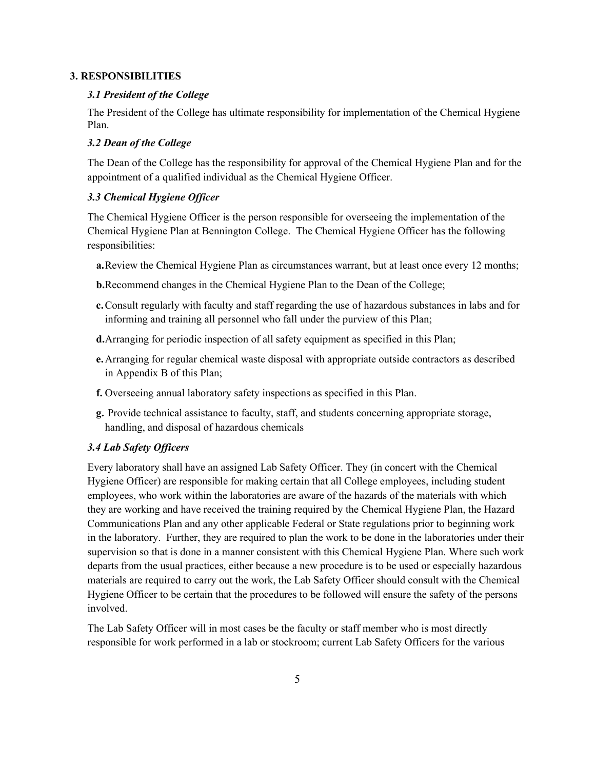#### **3. RESPONSIBILITIES**

## *3.1 President of the College*

The President of the College has ultimate responsibility for implementation of the Chemical Hygiene Plan.

## *3.2 Dean of the College*

The Dean of the College has the responsibility for approval of the Chemical Hygiene Plan and for the appointment of a qualified individual as the Chemical Hygiene Officer.

## *3.3 Chemical Hygiene Officer*

The Chemical Hygiene Officer is the person responsible for overseeing the implementation of the Chemical Hygiene Plan at Bennington College. The Chemical Hygiene Officer has the following responsibilities:

- **a.**Review the Chemical Hygiene Plan as circumstances warrant, but at least once every 12 months;
- **b.**Recommend changes in the Chemical Hygiene Plan to the Dean of the College;
- **c.**Consult regularly with faculty and staff regarding the use of hazardous substances in labs and for informing and training all personnel who fall under the purview of this Plan;
- **d.**Arranging for periodic inspection of all safety equipment as specified in this Plan;
- **e.**Arranging for regular chemical waste disposal with appropriate outside contractors as described in Appendix B of this Plan;
- **f.** Overseeing annual laboratory safety inspections as specified in this Plan.
- **g.** Provide technical assistance to faculty, staff, and students concerning appropriate storage, handling, and disposal of hazardous chemicals

## *3.4 Lab Safety Officers*

Every laboratory shall have an assigned Lab Safety Officer. They (in concert with the Chemical Hygiene Officer) are responsible for making certain that all College employees, including student employees, who work within the laboratories are aware of the hazards of the materials with which they are working and have received the training required by the Chemical Hygiene Plan, the Hazard Communications Plan and any other applicable Federal or State regulations prior to beginning work in the laboratory. Further, they are required to plan the work to be done in the laboratories under their supervision so that is done in a manner consistent with this Chemical Hygiene Plan. Where such work departs from the usual practices, either because a new procedure is to be used or especially hazardous materials are required to carry out the work, the Lab Safety Officer should consult with the Chemical Hygiene Officer to be certain that the procedures to be followed will ensure the safety of the persons involved.

The Lab Safety Officer will in most cases be the faculty or staff member who is most directly responsible for work performed in a lab or stockroom; current Lab Safety Officers for the various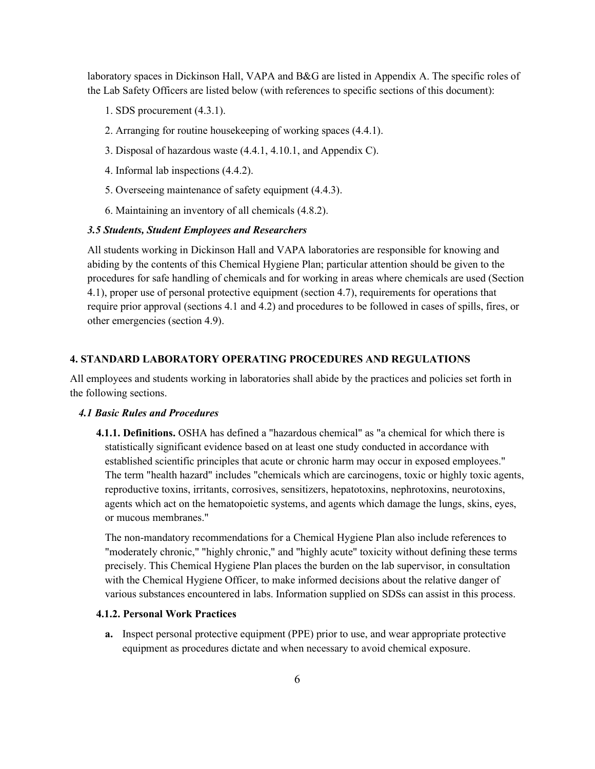laboratory spaces in Dickinson Hall, VAPA and B&G are listed in Appendix A. The specific roles of the Lab Safety Officers are listed below (with references to specific sections of this document):

- 1. SDS procurement (4.3.1).
- 2. Arranging for routine housekeeping of working spaces (4.4.1).
- 3. Disposal of hazardous waste (4.4.1, 4.10.1, and Appendix C).
- 4. Informal lab inspections (4.4.2).
- 5. Overseeing maintenance of safety equipment (4.4.3).
- 6. Maintaining an inventory of all chemicals (4.8.2).

## *3.5 Students, Student Employees and Researchers*

All students working in Dickinson Hall and VAPA laboratories are responsible for knowing and abiding by the contents of this Chemical Hygiene Plan; particular attention should be given to the procedures for safe handling of chemicals and for working in areas where chemicals are used (Section 4.1), proper use of personal protective equipment (section 4.7), requirements for operations that require prior approval (sections 4.1 and 4.2) and procedures to be followed in cases of spills, fires, or other emergencies (section 4.9).

## **4. STANDARD LABORATORY OPERATING PROCEDURES AND REGULATIONS**

All employees and students working in laboratories shall abide by the practices and policies set forth in the following sections.

#### *4.1 Basic Rules and Procedures*

**4.1.1. Definitions.** OSHA has defined a "hazardous chemical" as "a chemical for which there is statistically significant evidence based on at least one study conducted in accordance with established scientific principles that acute or chronic harm may occur in exposed employees." The term "health hazard" includes "chemicals which are carcinogens, toxic or highly toxic agents, reproductive toxins, irritants, corrosives, sensitizers, hepatotoxins, nephrotoxins, neurotoxins, agents which act on the hematopoietic systems, and agents which damage the lungs, skins, eyes, or mucous membranes."

The non-mandatory recommendations for a Chemical Hygiene Plan also include references to "moderately chronic," "highly chronic," and "highly acute" toxicity without defining these terms precisely. This Chemical Hygiene Plan places the burden on the lab supervisor, in consultation with the Chemical Hygiene Officer, to make informed decisions about the relative danger of various substances encountered in labs. Information supplied on SDSs can assist in this process.

## **4.1.2. Personal Work Practices**

**a.** Inspect personal protective equipment (PPE) prior to use, and wear appropriate protective equipment as procedures dictate and when necessary to avoid chemical exposure.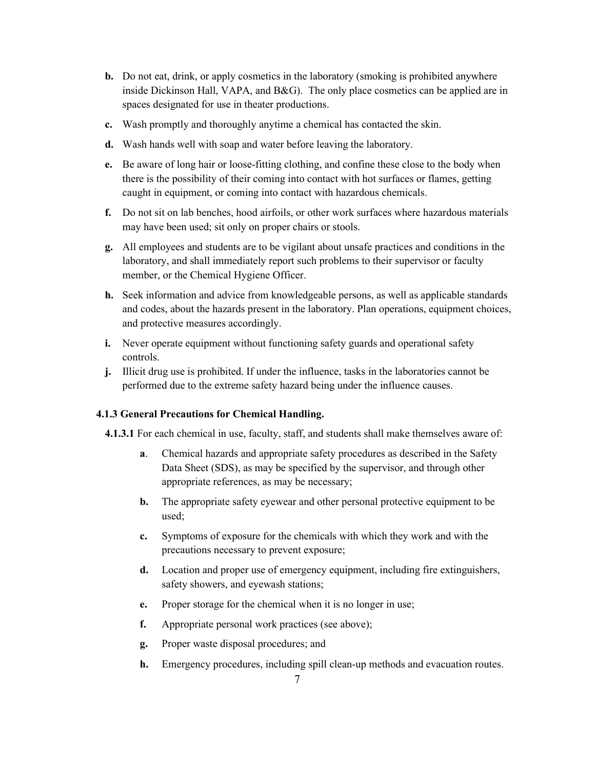- **b.** Do not eat, drink, or apply cosmetics in the laboratory (smoking is prohibited anywhere inside Dickinson Hall, VAPA, and B&G). The only place cosmetics can be applied are in spaces designated for use in theater productions.
- **c.** Wash promptly and thoroughly anytime a chemical has contacted the skin.
- **d.** Wash hands well with soap and water before leaving the laboratory.
- **e.** Be aware of long hair or loose-fitting clothing, and confine these close to the body when there is the possibility of their coming into contact with hot surfaces or flames, getting caught in equipment, or coming into contact with hazardous chemicals.
- **f.** Do not sit on lab benches, hood airfoils, or other work surfaces where hazardous materials may have been used; sit only on proper chairs or stools.
- **g.** All employees and students are to be vigilant about unsafe practices and conditions in the laboratory, and shall immediately report such problems to their supervisor or faculty member, or the Chemical Hygiene Officer.
- **h.** Seek information and advice from knowledgeable persons, as well as applicable standards and codes, about the hazards present in the laboratory. Plan operations, equipment choices, and protective measures accordingly.
- **i.** Never operate equipment without functioning safety guards and operational safety controls.
- **j.** Illicit drug use is prohibited. If under the influence, tasks in the laboratories cannot be performed due to the extreme safety hazard being under the influence causes.

## **4.1.3 General Precautions for Chemical Handling.**

**4.1.3.1** For each chemical in use, faculty, staff, and students shall make themselves aware of:

- **a**. Chemical hazards and appropriate safety procedures as described in the Safety Data Sheet (SDS), as may be specified by the supervisor, and through other appropriate references, as may be necessary;
- **b.** The appropriate safety eyewear and other personal protective equipment to be used;
- **c.** Symptoms of exposure for the chemicals with which they work and with the precautions necessary to prevent exposure;
- **d.** Location and proper use of emergency equipment, including fire extinguishers, safety showers, and eyewash stations;
- **e.** Proper storage for the chemical when it is no longer in use;
- **f.** Appropriate personal work practices (see above);
- **g.** Proper waste disposal procedures; and
- **h.** Emergency procedures, including spill clean-up methods and evacuation routes.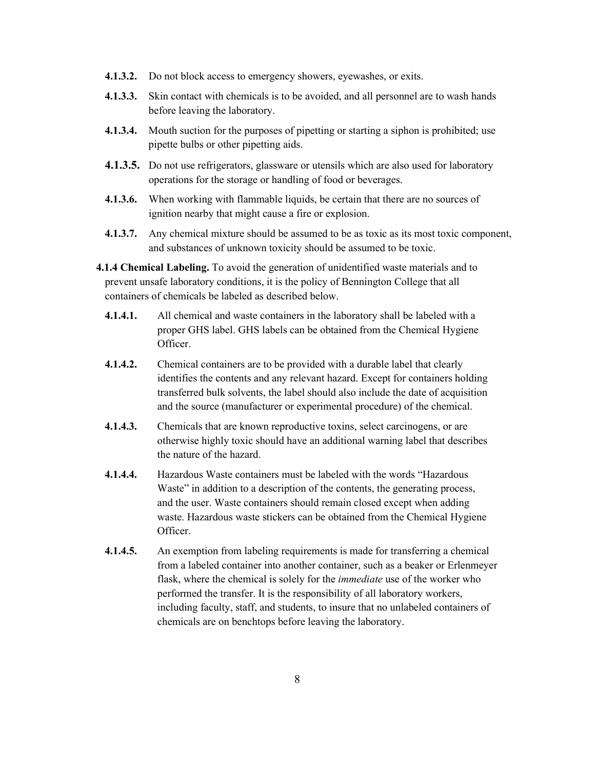- **4.1.3.2.** Do not block access to emergency showers, eyewashes, or exits.
- **4.1.3.3.** Skin contact with chemicals is to be avoided, and all personnel are to wash hands before leaving the laboratory.
- **4.1.3.4.** Mouth suction for the purposes of pipetting or starting a siphon is prohibited; use pipette bulbs or other pipetting aids.
- **4.1.3.5.** Do not use refrigerators, glassware or utensils which are also used for laboratory operations for the storage or handling of food or beverages.
- **4.1.3.6.** When working with flammable liquids, be certain that there are no sources of ignition nearby that might cause a fire or explosion.
- **4.1.3.7.** Any chemical mixture should be assumed to be as toxic as its most toxic component, and substances of unknown toxicity should be assumed to be toxic.

**4.1.4 Chemical Labeling.** To avoid the generation of unidentified waste materials and to prevent unsafe laboratory conditions, it is the policy of Bennington College that all containers of chemicals be labeled as described below.

- **4.1.4.1.** All chemical and waste containers in the laboratory shall be labeled with a proper GHS label. GHS labels can be obtained from the Chemical Hygiene Officer.
- **4.1.4.2.** Chemical containers are to be provided with a durable label that clearly identifies the contents and any relevant hazard. Except for containers holding transferred bulk solvents, the label should also include the date of acquisition and the source (manufacturer or experimental procedure) of the chemical.
- **4.1.4.3.** Chemicals that are known reproductive toxins, select carcinogens, or are otherwise highly toxic should have an additional warning label that describes the nature of the hazard.
- **4.1.4.4.** Hazardous Waste containers must be labeled with the words "Hazardous Waste" in addition to a description of the contents, the generating process, and the user. Waste containers should remain closed except when adding waste. Hazardous waste stickers can be obtained from the Chemical Hygiene Officer.
- **4.1.4.5.** An exemption from labeling requirements is made for transferring a chemical from a labeled container into another container, such as a beaker or Erlenmeyer flask, where the chemical is solely for the *immediate* use of the worker who performed the transfer. It is the responsibility of all laboratory workers, including faculty, staff, and students, to insure that no unlabeled containers of chemicals are on benchtops before leaving the laboratory.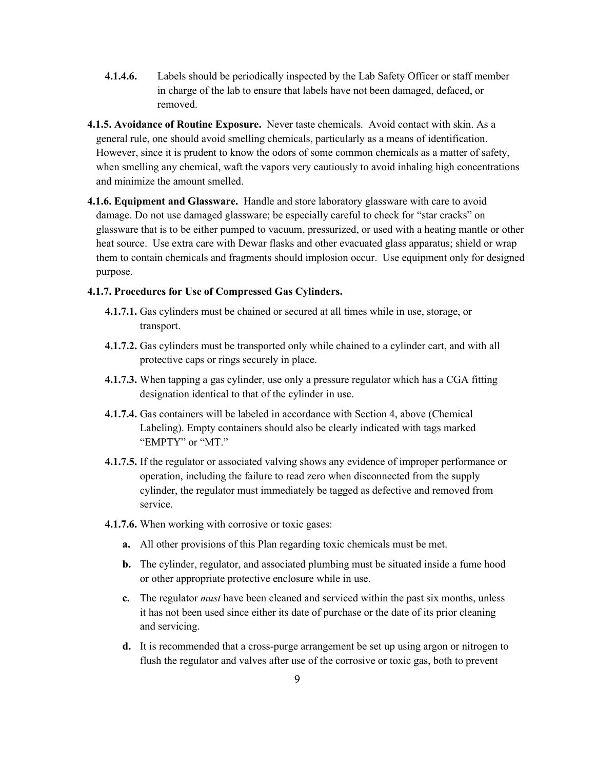- **4.1.4.6.** Labels should be periodically inspected by the Lab Safety Officer or staff member in charge of the lab to ensure that labels have not been damaged, defaced, or removed.
- **4.1.5. Avoidance of Routine Exposure.** Never taste chemicals. Avoid contact with skin. As a general rule, one should avoid smelling chemicals, particularly as a means of identification. However, since it is prudent to know the odors of some common chemicals as a matter of safety, when smelling any chemical, waft the vapors very cautiously to avoid inhaling high concentrations and minimize the amount smelled.
- **4.1.6. Equipment and Glassware.** Handle and store laboratory glassware with care to avoid damage. Do not use damaged glassware; be especially careful to check for "star cracks" on glassware that is to be either pumped to vacuum, pressurized, or used with a heating mantle or other heat source. Use extra care with Dewar flasks and other evacuated glass apparatus; shield or wrap them to contain chemicals and fragments should implosion occur. Use equipment only for designed purpose.

#### **4.1.7. Procedures for Use of Compressed Gas Cylinders.**

- **4.1.7.1.** Gas cylinders must be chained or secured at all times while in use, storage, or transport.
- **4.1.7.2.** Gas cylinders must be transported only while chained to a cylinder cart, and with all protective caps or rings securely in place.
- **4.1.7.3.** When tapping a gas cylinder, use only a pressure regulator which has a CGA fitting designation identical to that of the cylinder in use.
- **4.1.7.4.** Gas containers will be labeled in accordance with Section 4, above (Chemical Labeling). Empty containers should also be clearly indicated with tags marked "EMPTY" or "MT."
- **4.1.7.5.** If the regulator or associated valving shows any evidence of improper performance or operation, including the failure to read zero when disconnected from the supply cylinder, the regulator must immediately be tagged as defective and removed from service.
- **4.1.7.6.** When working with corrosive or toxic gases:
	- **a.** All other provisions of this Plan regarding toxic chemicals must be met.
	- **b.** The cylinder, regulator, and associated plumbing must be situated inside a fume hood or other appropriate protective enclosure while in use.
	- **c.** The regulator *must* have been cleaned and serviced within the past six months, unless it has not been used since either its date of purchase or the date of its prior cleaning and servicing.
	- **d.** It is recommended that a cross-purge arrangement be set up using argon or nitrogen to flush the regulator and valves after use of the corrosive or toxic gas, both to prevent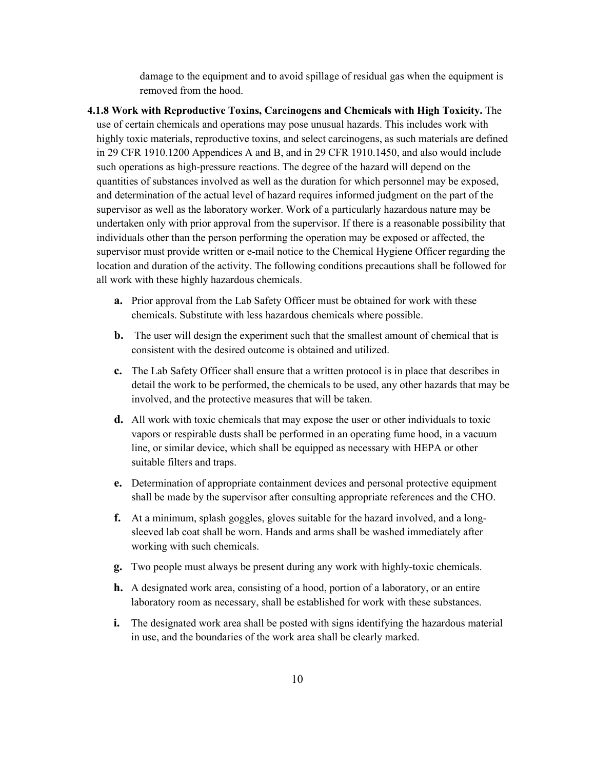damage to the equipment and to avoid spillage of residual gas when the equipment is removed from the hood.

- **4.1.8 Work with Reproductive Toxins, Carcinogens and Chemicals with High Toxicity.** The use of certain chemicals and operations may pose unusual hazards. This includes work with highly toxic materials, reproductive toxins, and select carcinogens, as such materials are defined in 29 CFR 1910.1200 Appendices A and B, and in 29 CFR 1910.1450, and also would include such operations as high-pressure reactions. The degree of the hazard will depend on the quantities of substances involved as well as the duration for which personnel may be exposed, and determination of the actual level of hazard requires informed judgment on the part of the supervisor as well as the laboratory worker. Work of a particularly hazardous nature may be undertaken only with prior approval from the supervisor. If there is a reasonable possibility that individuals other than the person performing the operation may be exposed or affected, the supervisor must provide written or e-mail notice to the Chemical Hygiene Officer regarding the location and duration of the activity. The following conditions precautions shall be followed for all work with these highly hazardous chemicals.
	- **a.** Prior approval from the Lab Safety Officer must be obtained for work with these chemicals. Substitute with less hazardous chemicals where possible.
	- **b.** The user will design the experiment such that the smallest amount of chemical that is consistent with the desired outcome is obtained and utilized.
	- **c.** The Lab Safety Officer shall ensure that a written protocol is in place that describes in detail the work to be performed, the chemicals to be used, any other hazards that may be involved, and the protective measures that will be taken.
	- **d.** All work with toxic chemicals that may expose the user or other individuals to toxic vapors or respirable dusts shall be performed in an operating fume hood, in a vacuum line, or similar device, which shall be equipped as necessary with HEPA or other suitable filters and traps.
	- **e.** Determination of appropriate containment devices and personal protective equipment shall be made by the supervisor after consulting appropriate references and the CHO.
	- **f.** At a minimum, splash goggles, gloves suitable for the hazard involved, and a longsleeved lab coat shall be worn. Hands and arms shall be washed immediately after working with such chemicals.
	- **g.** Two people must always be present during any work with highly-toxic chemicals.
	- **h.** A designated work area, consisting of a hood, portion of a laboratory, or an entire laboratory room as necessary, shall be established for work with these substances.
	- **i.** The designated work area shall be posted with signs identifying the hazardous material in use, and the boundaries of the work area shall be clearly marked.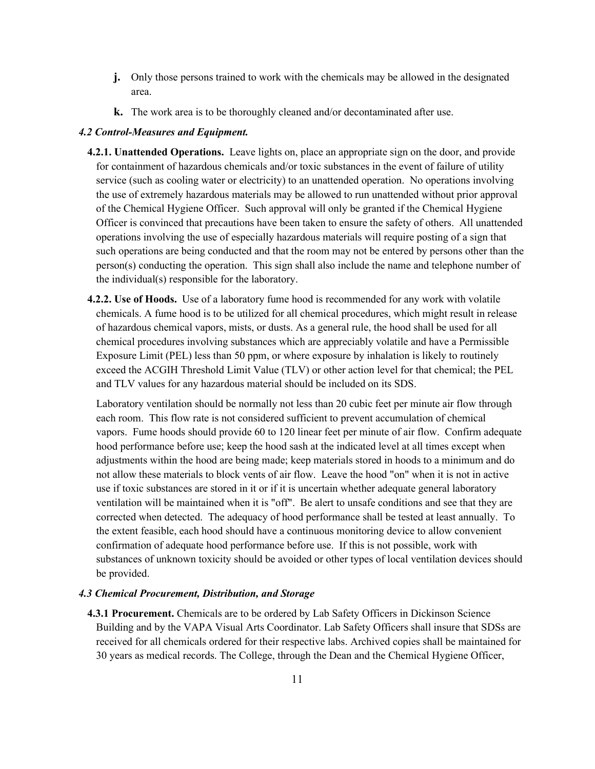- **j.** Only those persons trained to work with the chemicals may be allowed in the designated area.
- **k.** The work area is to be thoroughly cleaned and/or decontaminated after use.

## *4.2 Control-Measures and Equipment.*

- **4.2.1. Unattended Operations.** Leave lights on, place an appropriate sign on the door, and provide for containment of hazardous chemicals and/or toxic substances in the event of failure of utility service (such as cooling water or electricity) to an unattended operation. No operations involving the use of extremely hazardous materials may be allowed to run unattended without prior approval of the Chemical Hygiene Officer. Such approval will only be granted if the Chemical Hygiene Officer is convinced that precautions have been taken to ensure the safety of others. All unattended operations involving the use of especially hazardous materials will require posting of a sign that such operations are being conducted and that the room may not be entered by persons other than the person(s) conducting the operation. This sign shall also include the name and telephone number of the individual(s) responsible for the laboratory.
- **4.2.2. Use of Hoods.** Use of a laboratory fume hood is recommended for any work with volatile chemicals. A fume hood is to be utilized for all chemical procedures, which might result in release of hazardous chemical vapors, mists, or dusts. As a general rule, the hood shall be used for all chemical procedures involving substances which are appreciably volatile and have a Permissible Exposure Limit (PEL) less than 50 ppm, or where exposure by inhalation is likely to routinely exceed the ACGIH Threshold Limit Value (TLV) or other action level for that chemical; the PEL and TLV values for any hazardous material should be included on its SDS.

Laboratory ventilation should be normally not less than 20 cubic feet per minute air flow through each room. This flow rate is not considered sufficient to prevent accumulation of chemical vapors. Fume hoods should provide 60 to 120 linear feet per minute of air flow. Confirm adequate hood performance before use; keep the hood sash at the indicated level at all times except when adjustments within the hood are being made; keep materials stored in hoods to a minimum and do not allow these materials to block vents of air flow. Leave the hood "on" when it is not in active use if toxic substances are stored in it or if it is uncertain whether adequate general laboratory ventilation will be maintained when it is "off". Be alert to unsafe conditions and see that they are corrected when detected. The adequacy of hood performance shall be tested at least annually. To the extent feasible, each hood should have a continuous monitoring device to allow convenient confirmation of adequate hood performance before use. If this is not possible, work with substances of unknown toxicity should be avoided or other types of local ventilation devices should be provided.

## *4.3 Chemical Procurement, Distribution, and Storage*

**4.3.1 Procurement.** Chemicals are to be ordered by Lab Safety Officers in Dickinson Science Building and by the VAPA Visual Arts Coordinator. Lab Safety Officers shall insure that SDSs are received for all chemicals ordered for their respective labs. Archived copies shall be maintained for 30 years as medical records. The College, through the Dean and the Chemical Hygiene Officer,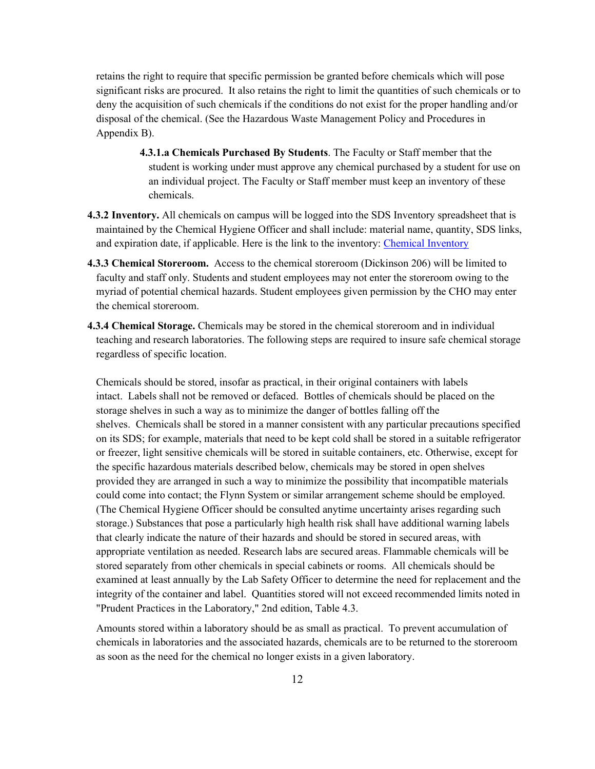retains the right to require that specific permission be granted before chemicals which will pose significant risks are procured. It also retains the right to limit the quantities of such chemicals or to deny the acquisition of such chemicals if the conditions do not exist for the proper handling and/or disposal of the chemical. (See the Hazardous Waste Management Policy and Procedures in Appendix B).

- **4.3.1.a Chemicals Purchased By Students**. The Faculty or Staff member that the student is working under must approve any chemical purchased by a student for use on an individual project. The Faculty or Staff member must keep an inventory of these chemicals.
- **4.3.2 Inventory.** All chemicals on campus will be logged into the SDS Inventory spreadsheet that is maintained by the Chemical Hygiene Officer and shall include: material name, quantity, SDS links, and expiration date, if applicable. Here is the link to the inventory[: Chemical Inventory](https://docs.google.com/spreadsheets/d/1iXyebGzNQ8_lX-rVbptY9Izhchbxierf1kPR9bXbBHQ/edit?usp=sharing)
- **4.3.3 Chemical Storeroom.** Access to the chemical storeroom (Dickinson 206) will be limited to faculty and staff only. Students and student employees may not enter the storeroom owing to the myriad of potential chemical hazards. Student employees given permission by the CHO may enter the chemical storeroom.
- **4.3.4 Chemical Storage.** Chemicals may be stored in the chemical storeroom and in individual teaching and research laboratories. The following steps are required to insure safe chemical storage regardless of specific location.

Chemicals should be stored, insofar as practical, in their original containers with labels intact. Labels shall not be removed or defaced. Bottles of chemicals should be placed on the storage shelves in such a way as to minimize the danger of bottles falling off the shelves. Chemicals shall be stored in a manner consistent with any particular precautions specified on its SDS; for example, materials that need to be kept cold shall be stored in a suitable refrigerator or freezer, light sensitive chemicals will be stored in suitable containers, etc. Otherwise, except for the specific hazardous materials described below, chemicals may be stored in open shelves provided they are arranged in such a way to minimize the possibility that incompatible materials could come into contact; the Flynn System or similar arrangement scheme should be employed. (The Chemical Hygiene Officer should be consulted anytime uncertainty arises regarding such storage.) Substances that pose a particularly high health risk shall have additional warning labels that clearly indicate the nature of their hazards and should be stored in secured areas, with appropriate ventilation as needed. Research labs are secured areas. Flammable chemicals will be stored separately from other chemicals in special cabinets or rooms. All chemicals should be examined at least annually by the Lab Safety Officer to determine the need for replacement and the integrity of the container and label. Quantities stored will not exceed recommended limits noted in "Prudent Practices in the Laboratory," 2nd edition, Table 4.3.

Amounts stored within a laboratory should be as small as practical. To prevent accumulation of chemicals in laboratories and the associated hazards, chemicals are to be returned to the storeroom as soon as the need for the chemical no longer exists in a given laboratory.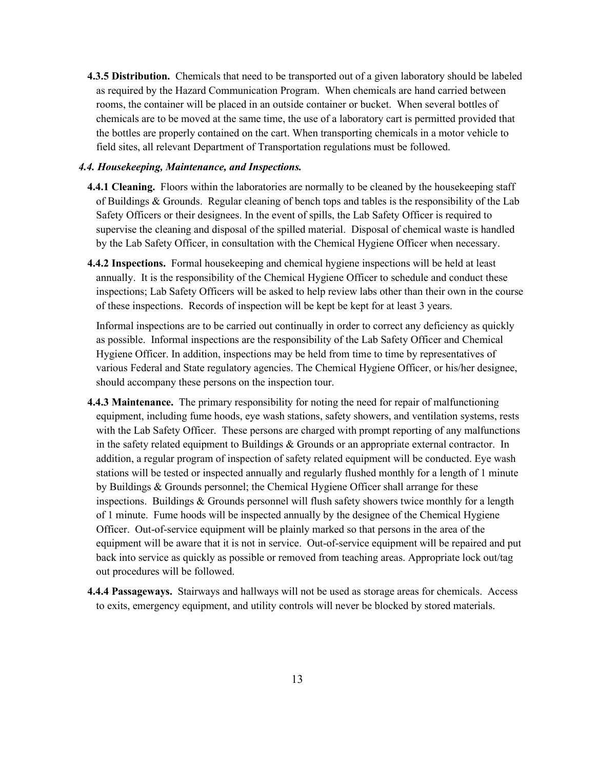**4.3.5 Distribution.** Chemicals that need to be transported out of a given laboratory should be labeled as required by the Hazard Communication Program. When chemicals are hand carried between rooms, the container will be placed in an outside container or bucket. When several bottles of chemicals are to be moved at the same time, the use of a laboratory cart is permitted provided that the bottles are properly contained on the cart. When transporting chemicals in a motor vehicle to field sites, all relevant Department of Transportation regulations must be followed.

## *4.4. Housekeeping, Maintenance, and Inspections.*

- **4.4.1 Cleaning.** Floors within the laboratories are normally to be cleaned by the housekeeping staff of Buildings & Grounds. Regular cleaning of bench tops and tables is the responsibility of the Lab Safety Officers or their designees. In the event of spills, the Lab Safety Officer is required to supervise the cleaning and disposal of the spilled material. Disposal of chemical waste is handled by the Lab Safety Officer, in consultation with the Chemical Hygiene Officer when necessary.
- **4.4.2 Inspections.** Formal housekeeping and chemical hygiene inspections will be held at least annually. It is the responsibility of the Chemical Hygiene Officer to schedule and conduct these inspections; Lab Safety Officers will be asked to help review labs other than their own in the course of these inspections. Records of inspection will be kept be kept for at least 3 years.

Informal inspections are to be carried out continually in order to correct any deficiency as quickly as possible. Informal inspections are the responsibility of the Lab Safety Officer and Chemical Hygiene Officer. In addition, inspections may be held from time to time by representatives of various Federal and State regulatory agencies. The Chemical Hygiene Officer, or his/her designee, should accompany these persons on the inspection tour.

- **4.4.3 Maintenance.** The primary responsibility for noting the need for repair of malfunctioning equipment, including fume hoods, eye wash stations, safety showers, and ventilation systems, rests with the Lab Safety Officer. These persons are charged with prompt reporting of any malfunctions in the safety related equipment to Buildings  $\&$  Grounds or an appropriate external contractor. In addition, a regular program of inspection of safety related equipment will be conducted. Eye wash stations will be tested or inspected annually and regularly flushed monthly for a length of 1 minute by Buildings & Grounds personnel; the Chemical Hygiene Officer shall arrange for these inspections. Buildings & Grounds personnel will flush safety showers twice monthly for a length of 1 minute. Fume hoods will be inspected annually by the designee of the Chemical Hygiene Officer. Out-of-service equipment will be plainly marked so that persons in the area of the equipment will be aware that it is not in service. Out-of-service equipment will be repaired and put back into service as quickly as possible or removed from teaching areas. Appropriate lock out/tag out procedures will be followed.
- **4.4.4 Passageways.** Stairways and hallways will not be used as storage areas for chemicals. Access to exits, emergency equipment, and utility controls will never be blocked by stored materials.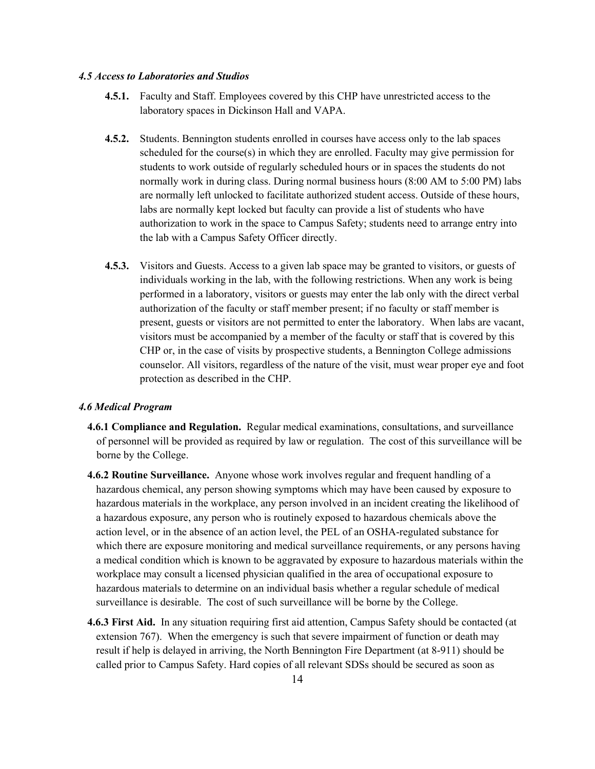#### *4.5 Access to Laboratories and Studios*

- **4.5.1.** Faculty and Staff. Employees covered by this CHP have unrestricted access to the laboratory spaces in Dickinson Hall and VAPA.
- **4.5.2.** Students. Bennington students enrolled in courses have access only to the lab spaces scheduled for the course(s) in which they are enrolled. Faculty may give permission for students to work outside of regularly scheduled hours or in spaces the students do not normally work in during class. During normal business hours (8:00 AM to 5:00 PM) labs are normally left unlocked to facilitate authorized student access. Outside of these hours, labs are normally kept locked but faculty can provide a list of students who have authorization to work in the space to Campus Safety; students need to arrange entry into the lab with a Campus Safety Officer directly.
- **4.5.3.** Visitors and Guests. Access to a given lab space may be granted to visitors, or guests of individuals working in the lab, with the following restrictions. When any work is being performed in a laboratory, visitors or guests may enter the lab only with the direct verbal authorization of the faculty or staff member present; if no faculty or staff member is present, guests or visitors are not permitted to enter the laboratory. When labs are vacant, visitors must be accompanied by a member of the faculty or staff that is covered by this CHP or, in the case of visits by prospective students, a Bennington College admissions counselor. All visitors, regardless of the nature of the visit, must wear proper eye and foot protection as described in the CHP.

#### *4.6 Medical Program*

- **4.6.1 Compliance and Regulation.** Regular medical examinations, consultations, and surveillance of personnel will be provided as required by law or regulation. The cost of this surveillance will be borne by the College.
- **4.6.2 Routine Surveillance.** Anyone whose work involves regular and frequent handling of a hazardous chemical, any person showing symptoms which may have been caused by exposure to hazardous materials in the workplace, any person involved in an incident creating the likelihood of a hazardous exposure, any person who is routinely exposed to hazardous chemicals above the action level, or in the absence of an action level, the PEL of an OSHA-regulated substance for which there are exposure monitoring and medical surveillance requirements, or any persons having a medical condition which is known to be aggravated by exposure to hazardous materials within the workplace may consult a licensed physician qualified in the area of occupational exposure to hazardous materials to determine on an individual basis whether a regular schedule of medical surveillance is desirable. The cost of such surveillance will be borne by the College.
- **4.6.3 First Aid.** In any situation requiring first aid attention, Campus Safety should be contacted (at extension 767). When the emergency is such that severe impairment of function or death may result if help is delayed in arriving, the North Bennington Fire Department (at 8-911) should be called prior to Campus Safety. Hard copies of all relevant SDSs should be secured as soon as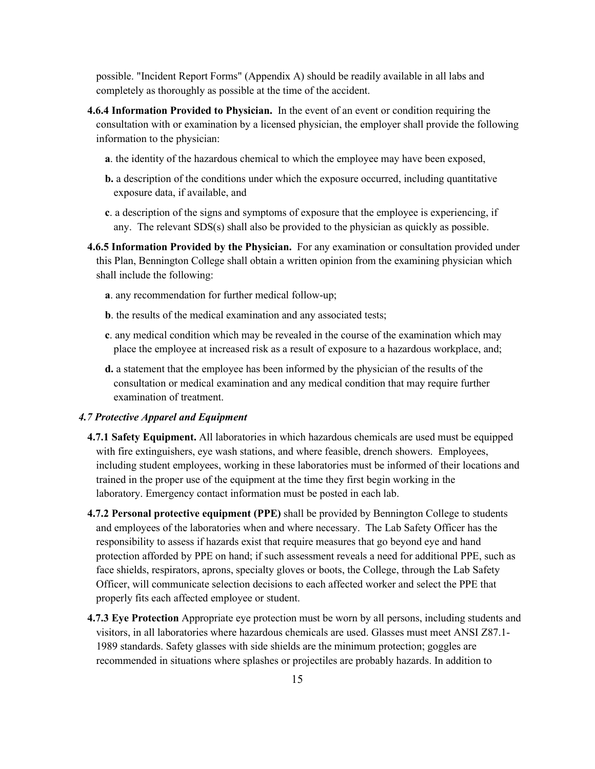possible. "Incident Report Forms" (Appendix A) should be readily available in all labs and completely as thoroughly as possible at the time of the accident.

- **4.6.4 Information Provided to Physician.** In the event of an event or condition requiring the consultation with or examination by a licensed physician, the employer shall provide the following information to the physician:
	- **a**. the identity of the hazardous chemical to which the employee may have been exposed,
	- **b.** a description of the conditions under which the exposure occurred, including quantitative exposure data, if available, and
	- **c**. a description of the signs and symptoms of exposure that the employee is experiencing, if any. The relevant SDS(s) shall also be provided to the physician as quickly as possible.
- **4.6.5 Information Provided by the Physician.** For any examination or consultation provided under this Plan, Bennington College shall obtain a written opinion from the examining physician which shall include the following:
	- **a**. any recommendation for further medical follow-up;
	- **b**. the results of the medical examination and any associated tests;
	- **c**. any medical condition which may be revealed in the course of the examination which may place the employee at increased risk as a result of exposure to a hazardous workplace, and;
	- **d.** a statement that the employee has been informed by the physician of the results of the consultation or medical examination and any medical condition that may require further examination of treatment.

#### *4.7 Protective Apparel and Equipment*

- **4.7.1 Safety Equipment.** All laboratories in which hazardous chemicals are used must be equipped with fire extinguishers, eye wash stations, and where feasible, drench showers. Employees, including student employees, working in these laboratories must be informed of their locations and trained in the proper use of the equipment at the time they first begin working in the laboratory. Emergency contact information must be posted in each lab.
- **4.7.2 Personal protective equipment (PPE)** shall be provided by Bennington College to students and employees of the laboratories when and where necessary. The Lab Safety Officer has the responsibility to assess if hazards exist that require measures that go beyond eye and hand protection afforded by PPE on hand; if such assessment reveals a need for additional PPE, such as face shields, respirators, aprons, specialty gloves or boots, the College, through the Lab Safety Officer, will communicate selection decisions to each affected worker and select the PPE that properly fits each affected employee or student.
- **4.7.3 Eye Protection** Appropriate eye protection must be worn by all persons, including students and visitors, in all laboratories where hazardous chemicals are used. Glasses must meet ANSI Z87.1- 1989 standards. Safety glasses with side shields are the minimum protection; goggles are recommended in situations where splashes or projectiles are probably hazards. In addition to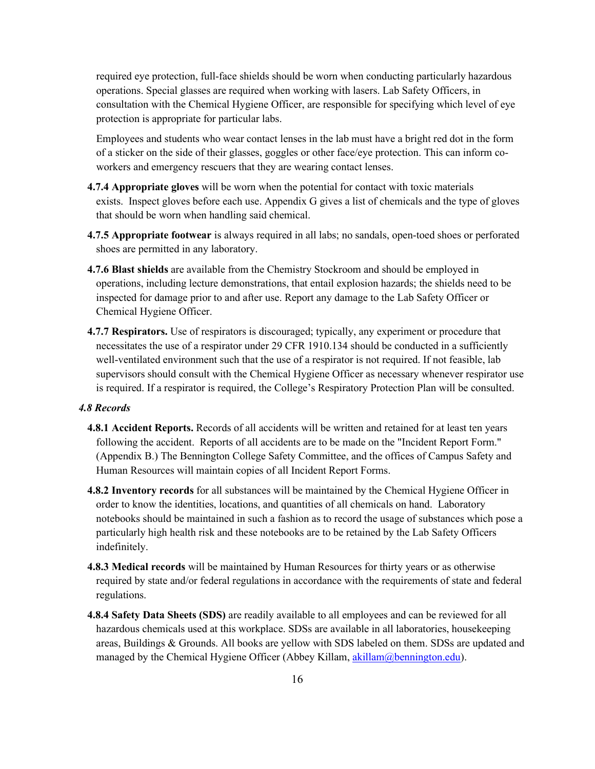required eye protection, full-face shields should be worn when conducting particularly hazardous operations. Special glasses are required when working with lasers. Lab Safety Officers, in consultation with the Chemical Hygiene Officer, are responsible for specifying which level of eye protection is appropriate for particular labs.

Employees and students who wear contact lenses in the lab must have a bright red dot in the form of a sticker on the side of their glasses, goggles or other face/eye protection. This can inform coworkers and emergency rescuers that they are wearing contact lenses.

- **4.7.4 Appropriate gloves** will be worn when the potential for contact with toxic materials exists. Inspect gloves before each use. Appendix G gives a list of chemicals and the type of gloves that should be worn when handling said chemical.
- **4.7.5 Appropriate footwear** is always required in all labs; no sandals, open-toed shoes or perforated shoes are permitted in any laboratory.
- **4.7.6 Blast shields** are available from the Chemistry Stockroom and should be employed in operations, including lecture demonstrations, that entail explosion hazards; the shields need to be inspected for damage prior to and after use. Report any damage to the Lab Safety Officer or Chemical Hygiene Officer.
- **4.7.7 Respirators.** Use of respirators is discouraged; typically, any experiment or procedure that necessitates the use of a respirator under 29 CFR 1910.134 should be conducted in a sufficiently well-ventilated environment such that the use of a respirator is not required. If not feasible, lab supervisors should consult with the Chemical Hygiene Officer as necessary whenever respirator use is required. If a respirator is required, the College's Respiratory Protection Plan will be consulted.

### *4.8 Records*

- **4.8.1 Accident Reports.** Records of all accidents will be written and retained for at least ten years following the accident. Reports of all accidents are to be made on the "Incident Report Form." (Appendix B.) The Bennington College Safety Committee, and the offices of Campus Safety and Human Resources will maintain copies of all Incident Report Forms.
- **4.8.2 Inventory records** for all substances will be maintained by the Chemical Hygiene Officer in order to know the identities, locations, and quantities of all chemicals on hand. Laboratory notebooks should be maintained in such a fashion as to record the usage of substances which pose a particularly high health risk and these notebooks are to be retained by the Lab Safety Officers indefinitely.
- **4.8.3 Medical records** will be maintained by Human Resources for thirty years or as otherwise required by state and/or federal regulations in accordance with the requirements of state and federal regulations.
- **4.8.4 Safety Data Sheets (SDS)** are readily available to all employees and can be reviewed for all hazardous chemicals used at this workplace. SDSs are available in all laboratories, housekeeping areas, Buildings & Grounds. All books are yellow with SDS labeled on them. SDSs are updated and managed by the Chemical Hygiene Officer (Abbey Killam, akillam@bennington.edu).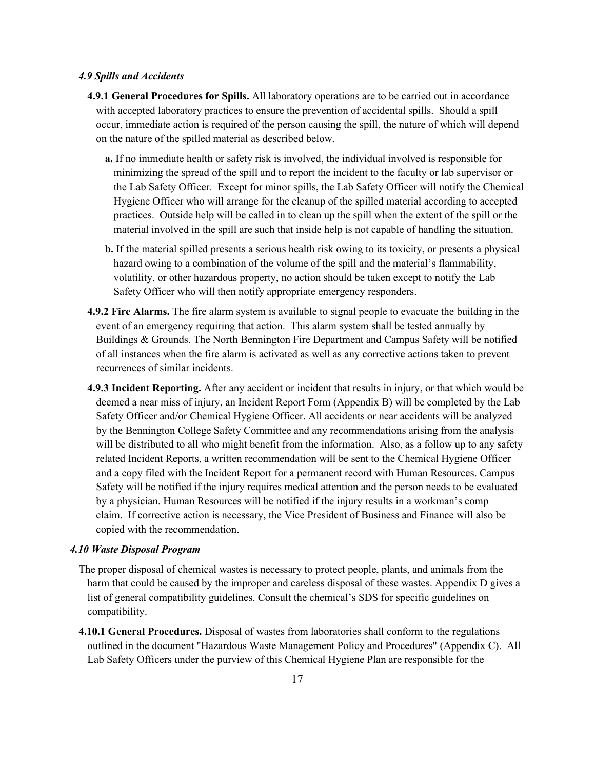#### *4.9 Spills and Accidents*

- **4.9.1 General Procedures for Spills.** All laboratory operations are to be carried out in accordance with accepted laboratory practices to ensure the prevention of accidental spills. Should a spill occur, immediate action is required of the person causing the spill, the nature of which will depend on the nature of the spilled material as described below.
	- **a.** If no immediate health or safety risk is involved, the individual involved is responsible for minimizing the spread of the spill and to report the incident to the faculty or lab supervisor or the Lab Safety Officer. Except for minor spills, the Lab Safety Officer will notify the Chemical Hygiene Officer who will arrange for the cleanup of the spilled material according to accepted practices. Outside help will be called in to clean up the spill when the extent of the spill or the material involved in the spill are such that inside help is not capable of handling the situation.
	- **b.** If the material spilled presents a serious health risk owing to its toxicity, or presents a physical hazard owing to a combination of the volume of the spill and the material's flammability, volatility, or other hazardous property, no action should be taken except to notify the Lab Safety Officer who will then notify appropriate emergency responders.
- **4.9.2 Fire Alarms.** The fire alarm system is available to signal people to evacuate the building in the event of an emergency requiring that action. This alarm system shall be tested annually by Buildings & Grounds. The North Bennington Fire Department and Campus Safety will be notified of all instances when the fire alarm is activated as well as any corrective actions taken to prevent recurrences of similar incidents.
- **4.9.3 Incident Reporting.** After any accident or incident that results in injury, or that which would be deemed a near miss of injury, an Incident Report Form (Appendix B) will be completed by the Lab Safety Officer and/or Chemical Hygiene Officer. All accidents or near accidents will be analyzed by the Bennington College Safety Committee and any recommendations arising from the analysis will be distributed to all who might benefit from the information. Also, as a follow up to any safety related Incident Reports, a written recommendation will be sent to the Chemical Hygiene Officer and a copy filed with the Incident Report for a permanent record with Human Resources. Campus Safety will be notified if the injury requires medical attention and the person needs to be evaluated by a physician. Human Resources will be notified if the injury results in a workman's comp claim. If corrective action is necessary, the Vice President of Business and Finance will also be copied with the recommendation.

#### *4.10 Waste Disposal Program*

- The proper disposal of chemical wastes is necessary to protect people, plants, and animals from the harm that could be caused by the improper and careless disposal of these wastes. Appendix D gives a list of general compatibility guidelines. Consult the chemical's SDS for specific guidelines on compatibility.
- **4.10.1 General Procedures.** Disposal of wastes from laboratories shall conform to the regulations outlined in the document "Hazardous Waste Management Policy and Procedures" (Appendix C). All Lab Safety Officers under the purview of this Chemical Hygiene Plan are responsible for the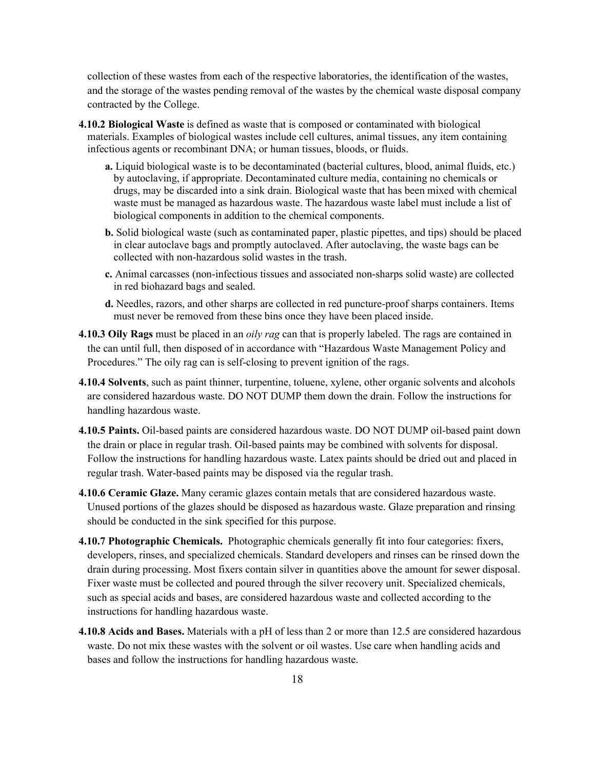collection of these wastes from each of the respective laboratories, the identification of the wastes, and the storage of the wastes pending removal of the wastes by the chemical waste disposal company contracted by the College.

- **4.10.2 Biological Waste** is defined as waste that is composed or contaminated with biological materials. Examples of biological wastes include cell cultures, animal tissues, any item containing infectious agents or recombinant DNA; or human tissues, bloods, or fluids.
	- **a.** Liquid biological waste is to be decontaminated (bacterial cultures, blood, animal fluids, etc.) by autoclaving, if appropriate. Decontaminated culture media, containing no chemicals or drugs, may be discarded into a sink drain. Biological waste that has been mixed with chemical waste must be managed as hazardous waste. The hazardous waste label must include a list of biological components in addition to the chemical components.
	- **b.** Solid biological waste (such as contaminated paper, plastic pipettes, and tips) should be placed in clear autoclave bags and promptly autoclaved. After autoclaving, the waste bags can be collected with non-hazardous solid wastes in the trash.
	- **c.** Animal carcasses (non-infectious tissues and associated non-sharps solid waste) are collected in red biohazard bags and sealed.
	- **d.** Needles, razors, and other sharps are collected in red puncture-proof sharps containers. Items must never be removed from these bins once they have been placed inside.
- **4.10.3 Oily Rags** must be placed in an *oily rag* can that is properly labeled. The rags are contained in the can until full, then disposed of in accordance with "Hazardous Waste Management Policy and Procedures." The oily rag can is self-closing to prevent ignition of the rags.
- **4.10.4 Solvents**, such as paint thinner, turpentine, toluene, xylene, other organic solvents and alcohols are considered hazardous waste. DO NOT DUMP them down the drain. Follow the instructions for handling hazardous waste.
- **4.10.5 Paints.** Oil-based paints are considered hazardous waste. DO NOT DUMP oil-based paint down the drain or place in regular trash. Oil-based paints may be combined with solvents for disposal. Follow the instructions for handling hazardous waste. Latex paints should be dried out and placed in regular trash. Water-based paints may be disposed via the regular trash.
- **4.10.6 Ceramic Glaze.** Many ceramic glazes contain metals that are considered hazardous waste. Unused portions of the glazes should be disposed as hazardous waste. Glaze preparation and rinsing should be conducted in the sink specified for this purpose.
- **4.10.7 Photographic Chemicals.** Photographic chemicals generally fit into four categories: fixers, developers, rinses, and specialized chemicals. Standard developers and rinses can be rinsed down the drain during processing. Most fixers contain silver in quantities above the amount for sewer disposal. Fixer waste must be collected and poured through the silver recovery unit. Specialized chemicals, such as special acids and bases, are considered hazardous waste and collected according to the instructions for handling hazardous waste.
- **4.10.8 Acids and Bases.** Materials with a pH of less than 2 or more than 12.5 are considered hazardous waste. Do not mix these wastes with the solvent or oil wastes. Use care when handling acids and bases and follow the instructions for handling hazardous waste.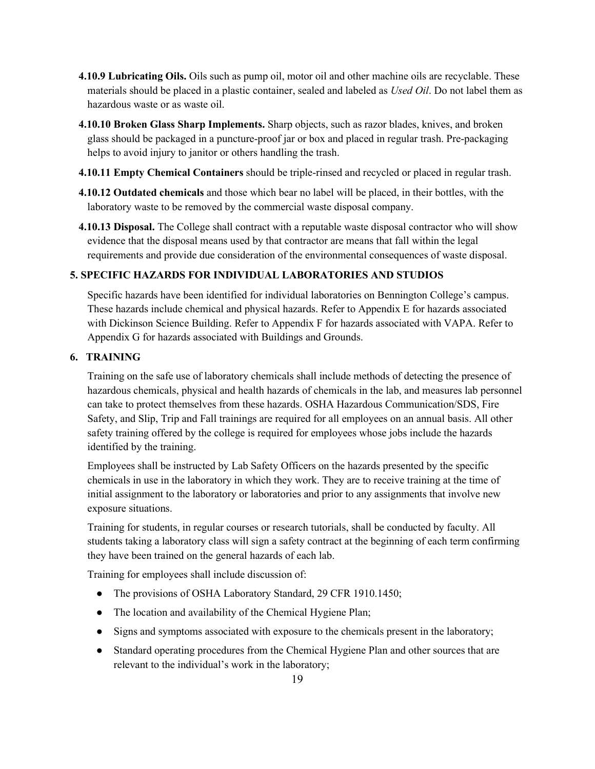- **4.10.9 Lubricating Oils.** Oils such as pump oil, motor oil and other machine oils are recyclable. These materials should be placed in a plastic container, sealed and labeled as *Used Oil*. Do not label them as hazardous waste or as waste oil.
- **4.10.10 Broken Glass Sharp Implements.** Sharp objects, such as razor blades, knives, and broken glass should be packaged in a puncture-proof jar or box and placed in regular trash. Pre-packaging helps to avoid injury to janitor or others handling the trash.
- **4.10.11 Empty Chemical Containers** should be triple-rinsed and recycled or placed in regular trash.
- **4.10.12 Outdated chemicals** and those which bear no label will be placed, in their bottles, with the laboratory waste to be removed by the commercial waste disposal company.
- **4.10.13 Disposal.** The College shall contract with a reputable waste disposal contractor who will show evidence that the disposal means used by that contractor are means that fall within the legal requirements and provide due consideration of the environmental consequences of waste disposal.

## **5. SPECIFIC HAZARDS FOR INDIVIDUAL LABORATORIES AND STUDIOS**

Specific hazards have been identified for individual laboratories on Bennington College's campus. These hazards include chemical and physical hazards. Refer to Appendix E for hazards associated with Dickinson Science Building. Refer to Appendix F for hazards associated with VAPA. Refer to Appendix G for hazards associated with Buildings and Grounds.

## **6. TRAINING**

Training on the safe use of laboratory chemicals shall include methods of detecting the presence of hazardous chemicals, physical and health hazards of chemicals in the lab, and measures lab personnel can take to protect themselves from these hazards. OSHA Hazardous Communication/SDS, Fire Safety, and Slip, Trip and Fall trainings are required for all employees on an annual basis. All other safety training offered by the college is required for employees whose jobs include the hazards identified by the training.

Employees shall be instructed by Lab Safety Officers on the hazards presented by the specific chemicals in use in the laboratory in which they work. They are to receive training at the time of initial assignment to the laboratory or laboratories and prior to any assignments that involve new exposure situations.

Training for students, in regular courses or research tutorials, shall be conducted by faculty. All students taking a laboratory class will sign a safety contract at the beginning of each term confirming they have been trained on the general hazards of each lab.

Training for employees shall include discussion of:

- The provisions of OSHA Laboratory Standard, 29 CFR 1910.1450;
- The location and availability of the Chemical Hygiene Plan;
- Signs and symptoms associated with exposure to the chemicals present in the laboratory;
- Standard operating procedures from the Chemical Hygiene Plan and other sources that are relevant to the individual's work in the laboratory;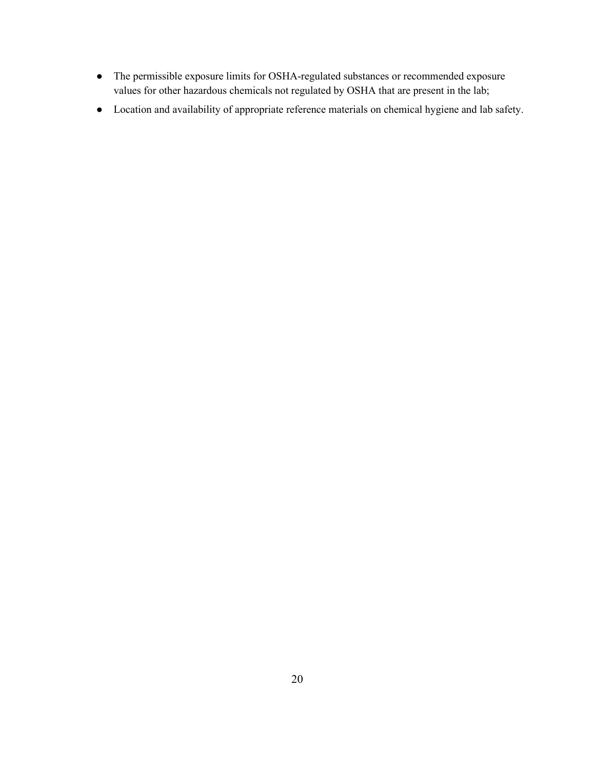- The permissible exposure limits for OSHA-regulated substances or recommended exposure values for other hazardous chemicals not regulated by OSHA that are present in the lab;
- Location and availability of appropriate reference materials on chemical hygiene and lab safety.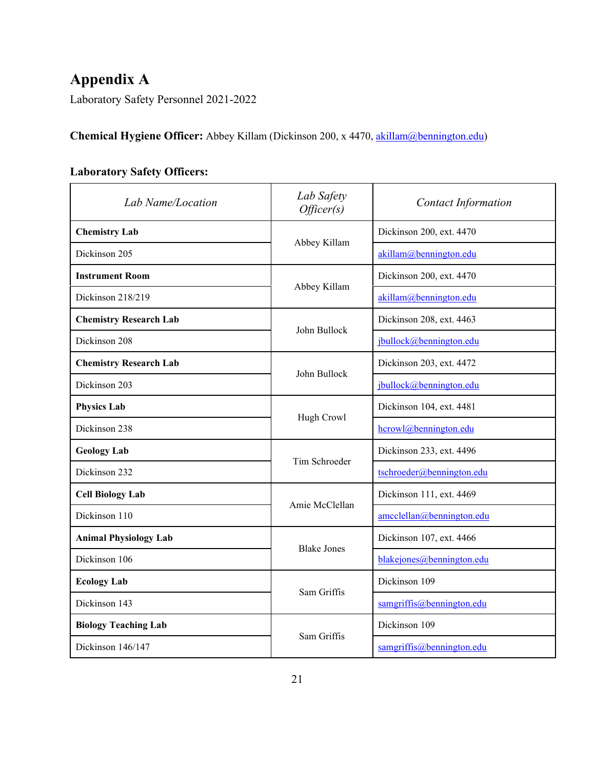# **Appendix A**

Laboratory Safety Personnel 2021-2022

**Chemical Hygiene Officer:** Abbey Killam (Dickinson 200, x 4470, [akillam@bennington.edu\)](mailto:akillam@bennington.edu)

## **Laboratory Safety Officers:**

| Lab Name/Location                             | Lab Safety<br>Officer(s)                                                                                                            | <b>Contact Information</b> |
|-----------------------------------------------|-------------------------------------------------------------------------------------------------------------------------------------|----------------------------|
| <b>Chemistry Lab</b>                          |                                                                                                                                     | Dickinson 200, ext. 4470   |
| Dickinson 205                                 |                                                                                                                                     | akillam@bennington.edu     |
| <b>Instrument Room</b>                        |                                                                                                                                     | Dickinson 200, ext. 4470   |
| Dickinson 218/219                             |                                                                                                                                     | akillam@bennington.edu     |
| <b>Chemistry Research Lab</b>                 |                                                                                                                                     | Dickinson 208, ext. 4463   |
| Dickinson 208                                 | Abbey Killam<br>Abbey Killam<br>John Bullock<br>John Bullock<br>Hugh Crowl<br>Tim Schroeder<br>Amie McClellan<br><b>Blake Jones</b> | jbullock@bennington.edu    |
| <b>Chemistry Research Lab</b>                 |                                                                                                                                     | Dickinson 203, ext. 4472   |
| Dickinson 203                                 |                                                                                                                                     | jbullock@bennington.edu    |
| <b>Physics Lab</b>                            |                                                                                                                                     | Dickinson 104, ext. 4481   |
| Dickinson 238                                 |                                                                                                                                     |                            |
| <b>Geology Lab</b>                            |                                                                                                                                     | Dickinson 233, ext. 4496   |
| Dickinson 232                                 |                                                                                                                                     | tschroeder@bennington.edu  |
| <b>Cell Biology Lab</b>                       |                                                                                                                                     | Dickinson 111, ext. 4469   |
| Dickinson 110<br><b>Animal Physiology Lab</b> | $amcclellan$ @bennington.edu                                                                                                        |                            |
|                                               |                                                                                                                                     | Dickinson 107, ext. 4466   |
| Dickinson 106                                 |                                                                                                                                     | blakejones@bennington.edu  |
| <b>Ecology Lab</b>                            |                                                                                                                                     | Dickinson 109              |
| Dickinson 143                                 | Sam Griffis                                                                                                                         | samgriffis@bennington.edu  |
| <b>Biology Teaching Lab</b>                   |                                                                                                                                     | Dickinson 109              |
| Dickinson 146/147                             | Sam Griffis                                                                                                                         | samgriffis@bennington.edu  |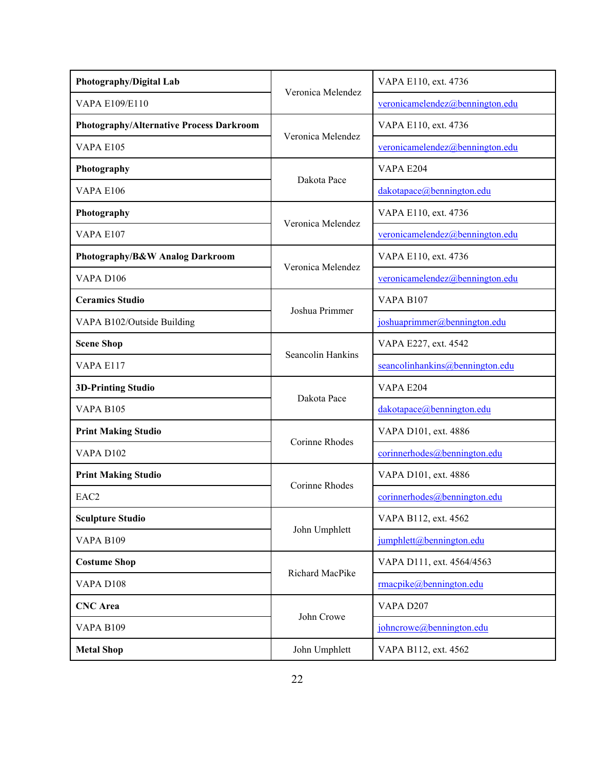| Photography/Digital Lab                  |                   | VAPA E110, ext. 4736            |
|------------------------------------------|-------------------|---------------------------------|
| <b>VAPA E109/E110</b>                    | Veronica Melendez | veronicamelendez@bennington.edu |
| Photography/Alternative Process Darkroom |                   | VAPA E110, ext. 4736            |
| VAPA E105                                | Veronica Melendez | veronicamelendez@bennington.edu |
| Photography                              | Dakota Pace       | VAPA E204                       |
| <b>VAPA E106</b>                         |                   | dakotapace@bennington.edu       |
| Photography                              | Veronica Melendez | VAPA E110, ext. 4736            |
| <b>VAPA E107</b>                         |                   | veronicamelendez@bennington.edu |
| Photography/B&W Analog Darkroom          |                   | VAPA E110, ext. 4736            |
| VAPA D106                                | Veronica Melendez | veronicamelendez@bennington.edu |
| <b>Ceramics Studio</b>                   |                   | <b>VAPA B107</b>                |
| VAPA B102/Outside Building               | Joshua Primmer    | joshuaprimmer@bennington.edu    |
| <b>Scene Shop</b>                        |                   | VAPA E227, ext. 4542            |
| VAPA E117                                | Seancolin Hankins | seancolinhankins@bennington.edu |
| <b>3D-Printing Studio</b>                | Dakota Pace       | VAPA E204                       |
| VAPA B105                                |                   | dakotapace@bennington.edu       |
| <b>Print Making Studio</b>               | Corinne Rhodes    | VAPA D101, ext. 4886            |
| <b>VAPA D102</b>                         |                   | corinnerhodes@bennington.edu    |
| <b>Print Making Studio</b>               |                   | VAPA D101, ext. 4886            |
| Corinne Rhodes<br>EAC <sub>2</sub>       |                   | corinnerhodes@bennington.edu    |
| <b>Sculpture Studio</b>                  |                   | VAPA B112, ext. 4562            |
| <b>VAPA B109</b>                         | John Umphlett     | jumphlett@bennington.edu        |
| <b>Costume Shop</b>                      |                   | VAPA D111, ext. 4564/4563       |
| VAPA D108                                | Richard MacPike   | rmacpike@bennington.edu         |
| <b>CNC</b> Area                          |                   | VAPA D207                       |
| <b>VAPA B109</b>                         | John Crowe        | johncrowe@bennington.edu        |
| <b>Metal Shop</b>                        | John Umphlett     | VAPA B112, ext. 4562            |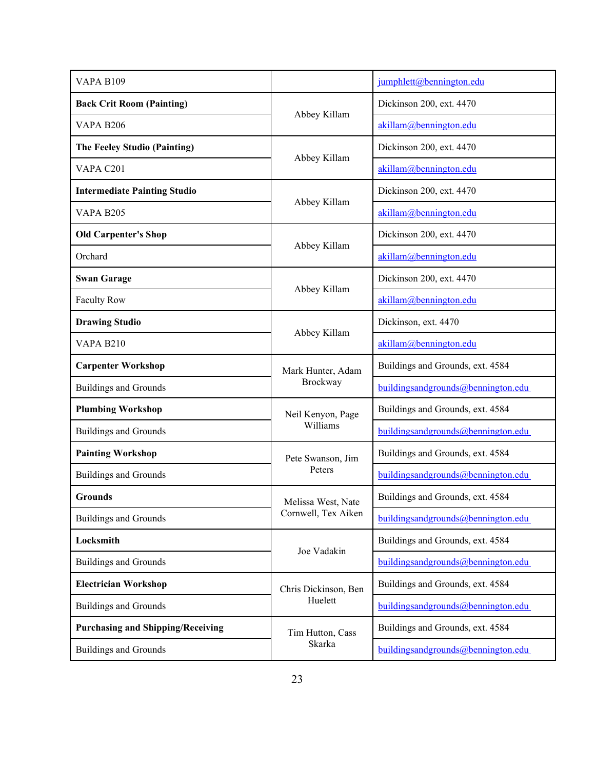| <b>VAPA B109</b>                         |                                                                                                                                                                                                        | jumphlett@bennington.edu            |
|------------------------------------------|--------------------------------------------------------------------------------------------------------------------------------------------------------------------------------------------------------|-------------------------------------|
| <b>Back Crit Room (Painting)</b>         |                                                                                                                                                                                                        | Dickinson 200, ext. 4470            |
| <b>VAPA B206</b>                         | Abbey Killam                                                                                                                                                                                           | akillam@bennington.edu              |
| The Feeley Studio (Painting)             |                                                                                                                                                                                                        | Dickinson 200, ext. 4470            |
| VAPA C201                                | Abbey Killam                                                                                                                                                                                           | akillam@bennington.edu              |
| <b>Intermediate Painting Studio</b>      |                                                                                                                                                                                                        | Dickinson 200, ext. 4470            |
| <b>VAPA B205</b>                         |                                                                                                                                                                                                        | akillam@bennington.edu              |
| <b>Old Carpenter's Shop</b>              |                                                                                                                                                                                                        | Dickinson 200, ext. 4470            |
| Orchard                                  |                                                                                                                                                                                                        | akillam@bennington.edu              |
| <b>Swan Garage</b>                       |                                                                                                                                                                                                        | Dickinson 200, ext. 4470            |
| <b>Faculty Row</b>                       |                                                                                                                                                                                                        | akillam@bennington.edu              |
| <b>Drawing Studio</b>                    |                                                                                                                                                                                                        | Dickinson, ext. 4470                |
| <b>VAPA B210</b>                         |                                                                                                                                                                                                        | akillam@bennington.edu              |
| <b>Carpenter Workshop</b>                | Mark Hunter, Adam                                                                                                                                                                                      | Buildings and Grounds, ext. 4584    |
| <b>Buildings and Grounds</b>             | Brockway                                                                                                                                                                                               | building sandgrounds@bennington.edu |
| <b>Plumbing Workshop</b>                 | Neil Kenyon, Page                                                                                                                                                                                      | Buildings and Grounds, ext. 4584    |
| <b>Buildings and Grounds</b>             | Abbey Killam<br>Abbey Killam<br>Abbey Killam<br>Abbey Killam<br>Williams<br>Pete Swanson, Jim<br>Peters<br>Melissa West, Nate<br>Cornwell, Tex Aiken<br>Joe Vadakin<br>Chris Dickinson, Ben<br>Huelett | building sandgrounds@bennington.edu |
| <b>Painting Workshop</b>                 |                                                                                                                                                                                                        | Buildings and Grounds, ext. 4584    |
| <b>Buildings and Grounds</b>             |                                                                                                                                                                                                        | building and grounds@bennington.edu |
| <b>Grounds</b>                           |                                                                                                                                                                                                        | Buildings and Grounds, ext. 4584    |
| <b>Buildings and Grounds</b>             |                                                                                                                                                                                                        | building sandgrounds@bennington.edu |
| Locksmith                                |                                                                                                                                                                                                        | Buildings and Grounds, ext. 4584    |
| <b>Buildings and Grounds</b>             |                                                                                                                                                                                                        | building sandgrounds@bennington.edu |
| <b>Electrician Workshop</b>              |                                                                                                                                                                                                        | Buildings and Grounds, ext. 4584    |
| <b>Buildings and Grounds</b>             |                                                                                                                                                                                                        | building sandgrounds@bennington.edu |
| <b>Purchasing and Shipping/Receiving</b> | Tim Hutton, Cass                                                                                                                                                                                       | Buildings and Grounds, ext. 4584    |
| <b>Buildings and Grounds</b>             | Skarka                                                                                                                                                                                                 | building sandgrounds@bennington.edu |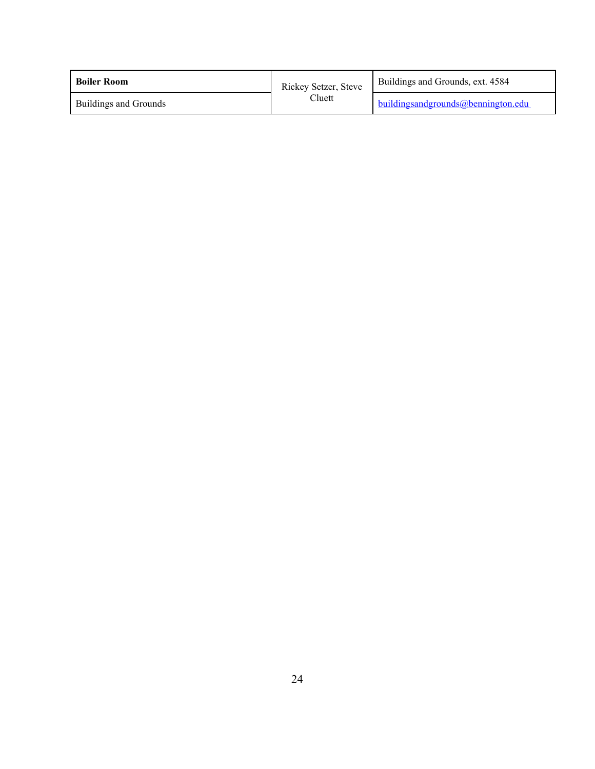| <b>Boiler Room</b>    | Rickey Setzer, Steve | Buildings and Grounds, ext. 4584    |  |
|-----------------------|----------------------|-------------------------------------|--|
| Buildings and Grounds | $Clu$ ett            | building sandgrounds@bennington.edu |  |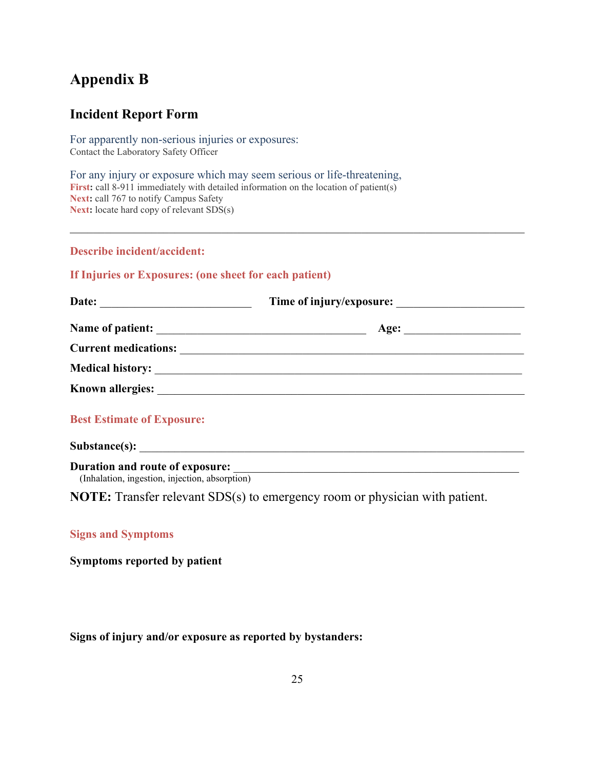## **Appendix B**

## **Incident Report Form**

For apparently non-serious injuries or exposures: Contact the Laboratory Safety Officer

For any injury or exposure which may seem serious or life-threatening, First: call 8-911 immediately with detailed information on the location of patient(s) Next: call 767 to notify Campus Safety Next: locate hard copy of relevant SDS(s)

## **Describe incident/accident:**

## **If Injuries or Exposures: (one sheet for each patient)**

| <b>Best Estimate of Exposure:</b> |  |
|-----------------------------------|--|
|                                   |  |

**Duration and route of exposure:** *(Inhalation, ingestion, injection, absorption)* 

**NOTE:** Transfer relevant SDS(s) to emergency room or physician with patient.

## **Signs and Symptoms**

**Symptoms reported by patient**

## **Signs of injury and/or exposure as reported by bystanders:**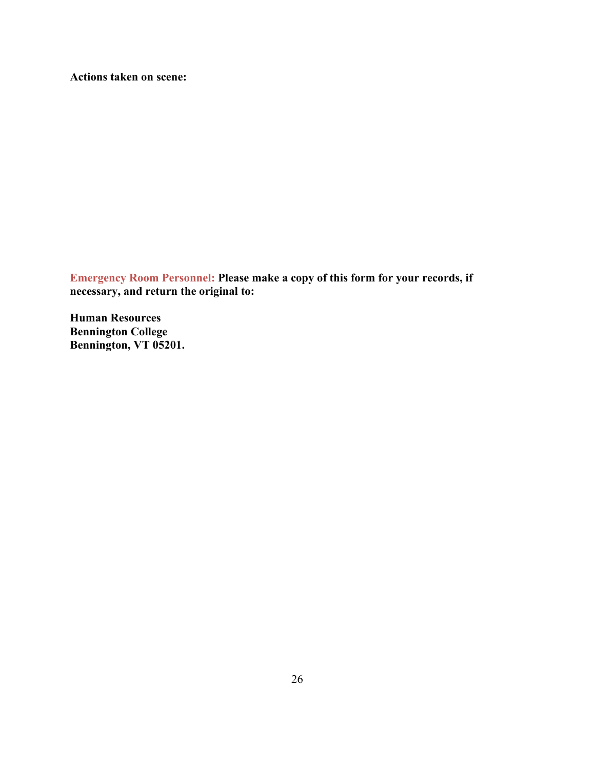**Actions taken on scene:**

**Emergency Room Personnel: Please make a copy of this form for your records, if necessary, and return the original to:** 

**Human Resources Bennington College Bennington, VT 05201.**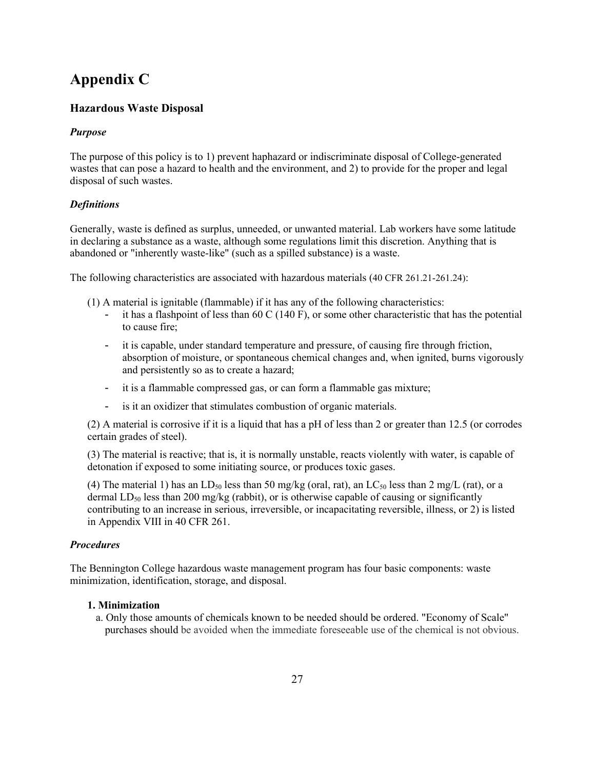## **Appendix C**

## **Hazardous Waste Disposal**

## *Purpose*

The purpose of this policy is to 1) prevent haphazard or indiscriminate disposal of College-generated wastes that can pose a hazard to health and the environment, and 2) to provide for the proper and legal disposal of such wastes.

## *Definitions*

Generally, waste is defined as surplus, unneeded, or unwanted material. Lab workers have some latitude in declaring a substance as a waste, although some regulations limit this discretion. Anything that is abandoned or "inherently waste-like" (such as a spilled substance) is a waste.

The following characteristics are associated with hazardous materials (40 CFR 261.21-261.24):

- (1) A material is ignitable (flammable) if it has any of the following characteristics:
	- it has a flashpoint of less than 60 C (140 F), or some other characteristic that has the potential to cause fire;
	- it is capable, under standard temperature and pressure, of causing fire through friction, absorption of moisture, or spontaneous chemical changes and, when ignited, burns vigorously and persistently so as to create a hazard;
	- it is a flammable compressed gas, or can form a flammable gas mixture;
	- is it an oxidizer that stimulates combustion of organic materials.

(2) A material is corrosive if it is a liquid that has a pH of less than 2 or greater than 12.5 (or corrodes certain grades of steel).

(3) The material is reactive; that is, it is normally unstable, reacts violently with water, is capable of detonation if exposed to some initiating source, or produces toxic gases.

(4) The material 1) has an LD<sub>50</sub> less than 50 mg/kg (oral, rat), an LC<sub>50</sub> less than 2 mg/L (rat), or a dermal  $LD_{50}$  less than 200 mg/kg (rabbit), or is otherwise capable of causing or significantly contributing to an increase in serious, irreversible, or incapacitating reversible, illness, or 2) is listed in Appendix VIII in 40 CFR 261.

## *Procedures*

The Bennington College hazardous waste management program has four basic components: waste minimization, identification, storage, and disposal.

## **1. Minimization**

a. Only those amounts of chemicals known to be needed should be ordered. "Economy of Scale" purchases should be avoided when the immediate foreseeable use of the chemical is not obvious.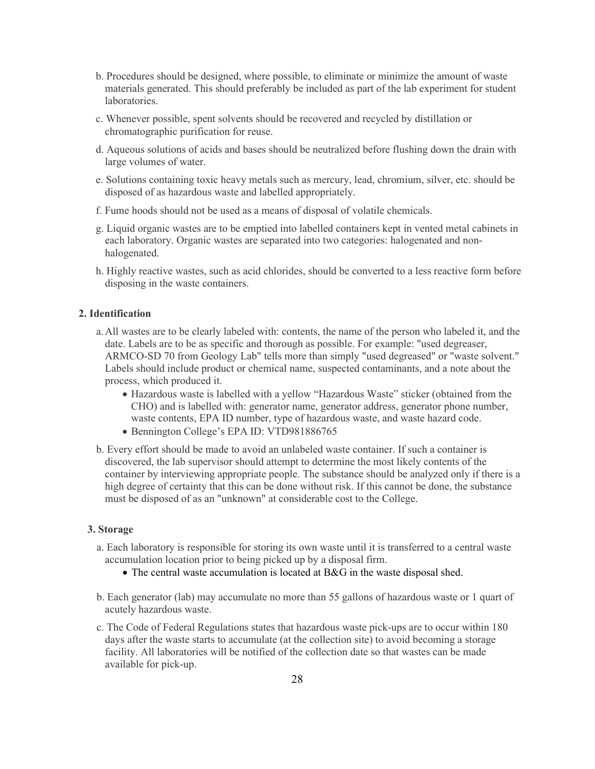- b. Procedures should be designed, where possible, to eliminate or minimize the amount of waste materials generated. This should preferably be included as part of the lab experiment for student laboratories.
- c. Whenever possible, spent solvents should be recovered and recycled by distillation or chromatographic purification for reuse.
- d. Aqueous solutions of acids and bases should be neutralized before flushing down the drain with large volumes of water.
- e. Solutions containing toxic heavy metals such as mercury, lead, chromium, silver, etc. should be disposed of as hazardous waste and labelled appropriately.
- f. Fume hoods should not be used as a means of disposal of volatile chemicals.
- g. Liquid organic wastes are to be emptied into labelled containers kept in vented metal cabinets in each laboratory. Organic wastes are separated into two categories: halogenated and nonhalogenated.
- h. Highly reactive wastes, such as acid chlorides, should be converted to a less reactive form before disposing in the waste containers.

## **2. Identification**

- a.All wastes are to be clearly labeled with: contents, the name of the person who labeled it, and the date. Labels are to be as specific and thorough as possible. For example: "used degreaser, ARMCO-SD 70 from Geology Lab" tells more than simply "used degreased" or "waste solvent." Labels should include product or chemical name, suspected contaminants, and a note about the process, which produced it.
	- Hazardous waste is labelled with a yellow "Hazardous Waste" sticker (obtained from the CHO) and is labelled with: generator name, generator address, generator phone number, waste contents, EPA ID number, type of hazardous waste, and waste hazard code.
	- Bennington College's EPA ID: VTD981886765
- b. Every effort should be made to avoid an unlabeled waste container. If such a container is discovered, the lab supervisor should attempt to determine the most likely contents of the container by interviewing appropriate people. The substance should be analyzed only if there is a high degree of certainty that this can be done without risk. If this cannot be done, the substance must be disposed of as an "unknown" at considerable cost to the College.

### **3. Storage**

- a. Each laboratory is responsible for storing its own waste until it is transferred to a central waste accumulation location prior to being picked up by a disposal firm.
	- The central waste accumulation is located at B&G in the waste disposal shed.
- b. Each generator (lab) may accumulate no more than 55 gallons of hazardous waste or 1 quart of acutely hazardous waste.
- c. The Code of Federal Regulations states that hazardous waste pick-ups are to occur within 180 days after the waste starts to accumulate (at the collection site) to avoid becoming a storage facility. All laboratories will be notified of the collection date so that wastes can be made available for pick-up.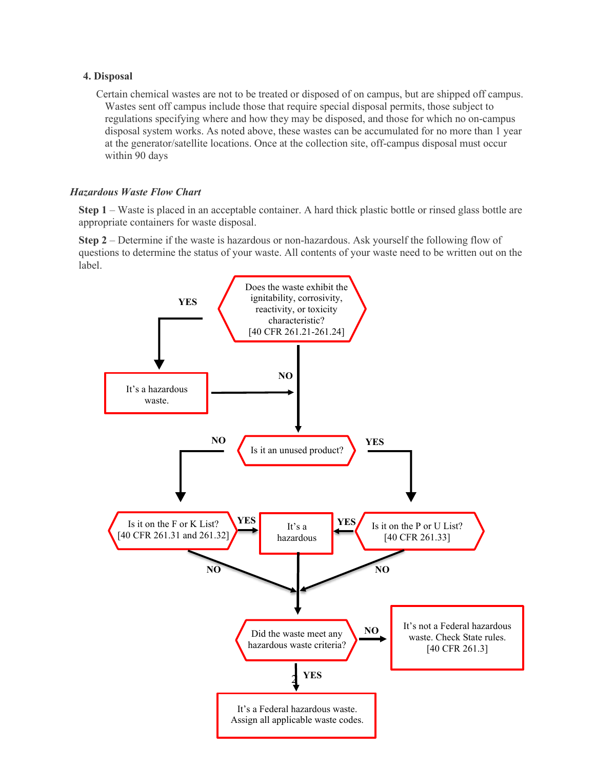## **4. Disposal**

Certain chemical wastes are not to be treated or disposed of on campus, but are shipped off campus. Wastes sent off campus include those that require special disposal permits, those subject to regulations specifying where and how they may be disposed, and those for which no on-campus disposal system works. As noted above, these wastes can be accumulated for no more than 1 year at the generator/satellite locations. Once at the collection site, off-campus disposal must occur within 90 days

## *Hazardous Waste Flow Chart*

**Step 1** – Waste is placed in an acceptable container. A hard thick plastic bottle or rinsed glass bottle are appropriate containers for waste disposal.

**Step 2** – Determine if the waste is hazardous or non-hazardous. Ask yourself the following flow of questions to determine the status of your waste. All contents of your waste need to be written out on the label.

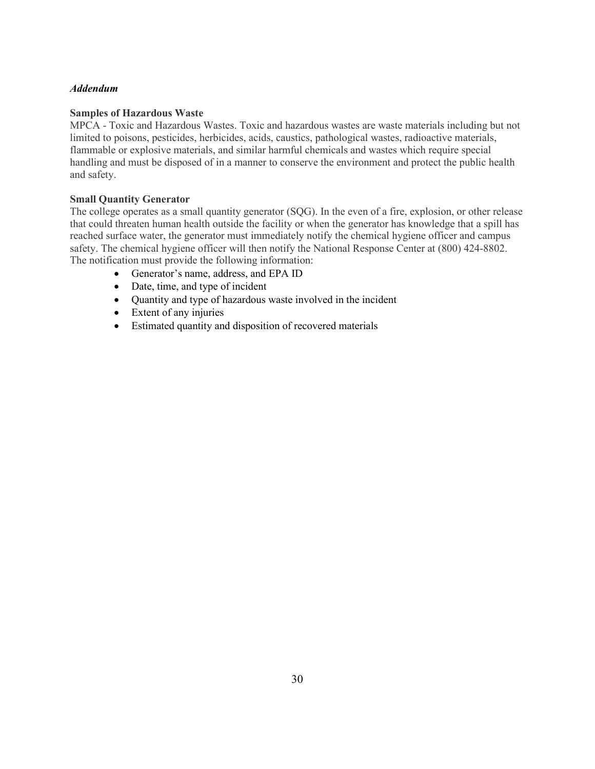## *Addendum*

## **Samples of Hazardous Waste**

MPCA - Toxic and Hazardous Wastes. Toxic and hazardous wastes are waste materials including but not limited to poisons, pesticides, herbicides, acids, caustics, pathological wastes, radioactive materials, flammable or explosive materials, and similar harmful chemicals and wastes which require special handling and must be disposed of in a manner to conserve the environment and protect the public health and safety.

## **Small Quantity Generator**

The college operates as a small quantity generator (SQG). In the even of a fire, explosion, or other release that could threaten human health outside the facility or when the generator has knowledge that a spill has reached surface water, the generator must immediately notify the chemical hygiene officer and campus safety. The chemical hygiene officer will then notify the National Response Center at (800) 424-8802. The notification must provide the following information:

- Generator's name, address, and EPA ID
- Date, time, and type of incident
- Quantity and type of hazardous waste involved in the incident
- Extent of any injuries
- Estimated quantity and disposition of recovered materials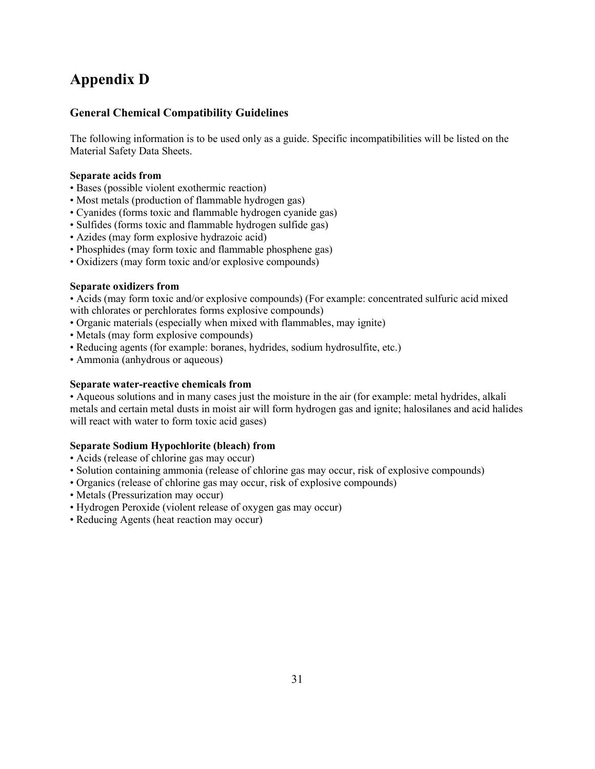## **Appendix D**

## **General Chemical Compatibility Guidelines**

The following information is to be used only as a guide. Specific incompatibilities will be listed on the Material Safety Data Sheets.

## **Separate acids from**

- Bases (possible violent exothermic reaction)
- Most metals (production of flammable hydrogen gas)
- Cyanides (forms toxic and flammable hydrogen cyanide gas)
- Sulfides (forms toxic and flammable hydrogen sulfide gas)
- Azides (may form explosive hydrazoic acid)
- Phosphides (may form toxic and flammable phosphene gas)
- Oxidizers (may form toxic and/or explosive compounds)

## **Separate oxidizers from**

• Acids (may form toxic and/or explosive compounds) (For example: concentrated sulfuric acid mixed with chlorates or perchlorates forms explosive compounds)

- Organic materials (especially when mixed with flammables, may ignite)
- Metals (may form explosive compounds)
- Reducing agents (for example: boranes, hydrides, sodium hydrosulfite, etc.)
- Ammonia (anhydrous or aqueous)

## **Separate water-reactive chemicals from**

• Aqueous solutions and in many cases just the moisture in the air (for example: metal hydrides, alkali metals and certain metal dusts in moist air will form hydrogen gas and ignite; halosilanes and acid halides will react with water to form toxic acid gases)

## **Separate Sodium Hypochlorite (bleach) from**

- Acids (release of chlorine gas may occur)
- Solution containing ammonia (release of chlorine gas may occur, risk of explosive compounds)
- Organics (release of chlorine gas may occur, risk of explosive compounds)
- Metals (Pressurization may occur)
- Hydrogen Peroxide (violent release of oxygen gas may occur)
- Reducing Agents (heat reaction may occur)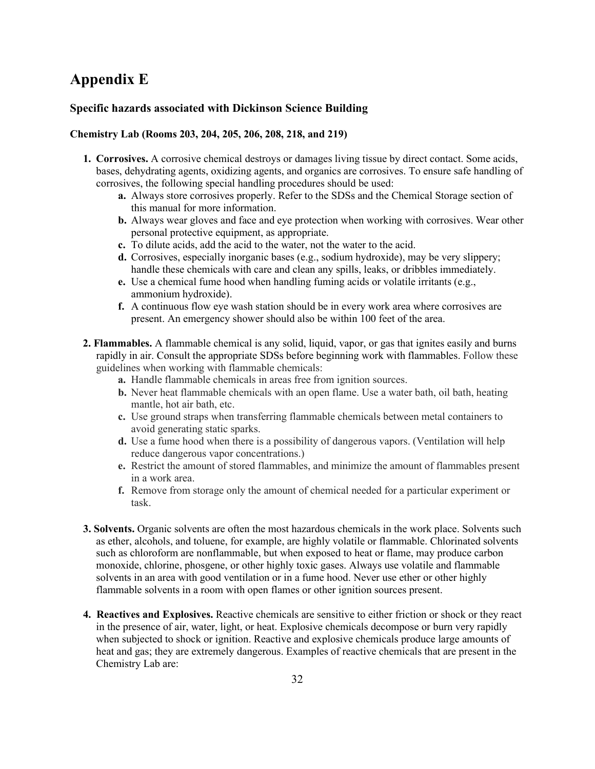## **Appendix E**

## **Specific hazards associated with Dickinson Science Building**

## **Chemistry Lab (Rooms 203, 204, 205, 206, 208, 218, and 219)**

- **1. Corrosives.** A corrosive chemical destroys or damages living tissue by direct contact. Some acids, bases, dehydrating agents, oxidizing agents, and organics are corrosives. To ensure safe handling of corrosives, the following special handling procedures should be used:
	- **a.** Always store corrosives properly. Refer to the SDSs and the Chemical Storage section of this manual for more information.
	- **b.** Always wear gloves and face and eye protection when working with corrosives. Wear other personal protective equipment, as appropriate.
	- **c.** To dilute acids, add the acid to the water, not the water to the acid.
	- **d.** Corrosives, especially inorganic bases (e.g., sodium hydroxide), may be very slippery; handle these chemicals with care and clean any spills, leaks, or dribbles immediately.
	- **e.** Use a chemical fume hood when handling fuming acids or volatile irritants (e.g., ammonium hydroxide).
	- **f.** A continuous flow eye wash station should be in every work area where corrosives are present. An emergency shower should also be within 100 feet of the area.
- **2. Flammables.** A flammable chemical is any solid, liquid, vapor, or gas that ignites easily and burns rapidly in air. Consult the appropriate SDSs before beginning work with flammables. Follow these guidelines when working with flammable chemicals:
	- **a.** Handle flammable chemicals in areas free from ignition sources.
	- **b.** Never heat flammable chemicals with an open flame. Use a water bath, oil bath, heating mantle, hot air bath, etc.
	- **c.** Use ground straps when transferring flammable chemicals between metal containers to avoid generating static sparks.
	- **d.** Use a fume hood when there is a possibility of dangerous vapors. (Ventilation will help reduce dangerous vapor concentrations.)
	- **e.** Restrict the amount of stored flammables, and minimize the amount of flammables present in a work area.
	- **f.** Remove from storage only the amount of chemical needed for a particular experiment or task.
- **3. Solvents.** Organic solvents are often the most hazardous chemicals in the work place. Solvents such as ether, alcohols, and toluene, for example, are highly volatile or flammable. Chlorinated solvents such as chloroform are nonflammable, but when exposed to heat or flame, may produce carbon monoxide, chlorine, phosgene, or other highly toxic gases. Always use volatile and flammable solvents in an area with good ventilation or in a fume hood. Never use ether or other highly flammable solvents in a room with open flames or other ignition sources present.
- **4. Reactives and Explosives.** Reactive chemicals are sensitive to either friction or shock or they react in the presence of air, water, light, or heat. Explosive chemicals decompose or burn very rapidly when subjected to shock or ignition. Reactive and explosive chemicals produce large amounts of heat and gas; they are extremely dangerous. Examples of reactive chemicals that are present in the Chemistry Lab are: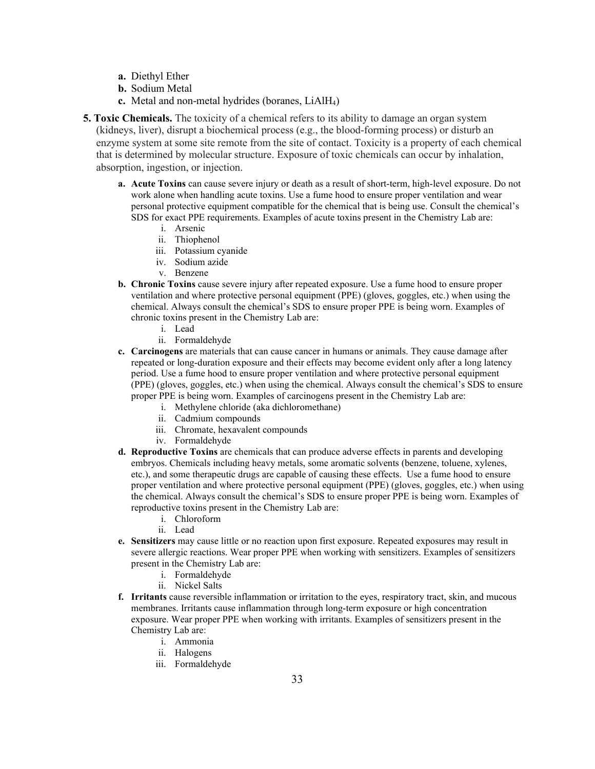- **a.** Diethyl Ether
- **b.** Sodium Metal
- **c.** Metal and non-metal hydrides (boranes, LiAlH4)

**5. Toxic Chemicals.** The toxicity of a chemical refers to its ability to damage an organ system (kidneys, liver), disrupt a biochemical process (e.g., the blood-forming process) or disturb an enzyme system at some site remote from the site of contact. Toxicity is a property of each chemical that is determined by molecular structure. Exposure of toxic chemicals can occur by inhalation, absorption, ingestion, or injection.

- **a. Acute Toxins** can cause severe injury or death as a result of short-term, high-level exposure. Do not work alone when handling acute toxins. Use a fume hood to ensure proper ventilation and wear personal protective equipment compatible for the chemical that is being use. Consult the chemical's SDS for exact PPE requirements. Examples of acute toxins present in the Chemistry Lab are:
	- i. Arsenic
	- ii. Thiophenol
	- iii. Potassium cyanide
	- iv. Sodium azide
	- v. Benzene
- **b. Chronic Toxins** cause severe injury after repeated exposure. Use a fume hood to ensure proper ventilation and where protective personal equipment (PPE) (gloves, goggles, etc.) when using the chemical. Always consult the chemical's SDS to ensure proper PPE is being worn. Examples of chronic toxins present in the Chemistry Lab are:
	- i. Lead
	- ii. Formaldehyde
- **c. Carcinogens** are materials that can cause cancer in humans or animals. They cause damage after repeated or long-duration exposure and their effects may become evident only after a long latency period. Use a fume hood to ensure proper ventilation and where protective personal equipment (PPE) (gloves, goggles, etc.) when using the chemical. Always consult the chemical's SDS to ensure proper PPE is being worn. Examples of carcinogens present in the Chemistry Lab are:
	- i. Methylene chloride (aka dichloromethane)
	- ii. Cadmium compounds
	- iii. Chromate, hexavalent compounds
	- iv. Formaldehyde
- **d. Reproductive Toxins** are chemicals that can produce adverse effects in parents and developing embryos. Chemicals including heavy metals, some aromatic solvents (benzene, toluene, xylenes, etc.), and some therapeutic drugs are capable of causing these effects. Use a fume hood to ensure proper ventilation and where protective personal equipment (PPE) (gloves, goggles, etc.) when using the chemical. Always consult the chemical's SDS to ensure proper PPE is being worn. Examples of reproductive toxins present in the Chemistry Lab are:
	- i. Chloroform
	- ii. Lead
- **e. Sensitizers** may cause little or no reaction upon first exposure. Repeated exposures may result in severe allergic reactions. Wear proper PPE when working with sensitizers. Examples of sensitizers present in the Chemistry Lab are:
	- i. Formaldehyde
		- ii. Nickel Salts
- **f. Irritants** cause reversible inflammation or irritation to the eyes, respiratory tract, skin, and mucous membranes. Irritants cause inflammation through long-term exposure or high concentration exposure. Wear proper PPE when working with irritants. Examples of sensitizers present in the Chemistry Lab are:
	- i. Ammonia
	- ii. Halogens
	- iii. Formaldehyde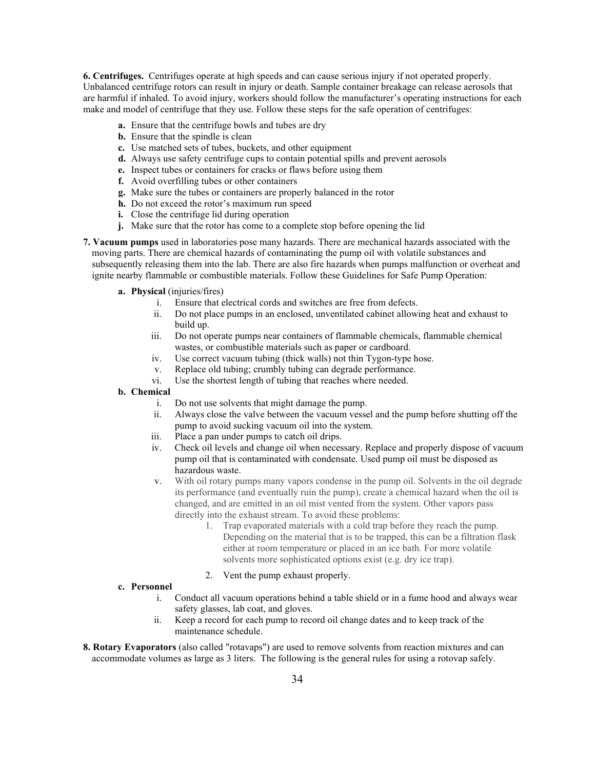**6. Centrifuges.** Centrifuges operate at high speeds and can cause serious injury if not operated properly. Unbalanced centrifuge rotors can result in injury or death. Sample container breakage can release aerosols that are harmful if inhaled. To avoid injury, workers should follow the manufacturer's operating instructions for each make and model of centrifuge that they use. Follow these steps for the safe operation of centrifuges:

- **a.** Ensure that the centrifuge bowls and tubes are dry
- **b.** Ensure that the spindle is clean
- **c.** Use matched sets of tubes, buckets, and other equipment
- **d.** Always use safety centrifuge cups to contain potential spills and prevent aerosols
- **e.** Inspect tubes or containers for cracks or flaws before using them
- **f.** Avoid overfilling tubes or other containers
- **g.** Make sure the tubes or containers are properly balanced in the rotor
- **h.** Do not exceed the rotor's maximum run speed
- **i.** Close the centrifuge lid during operation
- **j.** Make sure that the rotor has come to a complete stop before opening the lid

**7. Vacuum pumps** used in laboratories pose many hazards. There are mechanical hazards associated with the moving parts. There are chemical hazards of contaminating the pump oil with volatile substances and subsequently releasing them into the lab. There are also fire hazards when pumps malfunction or overheat and ignite nearby flammable or combustible materials. Follow these Guidelines for Safe Pump Operation:

- **a. Physical** (injuries/fires)
	- i. Ensure that electrical cords and switches are free from defects.
	- ii. Do not place pumps in an enclosed, unventilated cabinet allowing heat and exhaust to build up.
	- iii. Do not operate pumps near containers of flammable chemicals, flammable chemical wastes, or combustible materials such as paper or cardboard.
	- iv. Use correct vacuum tubing (thick walls) not thin Tygon-type hose.
	- v. Replace old tubing; crumbly tubing can degrade performance.
	- vi. Use the shortest length of tubing that reaches where needed.

#### **b. Chemical**

- i. Do not use solvents that might damage the pump.
- ii. Always close the valve between the vacuum vessel and the pump before shutting off the pump to avoid sucking vacuum oil into the system.
- iii. Place a pan under pumps to catch oil drips.
- iv. Check oil levels and change oil when necessary. Replace and properly dispose of vacuum pump oil that is contaminated with condensate. Used pump oil must be disposed as hazardous waste.
- v. With oil rotary pumps many vapors condense in the pump oil. Solvents in the oil degrade its performance (and eventually ruin the pump), create a chemical hazard when the oil is changed, and are emitted in an oil mist vented from the system. Other vapors pass directly into the exhaust stream. To avoid these problems:
	- 1. Trap evaporated materials with a cold trap before they reach the pump. Depending on the material that is to be trapped, this can be a filtration flask either at room temperature or placed in an ice bath. For more volatile solvents more sophisticated options exist (e.g. dry ice trap).
	- 2. Vent the pump exhaust properly.

#### **c. Personnel**

- i. Conduct all vacuum operations behind a table shield or in a fume hood and always wear safety glasses, lab coat, and gloves.
- ii. Keep a record for each pump to record oil change dates and to keep track of the maintenance schedule.
- **8. Rotary Evaporators** (also called "rotavaps") are used to remove solvents from reaction mixtures and can accommodate volumes as large as 3 liters. The following is the general rules for using a rotovap safely.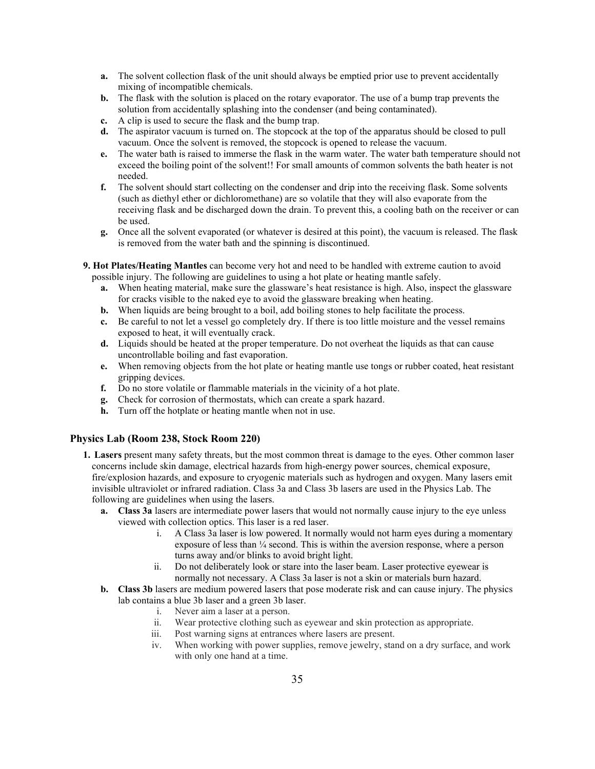- **a.** The solvent collection flask of the unit should always be emptied prior use to prevent accidentally mixing of incompatible chemicals.
- **b.** The flask with the solution is placed on the rotary evaporator. The use of a bump trap prevents the solution from accidentally splashing into the condenser (and being contaminated).
- **c.** A clip is used to secure the flask and the bump trap.
- **d.** The aspirator vacuum is turned on. The stopcock at the top of the apparatus should be closed to pull vacuum. Once the solvent is removed, the stopcock is opened to release the vacuum.
- **e.** The water bath is raised to immerse the flask in the warm water. The water bath temperature should not exceed the boiling point of the solvent!! For small amounts of common solvents the bath heater is not needed.
- **f.** The solvent should start collecting on the condenser and drip into the receiving flask. Some solvents (such as diethyl ether or dichloromethane) are so volatile that they will also evaporate from the receiving flask and be discharged down the drain. To prevent this, a cooling bath on the receiver or can be used.
- **g.** Once all the solvent evaporated (or whatever is desired at this point), the vacuum is released. The flask is removed from the water bath and the spinning is discontinued.
- **9. Hot Plates/Heating Mantles** can become very hot and need to be handled with extreme caution to avoid possible injury. The following are guidelines to using a hot plate or heating mantle safely.
	- **a.** When heating material, make sure the glassware's heat resistance is high. Also, inspect the glassware for cracks visible to the naked eye to avoid the glassware breaking when heating.
	- **b.** When liquids are being brought to a boil, add boiling stones to help facilitate the process.
	- **c.** Be careful to not let a vessel go completely dry. If there is too little moisture and the vessel remains exposed to heat, it will eventually crack.
	- **d.** Liquids should be heated at the proper temperature. Do not overheat the liquids as that can cause uncontrollable boiling and fast evaporation.
	- **e.** When removing objects from the hot plate or heating mantle use tongs or rubber coated, heat resistant gripping devices.
	- **f.** Do no store volatile or flammable materials in the vicinity of a hot plate.
	- **g.** Check for corrosion of thermostats, which can create a spark hazard.
	- **h.** Turn off the hotplate or heating mantle when not in use.

#### **Physics Lab (Room 238, Stock Room 220)**

- **1. Lasers** present many safety threats, but the most common threat is damage to the eyes. Other common laser concerns include skin damage, electrical hazards from high-energy power sources, chemical exposure, fire/explosion hazards, and exposure to cryogenic materials such as hydrogen and oxygen. Many lasers emit invisible ultraviolet or infrared radiation. Class 3a and Class 3b lasers are used in the Physics Lab. The following are guidelines when using the lasers.
	- **a. Class 3a** lasers are intermediate power lasers that would not normally cause injury to the eye unless viewed with collection optics. This laser is a red laser.
		- i. A Class 3a laser is low powered. It normally would not harm eyes during a momentary exposure of less than ¼ second. This is within the aversion response, where a person turns away and/or blinks to avoid bright light.
		- ii. Do not deliberately look or stare into the laser beam. Laser protective eyewear is normally not necessary. A Class 3a laser is not a skin or materials burn hazard.
	- **b. Class 3b** lasers are medium powered lasers that pose moderate risk and can cause injury. The physics lab contains a blue 3b laser and a green 3b laser.
		- i. Never aim a laser at a person.
		- ii. Wear protective clothing such as eyewear and skin protection as appropriate.
		- iii. Post warning signs at entrances where lasers are present.
		- iv. When working with power supplies, remove jewelry, stand on a dry surface, and work with only one hand at a time.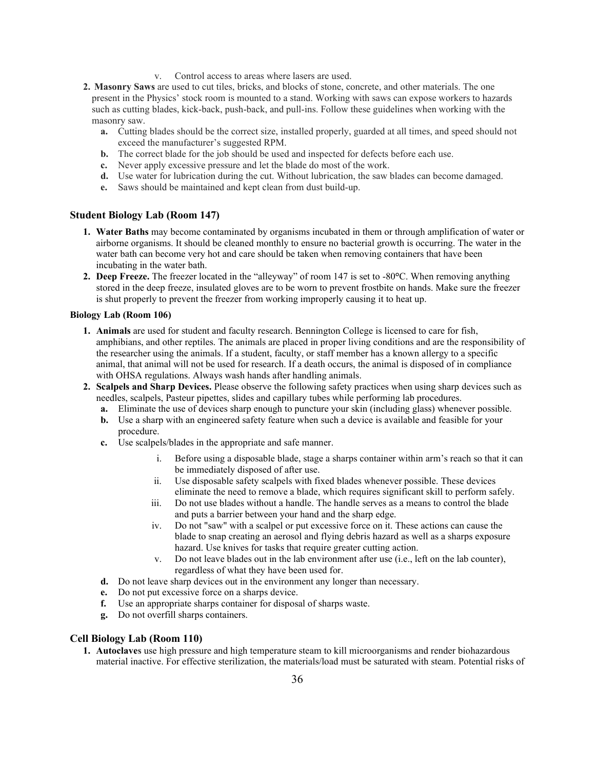- v. Control access to areas where lasers are used.
- **2. Masonry Saws** are used to cut tiles, bricks, and blocks of stone, concrete, and other materials. The one present in the Physics' stock room is mounted to a stand. Working with saws can expose workers to hazards such as cutting blades, kick-back, push-back, and pull-ins. Follow these guidelines when working with the masonry saw.
	- **a.** Cutting blades should be the correct size, installed properly, guarded at all times, and speed should not exceed the manufacturer's suggested RPM.
	- **b.** The correct blade for the job should be used and inspected for defects before each use.
	- **c.** Never apply excessive pressure and let the blade do most of the work.
	- **d.** Use water for lubrication during the cut. Without lubrication, the saw blades can become damaged.
	- **e.** Saws should be maintained and kept clean from dust build-up.

#### **Student Biology Lab (Room 147)**

- **1. Water Baths** may become contaminated by organisms incubated in them or through amplification of water or airborne organisms. It should be cleaned monthly to ensure no bacterial growth is occurring. The water in the water bath can become very hot and care should be taken when removing containers that have been incubating in the water bath.
- **2. Deep Freeze.** The freezer located in the "alleyway" of room 147 is set to -80**°**C. When removing anything stored in the deep freeze, insulated gloves are to be worn to prevent frostbite on hands. Make sure the freezer is shut properly to prevent the freezer from working improperly causing it to heat up.

#### **Biology Lab (Room 106)**

- **1. Animals** are used for student and faculty research. Bennington College is licensed to care for fish, amphibians, and other reptiles. The animals are placed in proper living conditions and are the responsibility of the researcher using the animals. If a student, faculty, or staff member has a known allergy to a specific animal, that animal will not be used for research. If a death occurs, the animal is disposed of in compliance with OHSA regulations. Always wash hands after handling animals.
- **2. Scalpels and Sharp Devices.** Please observe the following safety practices when using sharp devices such as needles, scalpels, Pasteur pipettes, slides and capillary tubes while performing lab procedures.
	- **a.** Eliminate the use of devices sharp enough to puncture your skin (including glass) whenever possible.
	- **b.** Use a sharp with an engineered safety feature when such a device is available and feasible for your procedure.
	- **c.** Use scalpels/blades in the appropriate and safe manner.
		- i. Before using a disposable blade, stage a sharps container within arm's reach so that it can be immediately disposed of after use.
		- ii. Use disposable safety scalpels with fixed blades whenever possible. These devices eliminate the need to remove a blade, which requires significant skill to perform safely.
		- iii. Do not use blades without a handle. The handle serves as a means to control the blade and puts a barrier between your hand and the sharp edge.
		- iv. Do not "saw" with a scalpel or put excessive force on it. These actions can cause the blade to snap creating an aerosol and flying debris hazard as well as a sharps exposure hazard. Use knives for tasks that require greater cutting action.
		- v. Do not leave blades out in the lab environment after use (i.e., left on the lab counter), regardless of what they have been used for.
	- **d.** Do not leave sharp devices out in the environment any longer than necessary.
	- **e.** Do not put excessive force on a sharps device.
	- **f.** Use an appropriate sharps container for disposal of sharps waste.
	- **g.** Do not overfill sharps containers.

#### **Cell Biology Lab (Room 110)**

**1. Autoclaves** use high pressure and high temperature steam to kill microorganisms and render biohazardous material inactive. For effective sterilization, the materials/load must be saturated with steam. Potential risks of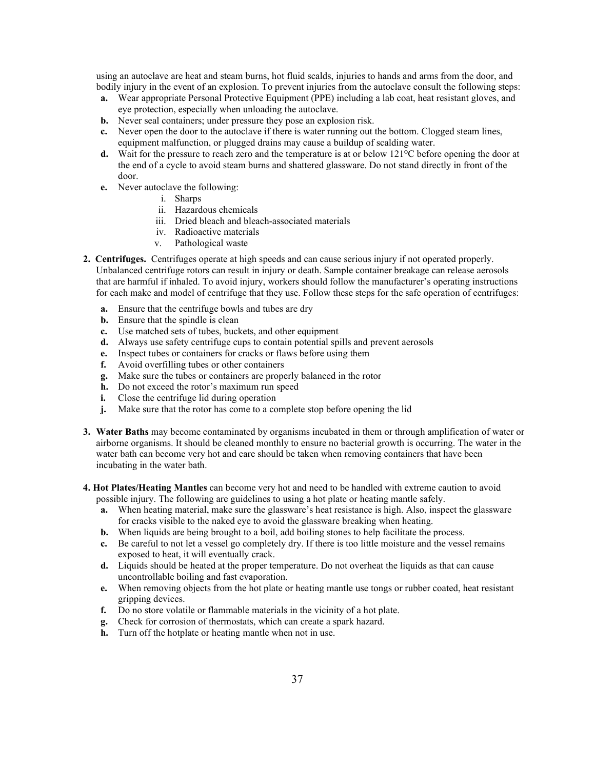using an autoclave are heat and steam burns, hot fluid scalds, injuries to hands and arms from the door, and bodily injury in the event of an explosion. To prevent injuries from the autoclave consult the following steps:

- **a.** Wear appropriate Personal Protective Equipment (PPE) including a lab coat, heat resistant gloves, and eye protection, especially when unloading the autoclave.
- **b.** Never seal containers; under pressure they pose an explosion risk.
- **c.** Never open the door to the autoclave if there is water running out the bottom. Clogged steam lines, equipment malfunction, or plugged drains may cause a buildup of scalding water.
- **d.** Wait for the pressure to reach zero and the temperature is at or below 121**°**C before opening the door at the end of a cycle to avoid steam burns and shattered glassware. Do not stand directly in front of the door.
- **e.** Never autoclave the following:
	- i. Sharps
	- ii. Hazardous chemicals
	- iii. Dried bleach and bleach-associated materials
	- iv. Radioactive materials
	- v. Pathological waste
- **2. Centrifuges.** Centrifuges operate at high speeds and can cause serious injury if not operated properly. Unbalanced centrifuge rotors can result in injury or death. Sample container breakage can release aerosols that are harmful if inhaled. To avoid injury, workers should follow the manufacturer's operating instructions for each make and model of centrifuge that they use. Follow these steps for the safe operation of centrifuges:
	- **a.** Ensure that the centrifuge bowls and tubes are dry
	- **b.** Ensure that the spindle is clean
	- **c.** Use matched sets of tubes, buckets, and other equipment
	- **d.** Always use safety centrifuge cups to contain potential spills and prevent aerosols
	- **e.** Inspect tubes or containers for cracks or flaws before using them
	- **f.** Avoid overfilling tubes or other containers
	- **g.** Make sure the tubes or containers are properly balanced in the rotor
	- **h.** Do not exceed the rotor's maximum run speed
	- **i.** Close the centrifuge lid during operation
	- **j.** Make sure that the rotor has come to a complete stop before opening the lid
- **3. Water Baths** may become contaminated by organisms incubated in them or through amplification of water or airborne organisms. It should be cleaned monthly to ensure no bacterial growth is occurring. The water in the water bath can become very hot and care should be taken when removing containers that have been incubating in the water bath.
- **4. Hot Plates/Heating Mantles** can become very hot and need to be handled with extreme caution to avoid possible injury. The following are guidelines to using a hot plate or heating mantle safely.
	- **a.** When heating material, make sure the glassware's heat resistance is high. Also, inspect the glassware for cracks visible to the naked eye to avoid the glassware breaking when heating.
	- **b.** When liquids are being brought to a boil, add boiling stones to help facilitate the process.
	- **c.** Be careful to not let a vessel go completely dry. If there is too little moisture and the vessel remains exposed to heat, it will eventually crack.
	- **d.** Liquids should be heated at the proper temperature. Do not overheat the liquids as that can cause uncontrollable boiling and fast evaporation.
	- **e.** When removing objects from the hot plate or heating mantle use tongs or rubber coated, heat resistant gripping devices.
	- **f.** Do no store volatile or flammable materials in the vicinity of a hot plate.
	- **g.** Check for corrosion of thermostats, which can create a spark hazard.
	- **h.** Turn off the hotplate or heating mantle when not in use.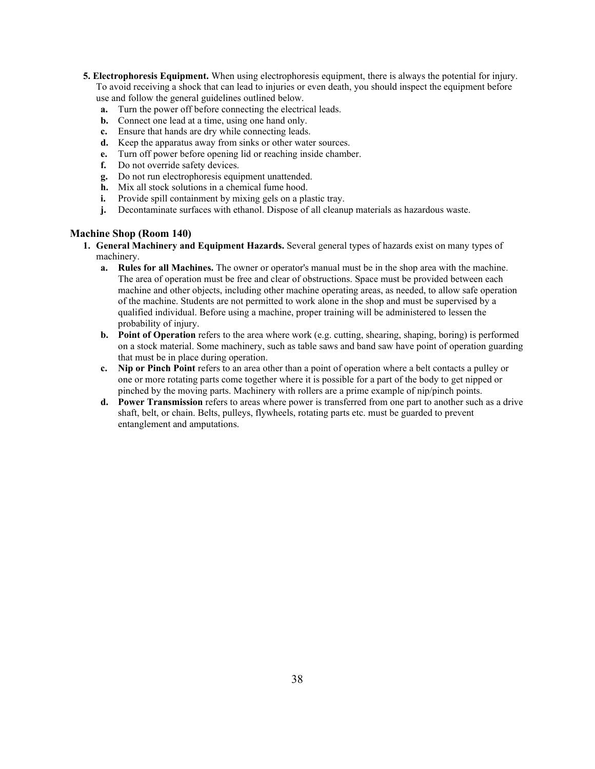- **5. Electrophoresis Equipment.** When using electrophoresis equipment, there is always the potential for injury. To avoid receiving a shock that can lead to injuries or even death, you should inspect the equipment before use and follow the general guidelines outlined below.
	- **a.** Turn the power off before connecting the electrical leads.
	- **b.** Connect one lead at a time, using one hand only.
	- **c.** Ensure that hands are dry while connecting leads.
	- **d.** Keep the apparatus away from sinks or other water sources.
	- **e.** Turn off power before opening lid or reaching inside chamber.
	- **f.** Do not override safety devices.
	- **g.** Do not run electrophoresis equipment unattended.
	- **h.** Mix all stock solutions in a chemical fume hood.
	- **i.** Provide spill containment by mixing gels on a plastic tray.
	- **j.** Decontaminate surfaces with ethanol. Dispose of all cleanup materials as hazardous waste.

# **Machine Shop (Room 140)**

- **1. General Machinery and Equipment Hazards.** Several general types of hazards exist on many types of machinery.
	- **a. Rules for all Machines.** The owner or operator's manual must be in the shop area with the machine. The area of operation must be free and clear of obstructions. Space must be provided between each machine and other objects, including other machine operating areas, as needed, to allow safe operation of the machine. Students are not permitted to work alone in the shop and must be supervised by a qualified individual. Before using a machine, proper training will be administered to lessen the probability of injury.
	- **b. Point of Operation** refers to the area where work (e.g. cutting, shearing, shaping, boring) is performed on a stock material. Some machinery, such as table saws and band saw have point of operation guarding that must be in place during operation.
	- **c. Nip or Pinch Point** refers to an area other than a point of operation where a belt contacts a pulley or one or more rotating parts come together where it is possible for a part of the body to get nipped or pinched by the moving parts. Machinery with rollers are a prime example of nip/pinch points.
	- **d. Power Transmission** refers to areas where power is transferred from one part to another such as a drive shaft, belt, or chain. Belts, pulleys, flywheels, rotating parts etc. must be guarded to prevent entanglement and amputations.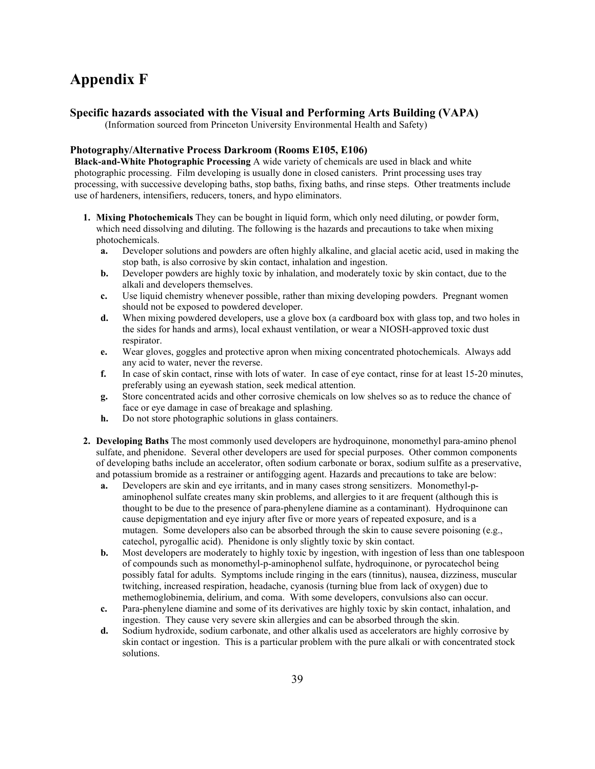# **Appendix F**

# **Specific hazards associated with the Visual and Performing Arts Building (VAPA)**

(Information sourced from Princeton University Environmental Health and Safety)

# **Photography/Alternative Process Darkroom (Rooms E105, E106)**

**Black-and-White Photographic Processing** A wide variety of chemicals are used in black and white photographic processing. Film developing is usually done in closed canisters. Print processing uses tray processing, with successive developing baths, stop baths, fixing baths, and rinse steps. Other treatments include use of hardeners, intensifiers, reducers, toners, and hypo eliminators.

- **1. Mixing Photochemicals** They can be bought in liquid form, which only need diluting, or powder form, which need dissolving and diluting. The following is the hazards and precautions to take when mixing photochemicals.
	- **a.** Developer solutions and powders are often highly alkaline, and glacial acetic acid, used in making the stop bath, is also corrosive by skin contact, inhalation and ingestion.
	- **b.** Developer powders are highly toxic by inhalation, and moderately toxic by skin contact, due to the alkali and developers themselves.
	- **c.** Use liquid chemistry whenever possible, rather than mixing developing powders. Pregnant women should not be exposed to powdered developer.
	- **d.** When mixing powdered developers, use a glove box (a cardboard box with glass top, and two holes in the sides for hands and arms), local exhaust ventilation, or wear a NIOSH-approved toxic dust respirator.
	- **e.** Wear gloves, goggles and protective apron when mixing concentrated photochemicals. Always add any acid to water, never the reverse.
	- **f.** In case of skin contact, rinse with lots of water. In case of eye contact, rinse for at least 15-20 minutes, preferably using an eyewash station, seek medical attention.
	- **g.** Store concentrated acids and other corrosive chemicals on low shelves so as to reduce the chance of face or eye damage in case of breakage and splashing.
	- **h.** Do not store photographic solutions in glass containers.
- **2. Developing Baths** The most commonly used developers are hydroquinone, monomethyl para-amino phenol sulfate, and phenidone. Several other developers are used for special purposes. Other common components of developing baths include an accelerator, often sodium carbonate or borax, sodium sulfite as a preservative, and potassium bromide as a restrainer or antifogging agent. Hazards and precautions to take are below:
	- **a.** Developers are skin and eye irritants, and in many cases strong sensitizers. Monomethyl-paminophenol sulfate creates many skin problems, and allergies to it are frequent (although this is thought to be due to the presence of para-phenylene diamine as a contaminant). Hydroquinone can cause depigmentation and eye injury after five or more years of repeated exposure, and is a mutagen. Some developers also can be absorbed through the skin to cause severe poisoning (e.g., catechol, pyrogallic acid). Phenidone is only slightly toxic by skin contact.
	- **b.** Most developers are moderately to highly toxic by ingestion, with ingestion of less than one tablespoon of compounds such as monomethyl-p-aminophenol sulfate, hydroquinone, or pyrocatechol being possibly fatal for adults. Symptoms include ringing in the ears (tinnitus), nausea, dizziness, muscular twitching, increased respiration, headache, cyanosis (turning blue from lack of oxygen) due to methemoglobinemia, delirium, and coma. With some developers, convulsions also can occur.
	- **c.** Para-phenylene diamine and some of its derivatives are highly toxic by skin contact, inhalation, and ingestion. They cause very severe skin allergies and can be absorbed through the skin.
	- **d.** Sodium hydroxide, sodium carbonate, and other alkalis used as accelerators are highly corrosive by skin contact or ingestion. This is a particular problem with the pure alkali or with concentrated stock solutions.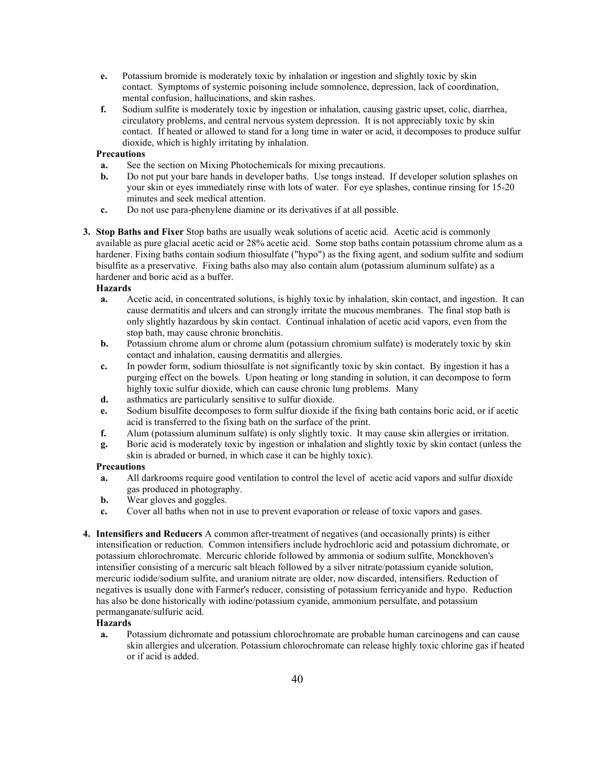- **e.** Potassium bromide is moderately toxic by inhalation or ingestion and slightly toxic by skin contact. Symptoms of systemic poisoning include somnolence, depression, lack of coordination, mental confusion, hallucinations, and skin rashes.
- **f.** Sodium sulfite is moderately toxic by ingestion or inhalation, causing gastric upset, colic, diarrhea, circulatory problems, and central nervous system depression. It is not appreciably toxic by skin contact. If heated or allowed to stand for a long time in water or acid, it decomposes to produce sulfur dioxide, which is highly irritating by inhalation.

# **Precautions**

- **a.** See the section on Mixing Photochemicals for mixing precautions.
- **b.** Do not put your bare hands in developer baths. Use tongs instead. If developer solution splashes on your skin or eyes immediately rinse with lots of water. For eye splashes, continue rinsing for 15-20 minutes and seek medical attention.
- **c.** Do not use para-phenylene diamine or its derivatives if at all possible.
- **3. Stop Baths and Fixer** Stop baths are usually weak solutions of acetic acid. Acetic acid is commonly available as pure glacial acetic acid or 28% acetic acid. Some stop baths contain potassium chrome alum as a hardener. Fixing baths contain sodium thiosulfate ("hypo") as the fixing agent, and sodium sulfite and sodium bisulfite as a preservative. Fixing baths also may also contain alum (potassium aluminum sulfate) as a hardener and boric acid as a buffer.

# **Hazards**

- **a.** Acetic acid, in concentrated solutions, is highly toxic by inhalation, skin contact, and ingestion. It can cause dermatitis and ulcers and can strongly irritate the mucous membranes. The final stop bath is only slightly hazardous by skin contact. Continual inhalation of acetic acid vapors, even from the stop bath, may cause chronic bronchitis.
- **b.** Potassium chrome alum or chrome alum (potassium chromium sulfate) is moderately toxic by skin contact and inhalation, causing dermatitis and allergies.
- **c.** In powder form, sodium thiosulfate is not significantly toxic by skin contact. By ingestion it has a purging effect on the bowels. Upon heating or long standing in solution, it can decompose to form highly toxic sulfur dioxide, which can cause chronic lung problems. Many
- **d.** asthmatics are particularly sensitive to sulfur dioxide.
- **e.** Sodium bisulfite decomposes to form sulfur dioxide if the fixing bath contains boric acid, or if acetic acid is transferred to the fixing bath on the surface of the print.
- **f.** Alum (potassium aluminum sulfate) is only slightly toxic. It may cause skin allergies or irritation.
- **g.** Boric acid is moderately toxic by ingestion or inhalation and slightly toxic by skin contact (unless the skin is abraded or burned, in which case it can be highly toxic).

#### **Precautions**

- **a.** All darkrooms require good ventilation to control the level of acetic acid vapors and sulfur dioxide gas produced in photography.
- **b.** Wear gloves and goggles.
- **c.** Cover all baths when not in use to prevent evaporation or release of toxic vapors and gases.
- **4. Intensifiers and Reducers** A common after-treatment of negatives (and occasionally prints) is either intensification or reduction. Common intensifiers include hydrochloric acid and potassium dichromate, or potassium chlorochromate. Mercuric chloride followed by ammonia or sodium sulfite, Monckhoven's intensifier consisting of a mercuric salt bleach followed by a silver nitrate/potassium cyanide solution, mercuric iodide/sodium sulfite, and uranium nitrate are older, now discarded, intensifiers. Reduction of negatives is usually done with Farmer's reducer, consisting of potassium ferricyanide and hypo. Reduction has also be done historically with iodine/potassium cyanide, ammonium persulfate, and potassium permanganate/sulfuric acid.

# **Hazards**

**a.** Potassium dichromate and potassium chlorochromate are probable human carcinogens and can cause skin allergies and ulceration. Potassium chlorochromate can release highly toxic chlorine gas if heated or if acid is added.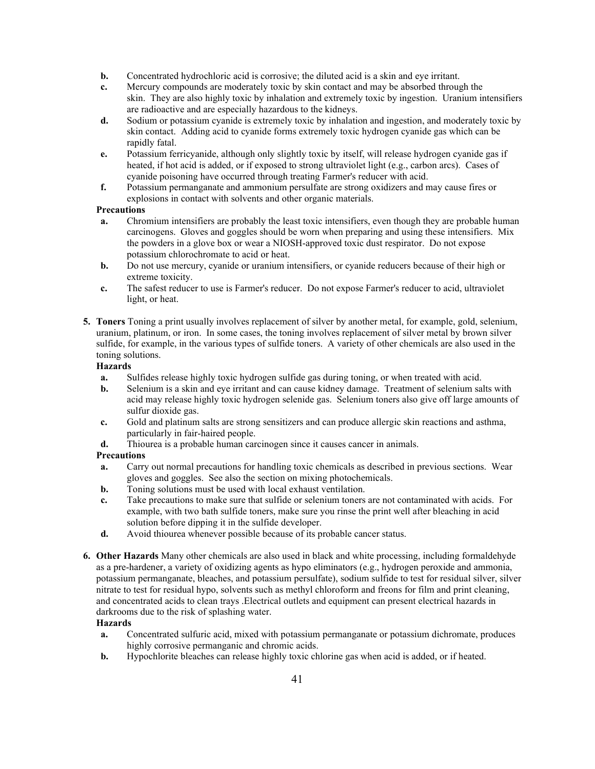- **b.** Concentrated hydrochloric acid is corrosive; the diluted acid is a skin and eye irritant.
- **c.** Mercury compounds are moderately toxic by skin contact and may be absorbed through the skin. They are also highly toxic by inhalation and extremely toxic by ingestion. Uranium intensifiers are radioactive and are especially hazardous to the kidneys.
- **d.** Sodium or potassium cyanide is extremely toxic by inhalation and ingestion, and moderately toxic by skin contact. Adding acid to cyanide forms extremely toxic hydrogen cyanide gas which can be rapidly fatal.
- **e.** Potassium ferricyanide, although only slightly toxic by itself, will release hydrogen cyanide gas if heated, if hot acid is added, or if exposed to strong ultraviolet light (e.g., carbon arcs). Cases of cyanide poisoning have occurred through treating Farmer's reducer with acid.
- **f.** Potassium permanganate and ammonium persulfate are strong oxidizers and may cause fires or explosions in contact with solvents and other organic materials.

# **Precautions**

- **a.** Chromium intensifiers are probably the least toxic intensifiers, even though they are probable human carcinogens. Gloves and goggles should be worn when preparing and using these intensifiers. Mix the powders in a glove box or wear a NIOSH-approved toxic dust respirator. Do not expose potassium chlorochromate to acid or heat.
- **b.** Do not use mercury, cyanide or uranium intensifiers, or cyanide reducers because of their high or extreme toxicity.
- **c.** The safest reducer to use is Farmer's reducer. Do not expose Farmer's reducer to acid, ultraviolet light, or heat.
- **5. Toners** Toning a print usually involves replacement of silver by another metal, for example, gold, selenium, uranium, platinum, or iron. In some cases, the toning involves replacement of silver metal by brown silver sulfide, for example, in the various types of sulfide toners. A variety of other chemicals are also used in the toning solutions.

# **Hazards**

- **a.** Sulfides release highly toxic hydrogen sulfide gas during toning, or when treated with acid.
- **b.** Selenium is a skin and eye irritant and can cause kidney damage. Treatment of selenium salts with acid may release highly toxic hydrogen selenide gas. Selenium toners also give off large amounts of sulfur dioxide gas.
- **c.** Gold and platinum salts are strong sensitizers and can produce allergic skin reactions and asthma, particularly in fair-haired people.
- **d.** Thiourea is a probable human carcinogen since it causes cancer in animals.

# **Precautions**

- **a.** Carry out normal precautions for handling toxic chemicals as described in previous sections. Wear gloves and goggles. See also the section on mixing photochemicals.
- **b.** Toning solutions must be used with local exhaust ventilation.
- **c.** Take precautions to make sure that sulfide or selenium toners are not contaminated with acids. For example, with two bath sulfide toners, make sure you rinse the print well after bleaching in acid solution before dipping it in the sulfide developer.
- **d.** Avoid thiourea whenever possible because of its probable cancer status.
- **6. Other Hazards** Many other chemicals are also used in black and white processing, including formaldehyde as a pre-hardener, a variety of oxidizing agents as hypo eliminators (e.g., hydrogen peroxide and ammonia, potassium permanganate, bleaches, and potassium persulfate), sodium sulfide to test for residual silver, silver nitrate to test for residual hypo, solvents such as methyl chloroform and freons for film and print cleaning, and concentrated acids to clean trays .Electrical outlets and equipment can present electrical hazards in darkrooms due to the risk of splashing water.

#### **Hazards**

- **a.** Concentrated sulfuric acid, mixed with potassium permanganate or potassium dichromate, produces highly corrosive permanganic and chromic acids.
- **b.** Hypochlorite bleaches can release highly toxic chlorine gas when acid is added, or if heated.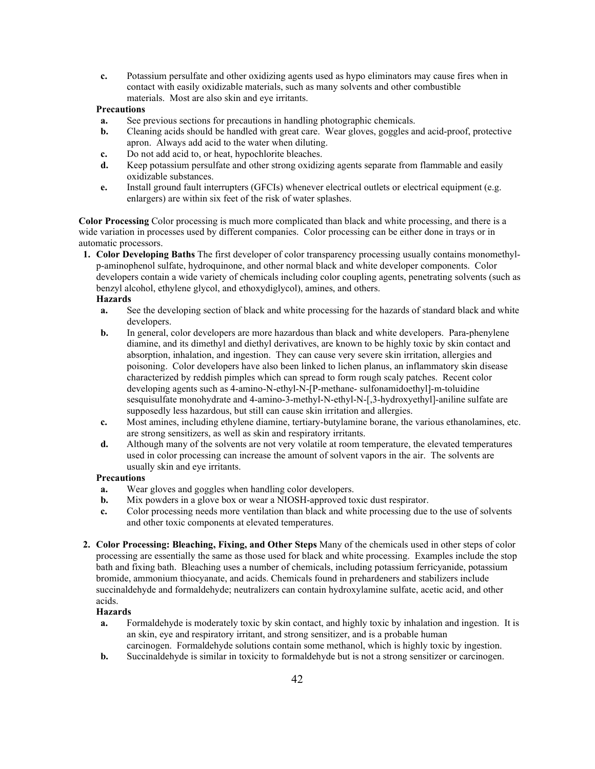**c.** Potassium persulfate and other oxidizing agents used as hypo eliminators may cause fires when in contact with easily oxidizable materials, such as many solvents and other combustible materials. Most are also skin and eye irritants.

#### **Precautions**

- **a.** See previous sections for precautions in handling photographic chemicals.
- **b.** Cleaning acids should be handled with great care. Wear gloves, goggles and acid-proof, protective apron. Always add acid to the water when diluting.
- **c.** Do not add acid to, or heat, hypochlorite bleaches.
- **d.** Keep potassium persulfate and other strong oxidizing agents separate from flammable and easily oxidizable substances.
- **e.** Install ground fault interrupters (GFCIs) whenever electrical outlets or electrical equipment (e.g. enlargers) are within six feet of the risk of water splashes.

**Color Processing** Color processing is much more complicated than black and white processing, and there is a wide variation in processes used by different companies. Color processing can be either done in trays or in automatic processors.

**1. Color Developing Baths** The first developer of color transparency processing usually contains monomethylp-aminophenol sulfate, hydroquinone, and other normal black and white developer components. Color developers contain a wide variety of chemicals including color coupling agents, penetrating solvents (such as benzyl alcohol, ethylene glycol, and ethoxydiglycol), amines, and others.

# **Hazards**

- **a.** See the developing section of black and white processing for the hazards of standard black and white developers.
- **b.** In general, color developers are more hazardous than black and white developers. Para-phenylene diamine, and its dimethyl and diethyl derivatives, are known to be highly toxic by skin contact and absorption, inhalation, and ingestion. They can cause very severe skin irritation, allergies and poisoning. Color developers have also been linked to lichen planus, an inflammatory skin disease characterized by reddish pimples which can spread to form rough scaly patches. Recent color developing agents such as 4-amino-N-ethyl-N-[P-methane- sulfonamidoethyl]-m-toluidine sesquisulfate monohydrate and 4-amino-3-methyl-N-ethyl-N-[,3-hydroxyethyl]-aniline sulfate are supposedly less hazardous, but still can cause skin irritation and allergies.
- **c.** Most amines, including ethylene diamine, tertiary-butylamine borane, the various ethanolamines, etc. are strong sensitizers, as well as skin and respiratory irritants.
- **d.** Although many of the solvents are not very volatile at room temperature, the elevated temperatures used in color processing can increase the amount of solvent vapors in the air. The solvents are usually skin and eye irritants.

#### **Precautions**

- **a.** Wear gloves and goggles when handling color developers.
- **b.** Mix powders in a glove box or wear a NIOSH-approved toxic dust respirator.
- **c.** Color processing needs more ventilation than black and white processing due to the use of solvents and other toxic components at elevated temperatures.
- **2. Color Processing: Bleaching, Fixing, and Other Steps** Many of the chemicals used in other steps of color processing are essentially the same as those used for black and white processing. Examples include the stop bath and fixing bath. Bleaching uses a number of chemicals, including potassium ferricyanide, potassium bromide, ammonium thiocyanate, and acids. Chemicals found in prehardeners and stabilizers include succinaldehyde and formaldehyde; neutralizers can contain hydroxylamine sulfate, acetic acid, and other acids.

#### **Hazards**

- **a.** Formaldehyde is moderately toxic by skin contact, and highly toxic by inhalation and ingestion. It is an skin, eye and respiratory irritant, and strong sensitizer, and is a probable human carcinogen. Formaldehyde solutions contain some methanol, which is highly toxic by ingestion.
- **b.** Succinaldehyde is similar in toxicity to formaldehyde but is not a strong sensitizer or carcinogen.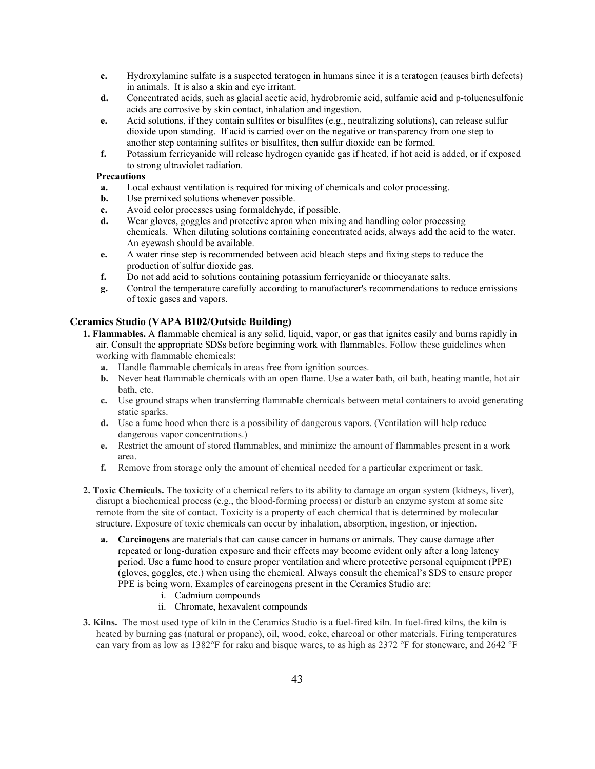- **c.** Hydroxylamine sulfate is a suspected teratogen in humans since it is a teratogen (causes birth defects) in animals. It is also a skin and eye irritant.
- **d.** Concentrated acids, such as glacial acetic acid, hydrobromic acid, sulfamic acid and p-toluenesulfonic acids are corrosive by skin contact, inhalation and ingestion.
- **e.** Acid solutions, if they contain sulfites or bisulfites (e.g., neutralizing solutions), can release sulfur dioxide upon standing. If acid is carried over on the negative or transparency from one step to another step containing sulfites or bisulfites, then sulfur dioxide can be formed.
- **f.** Potassium ferricyanide will release hydrogen cyanide gas if heated, if hot acid is added, or if exposed to strong ultraviolet radiation.

#### **Precautions**

- **a.** Local exhaust ventilation is required for mixing of chemicals and color processing.
- **b.** Use premixed solutions whenever possible.
- **c.** Avoid color processes using formaldehyde, if possible.
- **d.** Wear gloves, goggles and protective apron when mixing and handling color processing chemicals. When diluting solutions containing concentrated acids, always add the acid to the water. An eyewash should be available.
- **e.** A water rinse step is recommended between acid bleach steps and fixing steps to reduce the production of sulfur dioxide gas.
- **f.** Do not add acid to solutions containing potassium ferricyanide or thiocyanate salts.
- **g.** Control the temperature carefully according to manufacturer's recommendations to reduce emissions of toxic gases and vapors.

# **Ceramics Studio (VAPA B102/Outside Building)**

- **1. Flammables.** A flammable chemical is any solid, liquid, vapor, or gas that ignites easily and burns rapidly in air. Consult the appropriate SDSs before beginning work with flammables. Follow these guidelines when working with flammable chemicals:
	- **a.** Handle flammable chemicals in areas free from ignition sources.
	- **b.** Never heat flammable chemicals with an open flame. Use a water bath, oil bath, heating mantle, hot air bath, etc.
	- **c.** Use ground straps when transferring flammable chemicals between metal containers to avoid generating static sparks.
	- **d.** Use a fume hood when there is a possibility of dangerous vapors. (Ventilation will help reduce dangerous vapor concentrations.)
	- **e.** Restrict the amount of stored flammables, and minimize the amount of flammables present in a work area.
	- **f.** Remove from storage only the amount of chemical needed for a particular experiment or task.
- **2. Toxic Chemicals.** The toxicity of a chemical refers to its ability to damage an organ system (kidneys, liver), disrupt a biochemical process (e.g., the blood-forming process) or disturb an enzyme system at some site remote from the site of contact. Toxicity is a property of each chemical that is determined by molecular structure. Exposure of toxic chemicals can occur by inhalation, absorption, ingestion, or injection.
	- **a. Carcinogens** are materials that can cause cancer in humans or animals. They cause damage after repeated or long-duration exposure and their effects may become evident only after a long latency period. Use a fume hood to ensure proper ventilation and where protective personal equipment (PPE) (gloves, goggles, etc.) when using the chemical. Always consult the chemical's SDS to ensure proper PPE is being worn. Examples of carcinogens present in the Ceramics Studio are:
		- i. Cadmium compounds
		- ii. Chromate, hexavalent compounds
- **3. Kilns.** The most used type of kiln in the Ceramics Studio is a fuel-fired kiln. In fuel-fired kilns, the kiln is heated by burning gas (natural or propane), oil, wood, coke, charcoal or other materials. Firing temperatures can vary from as low as 1382°F for raku and bisque wares, to as high as 2372 °F for stoneware, and 2642 °F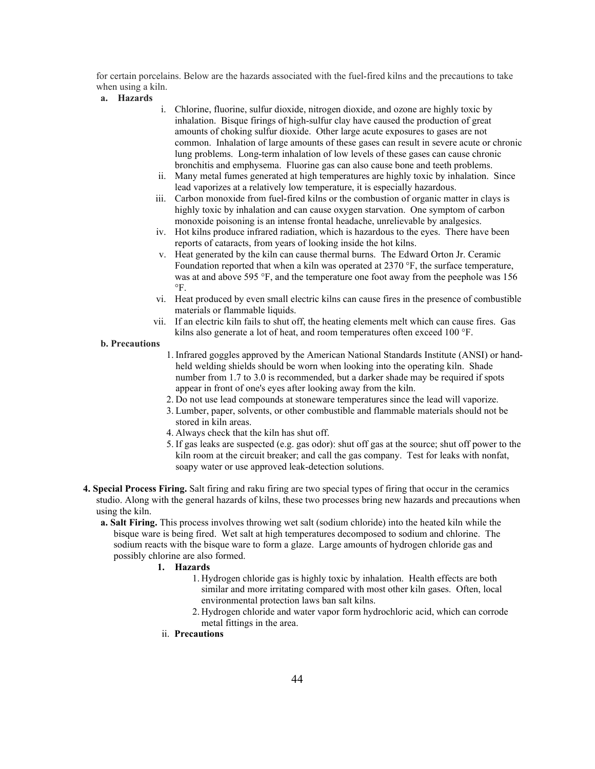for certain porcelains. Below are the hazards associated with the fuel-fired kilns and the precautions to take when using a kiln.

#### **a. Hazards**

- i. Chlorine, fluorine, sulfur dioxide, nitrogen dioxide, and ozone are highly toxic by inhalation. Bisque firings of high-sulfur clay have caused the production of great amounts of choking sulfur dioxide. Other large acute exposures to gases are not common. Inhalation of large amounts of these gases can result in severe acute or chronic lung problems. Long-term inhalation of low levels of these gases can cause chronic bronchitis and emphysema. Fluorine gas can also cause bone and teeth problems.
- ii. Many metal fumes generated at high temperatures are highly toxic by inhalation. Since lead vaporizes at a relatively low temperature, it is especially hazardous.
- iii. Carbon monoxide from fuel-fired kilns or the combustion of organic matter in clays is highly toxic by inhalation and can cause oxygen starvation. One symptom of carbon monoxide poisoning is an intense frontal headache, unrelievable by analgesics.
- iv. Hot kilns produce infrared radiation, which is hazardous to the eyes. There have been reports of cataracts, from years of looking inside the hot kilns.
- v. Heat generated by the kiln can cause thermal burns. The Edward Orton Jr. Ceramic Foundation reported that when a kiln was operated at 2370 °F, the surface temperature, was at and above 595 °F, and the temperature one foot away from the peephole was 156  $\circ$ F.
- vi. Heat produced by even small electric kilns can cause fires in the presence of combustible materials or flammable liquids.
- vii. If an electric kiln fails to shut off, the heating elements melt which can cause fires. Gas kilns also generate a lot of heat, and room temperatures often exceed 100 °F.

- 1. Infrared goggles approved by the American National Standards Institute (ANSI) or handheld welding shields should be worn when looking into the operating kiln. Shade number from 1.7 to 3.0 is recommended, but a darker shade may be required if spots appear in front of one's eyes after looking away from the kiln.
- 2. Do not use lead compounds at stoneware temperatures since the lead will vaporize.
- 3. Lumber, paper, solvents, or other combustible and flammable materials should not be stored in kiln areas.
- 4. Always check that the kiln has shut off.
- 5. If gas leaks are suspected (e.g. gas odor): shut off gas at the source; shut off power to the kiln room at the circuit breaker; and call the gas company. Test for leaks with nonfat, soapy water or use approved leak-detection solutions.
- **4. Special Process Firing.** Salt firing and raku firing are two special types of firing that occur in the ceramics studio. Along with the general hazards of kilns, these two processes bring new hazards and precautions when using the kiln.
	- **a. Salt Firing.** This process involves throwing wet salt (sodium chloride) into the heated kiln while the bisque ware is being fired. Wet salt at high temperatures decomposed to sodium and chlorine. The sodium reacts with the bisque ware to form a glaze. Large amounts of hydrogen chloride gas and possibly chlorine are also formed.
		- **1. Hazards**
			- 1. Hydrogen chloride gas is highly toxic by inhalation. Health effects are both similar and more irritating compared with most other kiln gases. Often, local environmental protection laws ban salt kilns.
			- 2. Hydrogen chloride and water vapor form hydrochloric acid, which can corrode metal fittings in the area.
		- ii. **Precautions**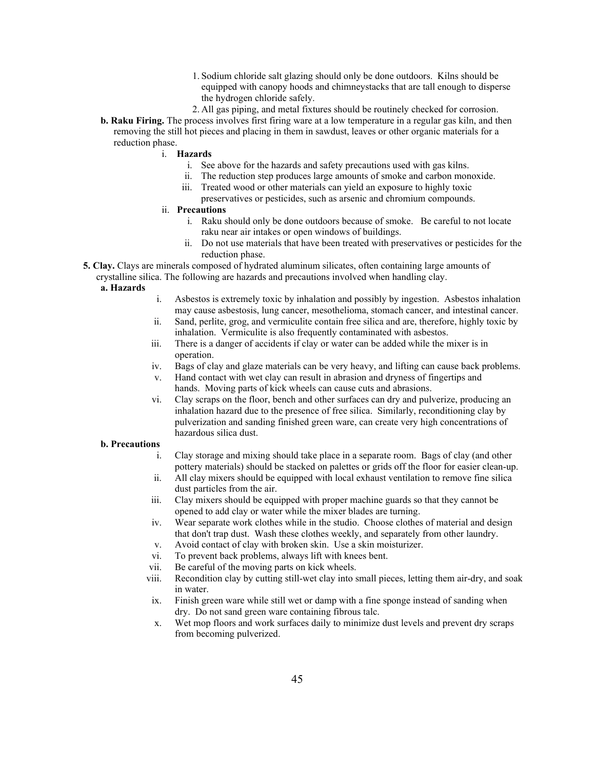- 1. Sodium chloride salt glazing should only be done outdoors. Kilns should be equipped with canopy hoods and chimneystacks that are tall enough to disperse the hydrogen chloride safely.
- 2. All gas piping, and metal fixtures should be routinely checked for corrosion.
- **b. Raku Firing.** The process involves first firing ware at a low temperature in a regular gas kiln, and then removing the still hot pieces and placing in them in sawdust, leaves or other organic materials for a reduction phase.
	- i. **Hazards**
		- i. See above for the hazards and safety precautions used with gas kilns.
		- ii. The reduction step produces large amounts of smoke and carbon monoxide.
		- iii. Treated wood or other materials can yield an exposure to highly toxic preservatives or pesticides, such as arsenic and chromium compounds.
	- ii. **Precautions**
		- i. Raku should only be done outdoors because of smoke. Be careful to not locate raku near air intakes or open windows of buildings.
		- ii. Do not use materials that have been treated with preservatives or pesticides for the reduction phase.
- **5. Clay.** Clays are minerals composed of hydrated aluminum silicates, often containing large amounts of crystalline silica. The following are hazards and precautions involved when handling clay.

## **a. Hazards**

- i. Asbestos is extremely toxic by inhalation and possibly by ingestion. Asbestos inhalation may cause asbestosis, lung cancer, mesothelioma, stomach cancer, and intestinal cancer.
- ii. Sand, perlite, grog, and vermiculite contain free silica and are, therefore, highly toxic by inhalation. Vermiculite is also frequently contaminated with asbestos.
- iii. There is a danger of accidents if clay or water can be added while the mixer is in operation.
- iv. Bags of clay and glaze materials can be very heavy, and lifting can cause back problems.
- v. Hand contact with wet clay can result in abrasion and dryness of fingertips and hands. Moving parts of kick wheels can cause cuts and abrasions.
- vi. Clay scraps on the floor, bench and other surfaces can dry and pulverize, producing an inhalation hazard due to the presence of free silica. Similarly, reconditioning clay by pulverization and sanding finished green ware, can create very high concentrations of hazardous silica dust.

- i. Clay storage and mixing should take place in a separate room. Bags of clay (and other pottery materials) should be stacked on palettes or grids off the floor for easier clean-up.
- ii. All clay mixers should be equipped with local exhaust ventilation to remove fine silica dust particles from the air.
- iii. Clay mixers should be equipped with proper machine guards so that they cannot be opened to add clay or water while the mixer blades are turning.
- iv. Wear separate work clothes while in the studio. Choose clothes of material and design that don't trap dust. Wash these clothes weekly, and separately from other laundry.
- v. Avoid contact of clay with broken skin. Use a skin moisturizer.
- vi. To prevent back problems, always lift with knees bent.
- vii. Be careful of the moving parts on kick wheels.
- viii. Recondition clay by cutting still-wet clay into small pieces, letting them air-dry, and soak in water.
- ix. Finish green ware while still wet or damp with a fine sponge instead of sanding when dry. Do not sand green ware containing fibrous talc.
- x. Wet mop floors and work surfaces daily to minimize dust levels and prevent dry scraps from becoming pulverized.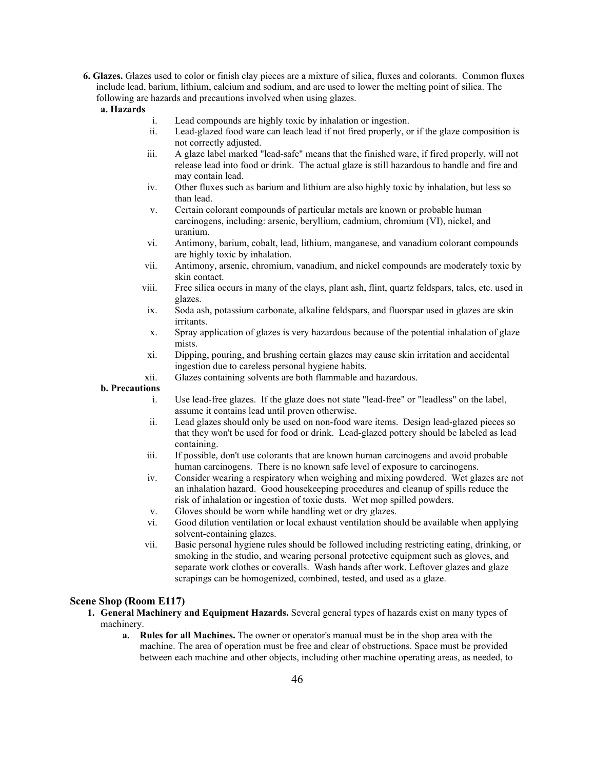- **6. Glazes.** Glazes used to color or finish clay pieces are a mixture of silica, fluxes and colorants. Common fluxes include lead, barium, lithium, calcium and sodium, and are used to lower the melting point of silica. The following are hazards and precautions involved when using glazes.
	- **a. Hazards**
- i. Lead compounds are highly toxic by inhalation or ingestion.
- ii. Lead-glazed food ware can leach lead if not fired properly, or if the glaze composition is not correctly adjusted.
- iii. A glaze label marked "lead-safe" means that the finished ware, if fired properly, will not release lead into food or drink. The actual glaze is still hazardous to handle and fire and may contain lead.
- iv. Other fluxes such as barium and lithium are also highly toxic by inhalation, but less so than lead.
- v. Certain colorant compounds of particular metals are known or probable human carcinogens, including: arsenic, beryllium, cadmium, chromium (VI), nickel, and uranium.
- vi. Antimony, barium, cobalt, lead, lithium, manganese, and vanadium colorant compounds are highly toxic by inhalation.
- vii. Antimony, arsenic, chromium, vanadium, and nickel compounds are moderately toxic by skin contact.
- viii. Free silica occurs in many of the clays, plant ash, flint, quartz feldspars, talcs, etc. used in glazes.
- ix. Soda ash, potassium carbonate, alkaline feldspars, and fluorspar used in glazes are skin irritants.
- x. Spray application of glazes is very hazardous because of the potential inhalation of glaze mists.
- xi. Dipping, pouring, and brushing certain glazes may cause skin irritation and accidental ingestion due to careless personal hygiene habits.
- xii. Glazes containing solvents are both flammable and hazardous.

- i. Use lead-free glazes. If the glaze does not state "lead-free" or "leadless" on the label, assume it contains lead until proven otherwise.
- ii. Lead glazes should only be used on non-food ware items. Design lead-glazed pieces so that they won't be used for food or drink. Lead-glazed pottery should be labeled as lead containing.
- iii. If possible, don't use colorants that are known human carcinogens and avoid probable human carcinogens. There is no known safe level of exposure to carcinogens.
- iv. Consider wearing a respiratory when weighing and mixing powdered. Wet glazes are not an inhalation hazard. Good housekeeping procedures and cleanup of spills reduce the risk of inhalation or ingestion of toxic dusts. Wet mop spilled powders.
- v. Gloves should be worn while handling wet or dry glazes.
- vi. Good dilution ventilation or local exhaust ventilation should be available when applying solvent-containing glazes.
- vii. Basic personal hygiene rules should be followed including restricting eating, drinking, or smoking in the studio, and wearing personal protective equipment such as gloves, and separate work clothes or coveralls. Wash hands after work. Leftover glazes and glaze scrapings can be homogenized, combined, tested, and used as a glaze.

#### **Scene Shop (Room E117)**

- **1. General Machinery and Equipment Hazards.** Several general types of hazards exist on many types of machinery.
	- **a. Rules for all Machines.** The owner or operator's manual must be in the shop area with the machine. The area of operation must be free and clear of obstructions. Space must be provided between each machine and other objects, including other machine operating areas, as needed, to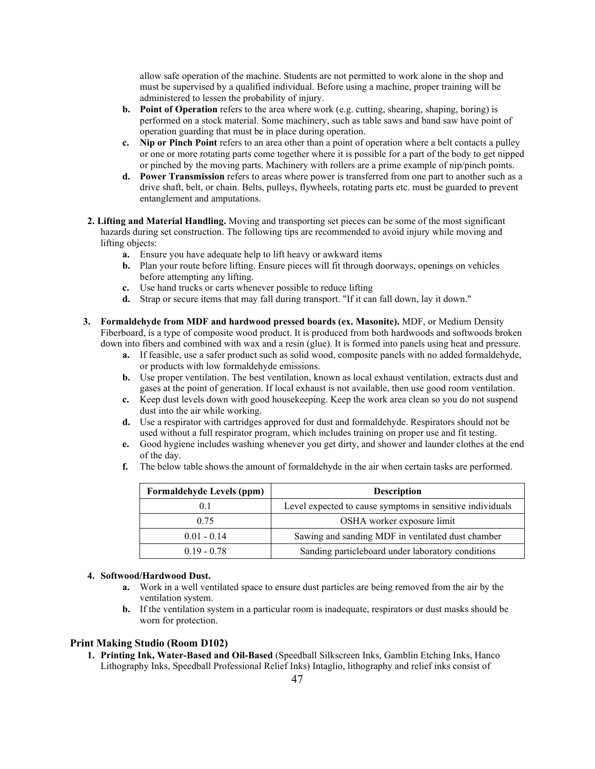allow safe operation of the machine. Students are not permitted to work alone in the shop and must be supervised by a qualified individual. Before using a machine, proper training will be administered to lessen the probability of injury.

- **b. Point of Operation** refers to the area where work (e.g. cutting, shearing, shaping, boring) is performed on a stock material. Some machinery, such as table saws and band saw have point of operation guarding that must be in place during operation.
- **c. Nip or Pinch Point** refers to an area other than a point of operation where a belt contacts a pulley or one or more rotating parts come together where it is possible for a part of the body to get nipped or pinched by the moving parts. Machinery with rollers are a prime example of nip/pinch points.
- **d. Power Transmission** refers to areas where power is transferred from one part to another such as a drive shaft, belt, or chain. Belts, pulleys, flywheels, rotating parts etc. must be guarded to prevent entanglement and amputations.
- **2. Lifting and Material Handling.** Moving and transporting set pieces can be some of the most significant hazards during set construction. The following tips are recommended to avoid injury while moving and lifting objects:
	- **a.** Ensure you have adequate help to lift heavy or awkward items
	- **b.** Plan your route before lifting. Ensure pieces will fit through doorways, openings on vehicles before attempting any lifting.
	- **c.** Use hand trucks or carts whenever possible to reduce lifting
	- **d.** Strap or secure items that may fall during transport. "If it can fall down, lay it down."
- **3. Formaldehyde from MDF and hardwood pressed boards (ex. Masonite).** MDF, or Medium Density Fiberboard, is a type of composite wood product. It is produced from both hardwoods and softwoods broken down into fibers and combined with wax and a resin (glue). It is formed into panels using heat and pressure.
	- **a.** If feasible, use a safer product such as solid wood, composite panels with no added formaldehyde, or products with low formaldehyde emissions.
	- **b.** Use proper ventilation. The best ventilation, known as local exhaust ventilation, extracts dust and gases at the point of generation. If local exhaust is not available, then use good room ventilation.
	- **c.** Keep dust levels down with good housekeeping. Keep the work area clean so you do not suspend dust into the air while working.
	- **d.** Use a respirator with cartridges approved for dust and formaldehyde. Respirators should not be used without a full respirator program, which includes training on proper use and fit testing.
	- **e.** Good hygiene includes washing whenever you get dirty, and shower and launder clothes at the end of the day.
	- **f.** The below table shows the amount of formaldehyde in the air when certain tasks are performed.

| <b>Formaldehyde Levels (ppm)</b> | <b>Description</b>                                        |
|----------------------------------|-----------------------------------------------------------|
| 0.1                              | Level expected to cause symptoms in sensitive individuals |
| 0.75                             | OSHA worker exposure limit                                |
| $0.01 - 0.14$                    | Sawing and sanding MDF in ventilated dust chamber         |
| $0.19 - 0.78$                    | Sanding particleboard under laboratory conditions         |

## **4. Softwood/Hardwood Dust.**

- **a.** Work in a well ventilated space to ensure dust particles are being removed from the air by the ventilation system.
- **b.** If the ventilation system in a particular room is inadequate, respirators or dust masks should be worn for protection.

#### **Print Making Studio (Room D102)**

**1. Printing Ink, Water-Based and Oil-Based** (Speedball Silkscreen Inks, Gamblin Etching Inks, Hanco Lithography Inks, Speedball Professional Relief Inks) Intaglio, lithography and relief inks consist of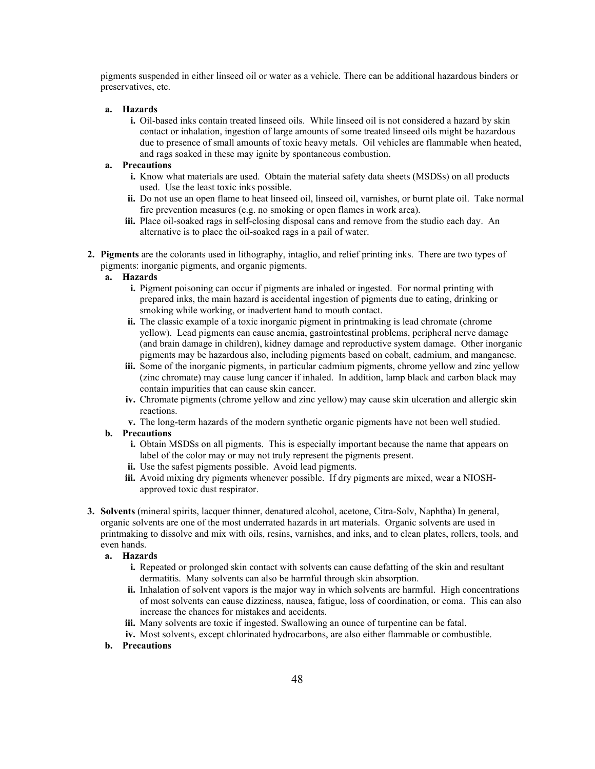pigments suspended in either linseed oil or water as a vehicle. There can be additional hazardous binders or preservatives, etc.

#### **a. Hazards**

**i.** Oil-based inks contain treated linseed oils. While linseed oil is not considered a hazard by skin contact or inhalation, ingestion of large amounts of some treated linseed oils might be hazardous due to presence of small amounts of toxic heavy metals. Oil vehicles are flammable when heated, and rags soaked in these may ignite by spontaneous combustion.

# **a. Precautions**

- **i.** Know what materials are used. Obtain the material safety data sheets (MSDSs) on all products used. Use the least toxic inks possible.
- **ii.** Do not use an open flame to heat linseed oil, linseed oil, varnishes, or burnt plate oil. Take normal fire prevention measures (e.g. no smoking or open flames in work area).
- **iii.** Place oil-soaked rags in self-closing disposal cans and remove from the studio each day. An alternative is to place the oil-soaked rags in a pail of water.
- **2. Pigments** are the colorants used in lithography, intaglio, and relief printing inks. There are two types of pigments: inorganic pigments, and organic pigments.

# **a. Hazards**

- **i.** Pigment poisoning can occur if pigments are inhaled or ingested. For normal printing with prepared inks, the main hazard is accidental ingestion of pigments due to eating, drinking or smoking while working, or inadvertent hand to mouth contact.
- **ii.** The classic example of a toxic inorganic pigment in printmaking is lead chromate (chrome yellow). Lead pigments can cause anemia, gastrointestinal problems, peripheral nerve damage (and brain damage in children), kidney damage and reproductive system damage. Other inorganic pigments may be hazardous also, including pigments based on cobalt, cadmium, and manganese.
- **iii.** Some of the inorganic pigments, in particular cadmium pigments, chrome yellow and zinc yellow (zinc chromate) may cause lung cancer if inhaled. In addition, lamp black and carbon black may contain impurities that can cause skin cancer.
- **iv.** Chromate pigments (chrome yellow and zinc yellow) may cause skin ulceration and allergic skin reactions.
- **v.** The long-term hazards of the modern synthetic organic pigments have not been well studied.

## **b. Precautions**

- **i.** Obtain MSDSs on all pigments. This is especially important because the name that appears on label of the color may or may not truly represent the pigments present.
- **ii.** Use the safest pigments possible. Avoid lead pigments.
- **iii.** Avoid mixing dry pigments whenever possible. If dry pigments are mixed, wear a NIOSHapproved toxic dust respirator.
- **3. Solvents** (mineral spirits, lacquer thinner, denatured alcohol, acetone, Citra-Solv, Naphtha) In general, organic solvents are one of the most underrated hazards in art materials. Organic solvents are used in printmaking to dissolve and mix with oils, resins, varnishes, and inks, and to clean plates, rollers, tools, and even hands.

#### **a. Hazards**

- **i.** Repeated or prolonged skin contact with solvents can cause defatting of the skin and resultant dermatitis. Many solvents can also be harmful through skin absorption.
- **ii.** Inhalation of solvent vapors is the major way in which solvents are harmful. High concentrations of most solvents can cause dizziness, nausea, fatigue, loss of coordination, or coma. This can also increase the chances for mistakes and accidents.
- **iii.** Many solvents are toxic if ingested. Swallowing an ounce of turpentine can be fatal.
- **iv.** Most solvents, except chlorinated hydrocarbons, are also either flammable or combustible.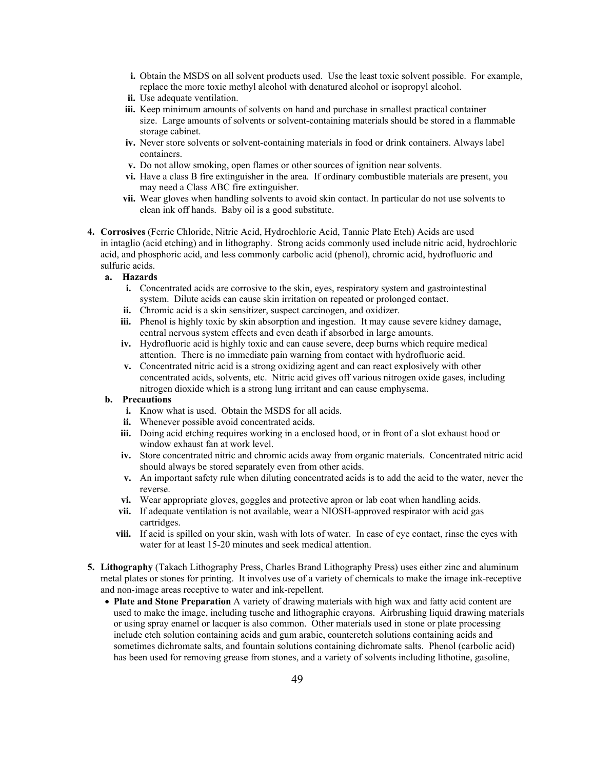- **i.** Obtain the MSDS on all solvent products used. Use the least toxic solvent possible. For example, replace the more toxic methyl alcohol with denatured alcohol or isopropyl alcohol.
- **ii.** Use adequate ventilation.
- **iii.** Keep minimum amounts of solvents on hand and purchase in smallest practical container size. Large amounts of solvents or solvent-containing materials should be stored in a flammable storage cabinet.
- **iv.** Never store solvents or solvent-containing materials in food or drink containers. Always label containers.
- **v.** Do not allow smoking, open flames or other sources of ignition near solvents.
- **vi.** Have a class B fire extinguisher in the area. If ordinary combustible materials are present, you may need a Class ABC fire extinguisher.
- **vii.** Wear gloves when handling solvents to avoid skin contact. In particular do not use solvents to clean ink off hands. Baby oil is a good substitute.
- **4. Corrosives** (Ferric Chloride, Nitric Acid, Hydrochloric Acid, Tannic Plate Etch) Acids are used in intaglio (acid etching) and in lithography. Strong acids commonly used include nitric acid, hydrochloric acid, and phosphoric acid, and less commonly carbolic acid (phenol), chromic acid, hydrofluoric and sulfuric acids.

# **a. Hazards**

- **i.** Concentrated acids are corrosive to the skin, eyes, respiratory system and gastrointestinal system. Dilute acids can cause skin irritation on repeated or prolonged contact.
- **ii.** Chromic acid is a skin sensitizer, suspect carcinogen, and oxidizer.
- **iii.** Phenol is highly toxic by skin absorption and ingestion. It may cause severe kidney damage, central nervous system effects and even death if absorbed in large amounts.
- **iv.** Hydrofluoric acid is highly toxic and can cause severe, deep burns which require medical attention. There is no immediate pain warning from contact with hydrofluoric acid.
- **v.** Concentrated nitric acid is a strong oxidizing agent and can react explosively with other concentrated acids, solvents, etc. Nitric acid gives off various nitrogen oxide gases, including nitrogen dioxide which is a strong lung irritant and can cause emphysema.

- **i.** Know what is used. Obtain the MSDS for all acids.
- **ii.** Whenever possible avoid concentrated acids.
- **iii.** Doing acid etching requires working in a enclosed hood, or in front of a slot exhaust hood or window exhaust fan at work level.
- **iv.** Store concentrated nitric and chromic acids away from organic materials. Concentrated nitric acid should always be stored separately even from other acids.
- **v.** An important safety rule when diluting concentrated acids is to add the acid to the water, never the reverse.
- **vi.** Wear appropriate gloves, goggles and protective apron or lab coat when handling acids.
- **vii.** If adequate ventilation is not available, wear a NIOSH-approved respirator with acid gas cartridges.
- **viii.** If acid is spilled on your skin, wash with lots of water. In case of eye contact, rinse the eyes with water for at least 15-20 minutes and seek medical attention.
- **5. Lithography** (Takach Lithography Press, Charles Brand Lithography Press) uses either zinc and aluminum metal plates or stones for printing. It involves use of a variety of chemicals to make the image ink-receptive and non-image areas receptive to water and ink-repellent.
	- **Plate and Stone Preparation** A variety of drawing materials with high wax and fatty acid content are used to make the image, including tusche and lithographic crayons. Airbrushing liquid drawing materials or using spray enamel or lacquer is also common. Other materials used in stone or plate processing include etch solution containing acids and gum arabic, counteretch solutions containing acids and sometimes dichromate salts, and fountain solutions containing dichromate salts. Phenol (carbolic acid) has been used for removing grease from stones, and a variety of solvents including lithotine, gasoline,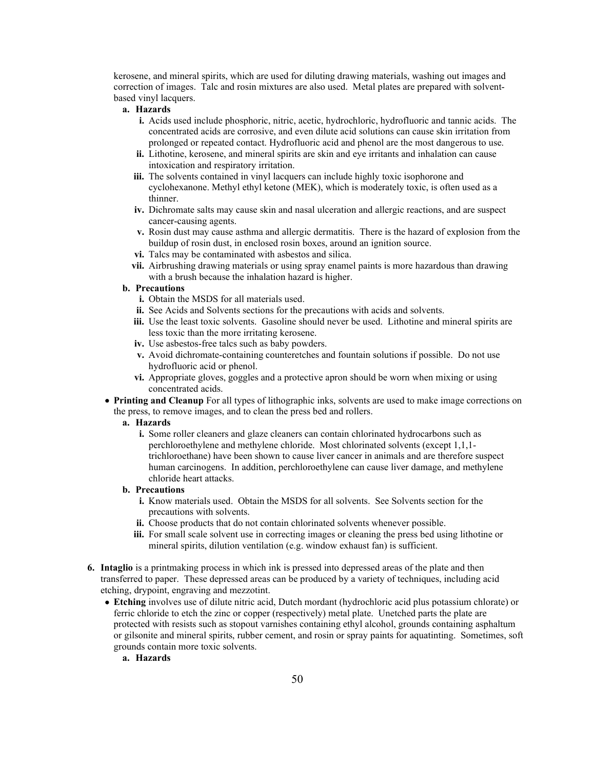kerosene, and mineral spirits, which are used for diluting drawing materials, washing out images and correction of images. Talc and rosin mixtures are also used. Metal plates are prepared with solventbased vinyl lacquers.

# **a. Hazards**

- **i.** Acids used include phosphoric, nitric, acetic, hydrochloric, hydrofluoric and tannic acids. The concentrated acids are corrosive, and even dilute acid solutions can cause skin irritation from prolonged or repeated contact. Hydrofluoric acid and phenol are the most dangerous to use.
- **ii.** Lithotine, kerosene, and mineral spirits are skin and eye irritants and inhalation can cause intoxication and respiratory irritation.
- **iii.** The solvents contained in vinyl lacquers can include highly toxic isophorone and cyclohexanone. Methyl ethyl ketone (MEK), which is moderately toxic, is often used as a thinner.
- **iv.** Dichromate salts may cause skin and nasal ulceration and allergic reactions, and are suspect cancer-causing agents.
- **v.** Rosin dust may cause asthma and allergic dermatitis. There is the hazard of explosion from the buildup of rosin dust, in enclosed rosin boxes, around an ignition source.
- **vi.** Talcs may be contaminated with asbestos and silica.
- **vii.** Airbrushing drawing materials or using spray enamel paints is more hazardous than drawing with a brush because the inhalation hazard is higher.

## **b. Precautions**

- **i.** Obtain the MSDS for all materials used.
- **ii.** See Acids and Solvents sections for the precautions with acids and solvents.
- **iii.** Use the least toxic solvents. Gasoline should never be used. Lithotine and mineral spirits are less toxic than the more irritating kerosene.
- **iv.** Use asbestos-free talcs such as baby powders.
- **v.** Avoid dichromate-containing counteretches and fountain solutions if possible. Do not use hydrofluoric acid or phenol.
- **vi.** Appropriate gloves, goggles and a protective apron should be worn when mixing or using concentrated acids.

• **Printing and Cleanup** For all types of lithographic inks, solvents are used to make image corrections on the press, to remove images, and to clean the press bed and rollers.

#### **a. Hazards**

**i.** Some roller cleaners and glaze cleaners can contain chlorinated hydrocarbons such as perchloroethylene and methylene chloride. Most chlorinated solvents (except 1,1,1 trichloroethane) have been shown to cause liver cancer in animals and are therefore suspect human carcinogens. In addition, perchloroethylene can cause liver damage, and methylene chloride heart attacks.

- **i.** Know materials used. Obtain the MSDS for all solvents. See Solvents section for the precautions with solvents.
- **ii.** Choose products that do not contain chlorinated solvents whenever possible.
- **iii.** For small scale solvent use in correcting images or cleaning the press bed using lithotine or mineral spirits, dilution ventilation (e.g. window exhaust fan) is sufficient.
- **6. Intaglio** is a printmaking process in which ink is pressed into depressed areas of the plate and then transferred to paper. These depressed areas can be produced by a variety of techniques, including acid etching, drypoint, engraving and mezzotint.
	- **Etching** involves use of dilute nitric acid, Dutch mordant (hydrochloric acid plus potassium chlorate) or ferric chloride to etch the zinc or copper (respectively) metal plate. Unetched parts the plate are protected with resists such as stopout varnishes containing ethyl alcohol, grounds containing asphaltum or gilsonite and mineral spirits, rubber cement, and rosin or spray paints for aquatinting. Sometimes, soft grounds contain more toxic solvents.
		- **a. Hazards**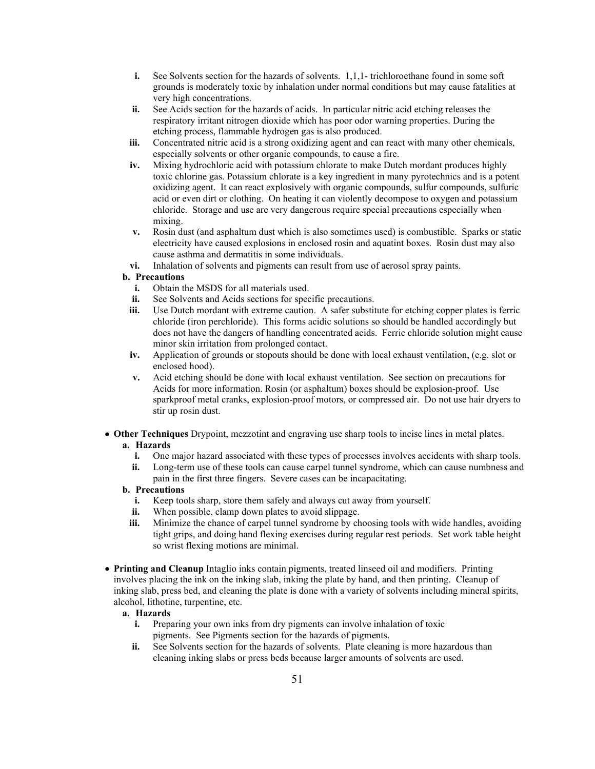- **i.** See Solvents section for the hazards of solvents. 1,1,1- trichloroethane found in some soft grounds is moderately toxic by inhalation under normal conditions but may cause fatalities at very high concentrations.
- **ii.** See Acids section for the hazards of acids. In particular nitric acid etching releases the respiratory irritant nitrogen dioxide which has poor odor warning properties. During the etching process, flammable hydrogen gas is also produced.
- **iii.** Concentrated nitric acid is a strong oxidizing agent and can react with many other chemicals, especially solvents or other organic compounds, to cause a fire.
- **iv.** Mixing hydrochloric acid with potassium chlorate to make Dutch mordant produces highly toxic chlorine gas. Potassium chlorate is a key ingredient in many pyrotechnics and is a potent oxidizing agent. It can react explosively with organic compounds, sulfur compounds, sulfuric acid or even dirt or clothing. On heating it can violently decompose to oxygen and potassium chloride. Storage and use are very dangerous require special precautions especially when mixing.
- **v.** Rosin dust (and asphaltum dust which is also sometimes used) is combustible. Sparks or static electricity have caused explosions in enclosed rosin and aquatint boxes. Rosin dust may also cause asthma and dermatitis in some individuals.
- **vi.** Inhalation of solvents and pigments can result from use of aerosol spray paints.

- **i.** Obtain the MSDS for all materials used.
- **ii.** See Solvents and Acids sections for specific precautions.
- **iii.** Use Dutch mordant with extreme caution. A safer substitute for etching copper plates is ferric chloride (iron perchloride). This forms acidic solutions so should be handled accordingly but does not have the dangers of handling concentrated acids. Ferric chloride solution might cause minor skin irritation from prolonged contact.
- **iv.** Application of grounds or stopouts should be done with local exhaust ventilation, (e.g. slot or enclosed hood).
- **v.** Acid etching should be done with local exhaust ventilation. See section on precautions for Acids for more information. Rosin (or asphaltum) boxes should be explosion-proof. Use sparkproof metal cranks, explosion-proof motors, or compressed air. Do not use hair dryers to stir up rosin dust.
- **Other Techniques** Drypoint, mezzotint and engraving use sharp tools to incise lines in metal plates. **a. Hazards**
	- **i.** One major hazard associated with these types of processes involves accidents with sharp tools.
	- **ii.** Long-term use of these tools can cause carpel tunnel syndrome, which can cause numbness and pain in the first three fingers. Severe cases can be incapacitating.

## **b. Precautions**

- **i.** Keep tools sharp, store them safely and always cut away from yourself.
- **ii.** When possible, clamp down plates to avoid slippage.
- **iii.** Minimize the chance of carpel tunnel syndrome by choosing tools with wide handles, avoiding tight grips, and doing hand flexing exercises during regular rest periods. Set work table height so wrist flexing motions are minimal.
- **Printing and Cleanup** Intaglio inks contain pigments, treated linseed oil and modifiers. Printing involves placing the ink on the inking slab, inking the plate by hand, and then printing. Cleanup of inking slab, press bed, and cleaning the plate is done with a variety of solvents including mineral spirits, alcohol, lithotine, turpentine, etc.

#### **a. Hazards**

- **i.** Preparing your own inks from dry pigments can involve inhalation of toxic pigments. See Pigments section for the hazards of pigments.
- **ii.** See Solvents section for the hazards of solvents. Plate cleaning is more hazardous than cleaning inking slabs or press beds because larger amounts of solvents are used.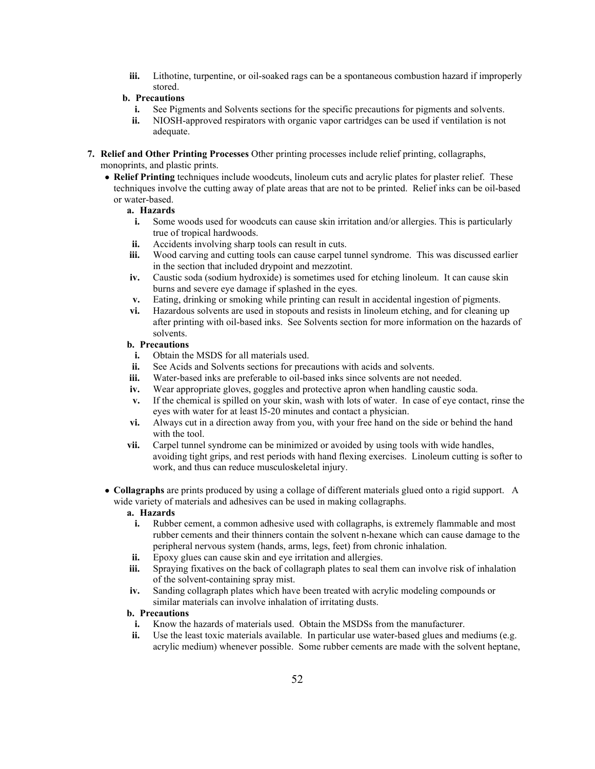**iii.** Lithotine, turpentine, or oil-soaked rags can be a spontaneous combustion hazard if improperly stored.

# **b. Precautions**

- **i.** See Pigments and Solvents sections for the specific precautions for pigments and solvents.
- **ii.** NIOSH-approved respirators with organic vapor cartridges can be used if ventilation is not adequate.
- **7. Relief and Other Printing Processes** Other printing processes include relief printing, collagraphs, monoprints, and plastic prints.
	- **Relief Printing** techniques include woodcuts, linoleum cuts and acrylic plates for plaster relief. These techniques involve the cutting away of plate areas that are not to be printed. Relief inks can be oil-based or water-based.

# **a. Hazards**

- **i.** Some woods used for woodcuts can cause skin irritation and/or allergies. This is particularly true of tropical hardwoods.
- **ii.** Accidents involving sharp tools can result in cuts.
- **iii.** Wood carving and cutting tools can cause carpel tunnel syndrome. This was discussed earlier in the section that included drypoint and mezzotint.
- **iv.** Caustic soda (sodium hydroxide) is sometimes used for etching linoleum. It can cause skin burns and severe eye damage if splashed in the eyes.
- **v.** Eating, drinking or smoking while printing can result in accidental ingestion of pigments.
- **vi.** Hazardous solvents are used in stopouts and resists in linoleum etching, and for cleaning up after printing with oil-based inks. See Solvents section for more information on the hazards of solvents.

# **b. Precautions**

- **i.** Obtain the MSDS for all materials used.
- **ii.** See Acids and Solvents sections for precautions with acids and solvents.
- **iii.** Water-based inks are preferable to oil-based inks since solvents are not needed.
- **iv.** Wear appropriate gloves, goggles and protective apron when handling caustic soda.
- **v.** If the chemical is spilled on your skin, wash with lots of water. In case of eye contact, rinse the eyes with water for at least l5-20 minutes and contact a physician.
- **vi.** Always cut in a direction away from you, with your free hand on the side or behind the hand with the tool.
- **vii.** Carpel tunnel syndrome can be minimized or avoided by using tools with wide handles, avoiding tight grips, and rest periods with hand flexing exercises. Linoleum cutting is softer to work, and thus can reduce musculoskeletal injury.
- **Collagraphs** are prints produced by using a collage of different materials glued onto a rigid support. A wide variety of materials and adhesives can be used in making collagraphs.

# **a. Hazards**

- **i.** Rubber cement, a common adhesive used with collagraphs, is extremely flammable and most rubber cements and their thinners contain the solvent n-hexane which can cause damage to the peripheral nervous system (hands, arms, legs, feet) from chronic inhalation.
- **ii.** Epoxy glues can cause skin and eye irritation and allergies.
- **iii.** Spraying fixatives on the back of collagraph plates to seal them can involve risk of inhalation of the solvent-containing spray mist.
- **iv.** Sanding collagraph plates which have been treated with acrylic modeling compounds or similar materials can involve inhalation of irritating dusts.

- **i.** Know the hazards of materials used. Obtain the MSDSs from the manufacturer.
- **ii.** Use the least toxic materials available. In particular use water-based glues and mediums (e.g. acrylic medium) whenever possible. Some rubber cements are made with the solvent heptane,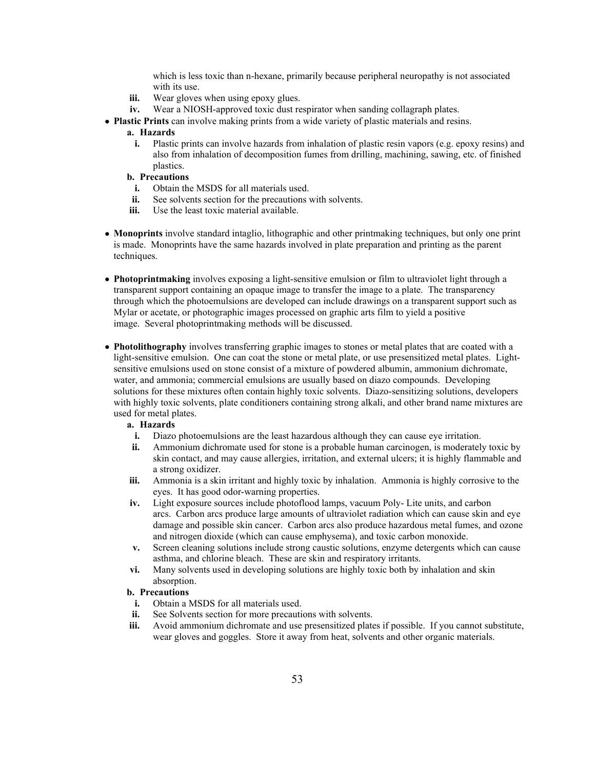which is less toxic than n-hexane, primarily because peripheral neuropathy is not associated with its use.

- **iii.** Wear gloves when using epoxy glues.
- **iv.** Wear a NIOSH-approved toxic dust respirator when sanding collagraph plates.
- **Plastic Prints** can involve making prints from a wide variety of plastic materials and resins.

#### **a. Hazards**

- **i.** Plastic prints can involve hazards from inhalation of plastic resin vapors (e.g. epoxy resins) and also from inhalation of decomposition fumes from drilling, machining, sawing, etc. of finished plastics.
- **b. Precautions**
	- **i.** Obtain the MSDS for all materials used.
- **ii.** See solvents section for the precautions with solvents.
- **iii.** Use the least toxic material available.
- **Monoprints** involve standard intaglio, lithographic and other printmaking techniques, but only one print is made. Monoprints have the same hazards involved in plate preparation and printing as the parent techniques.
- **Photoprintmaking** involves exposing a light-sensitive emulsion or film to ultraviolet light through a transparent support containing an opaque image to transfer the image to a plate. The transparency through which the photoemulsions are developed can include drawings on a transparent support such as Mylar or acetate, or photographic images processed on graphic arts film to yield a positive image. Several photoprintmaking methods will be discussed.
- **Photolithography** involves transferring graphic images to stones or metal plates that are coated with a light-sensitive emulsion. One can coat the stone or metal plate, or use presensitized metal plates. Lightsensitive emulsions used on stone consist of a mixture of powdered albumin, ammonium dichromate, water, and ammonia; commercial emulsions are usually based on diazo compounds. Developing solutions for these mixtures often contain highly toxic solvents. Diazo-sensitizing solutions, developers with highly toxic solvents, plate conditioners containing strong alkali, and other brand name mixtures are used for metal plates.

#### **a. Hazards**

- **i.** Diazo photoemulsions are the least hazardous although they can cause eye irritation.
- **ii.** Ammonium dichromate used for stone is a probable human carcinogen, is moderately toxic by skin contact, and may cause allergies, irritation, and external ulcers; it is highly flammable and a strong oxidizer.
- **iii.** Ammonia is a skin irritant and highly toxic by inhalation. Ammonia is highly corrosive to the eyes. It has good odor-warning properties.
- **iv.** Light exposure sources include photoflood lamps, vacuum Poly- Lite units, and carbon arcs. Carbon arcs produce large amounts of ultraviolet radiation which can cause skin and eye damage and possible skin cancer. Carbon arcs also produce hazardous metal fumes, and ozone and nitrogen dioxide (which can cause emphysema), and toxic carbon monoxide.
- **v.** Screen cleaning solutions include strong caustic solutions, enzyme detergents which can cause asthma, and chlorine bleach. These are skin and respiratory irritants.
- **vi.** Many solvents used in developing solutions are highly toxic both by inhalation and skin absorption.

- **i.** Obtain a MSDS for all materials used.
- **ii.** See Solvents section for more precautions with solvents.
- **iii.** Avoid ammonium dichromate and use presensitized plates if possible. If you cannot substitute, wear gloves and goggles. Store it away from heat, solvents and other organic materials.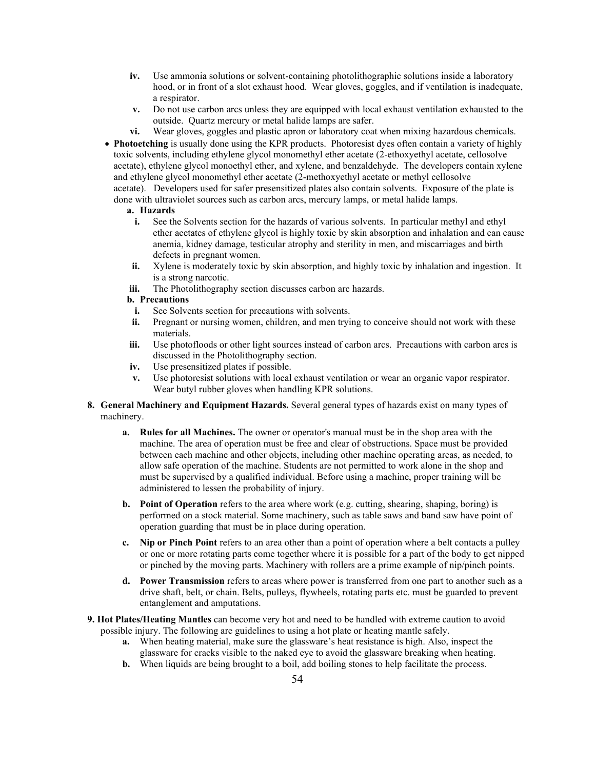- **iv.** Use ammonia solutions or solvent-containing photolithographic solutions inside a laboratory hood, or in front of a slot exhaust hood. Wear gloves, goggles, and if ventilation is inadequate, a respirator.
- **v.** Do not use carbon arcs unless they are equipped with local exhaust ventilation exhausted to the outside. Quartz mercury or metal halide lamps are safer.
- **vi.** Wear gloves, goggles and plastic apron or laboratory coat when mixing hazardous chemicals.
- **Photoetching** is usually done using the KPR products. Photoresist dyes often contain a variety of highly toxic solvents, including ethylene glycol monomethyl ether acetate (2-ethoxyethyl acetate, cellosolve acetate), ethylene glycol monoethyl ether, and xylene, and benzaldehyde. The developers contain xylene and ethylene glycol monomethyl ether acetate (2-methoxyethyl acetate or methyl cellosolve acetate). Developers used for safer presensitized plates also contain solvents. Exposure of the plate is done with ultraviolet sources such as carbon arcs, mercury lamps, or metal halide lamps.

#### **a. Hazards**

- **i.** See the Solvents section for the hazards of various solvents. In particular methyl and ethyl ether acetates of ethylene glycol is highly toxic by skin absorption and inhalation and can cause anemia, kidney damage, testicular atrophy and sterility in men, and miscarriages and birth defects in pregnant women.
- **ii.** Xylene is moderately toxic by skin absorption, and highly toxic by inhalation and ingestion. It is a strong narcotic.
- **iii.** The Photolithography [s](https://ehs.princeton.edu/health-safety-the-campus-community/art-theater-safety/art-safety/lithography-and-relief-printing#Photolithography)ection discusses carbon arc hazards.

- **i.** See Solvents section for precautions with solvents.
- **ii.** Pregnant or nursing women, children, and men trying to conceive should not work with these materials.
- **iii.** Use photofloods or other light sources instead of carbon arcs. Precautions with carbon arcs is discussed in the Photolithography section.
- **iv.** Use presensitized plates if possible.
- **v.** Use photoresist solutions with local exhaust ventilation or wear an organic vapor respirator. Wear butyl rubber gloves when handling KPR solutions.
- **8. General Machinery and Equipment Hazards.** Several general types of hazards exist on many types of machinery.
	- **a. Rules for all Machines.** The owner or operator's manual must be in the shop area with the machine. The area of operation must be free and clear of obstructions. Space must be provided between each machine and other objects, including other machine operating areas, as needed, to allow safe operation of the machine. Students are not permitted to work alone in the shop and must be supervised by a qualified individual. Before using a machine, proper training will be administered to lessen the probability of injury.
	- **b. Point of Operation** refers to the area where work (e.g. cutting, shearing, shaping, boring) is performed on a stock material. Some machinery, such as table saws and band saw have point of operation guarding that must be in place during operation.
	- **c. Nip or Pinch Point** refers to an area other than a point of operation where a belt contacts a pulley or one or more rotating parts come together where it is possible for a part of the body to get nipped or pinched by the moving parts. Machinery with rollers are a prime example of nip/pinch points.
	- **d. Power Transmission** refers to areas where power is transferred from one part to another such as a drive shaft, belt, or chain. Belts, pulleys, flywheels, rotating parts etc. must be guarded to prevent entanglement and amputations.
- **9. Hot Plates/Heating Mantles** can become very hot and need to be handled with extreme caution to avoid possible injury. The following are guidelines to using a hot plate or heating mantle safely.
	- **a.** When heating material, make sure the glassware's heat resistance is high. Also, inspect the glassware for cracks visible to the naked eye to avoid the glassware breaking when heating.
	- **b.** When liquids are being brought to a boil, add boiling stones to help facilitate the process.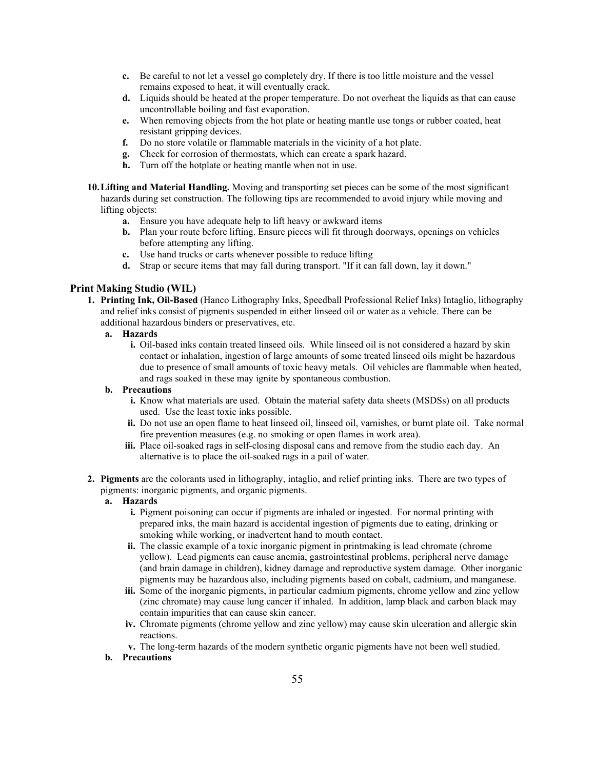- **c.** Be careful to not let a vessel go completely dry. If there is too little moisture and the vessel remains exposed to heat, it will eventually crack.
- **d.** Liquids should be heated at the proper temperature. Do not overheat the liquids as that can cause uncontrollable boiling and fast evaporation.
- **e.** When removing objects from the hot plate or heating mantle use tongs or rubber coated, heat resistant gripping devices.
- **f.** Do no store volatile or flammable materials in the vicinity of a hot plate.
- **g.** Check for corrosion of thermostats, which can create a spark hazard.
- **h.** Turn off the hotplate or heating mantle when not in use.
- **10.Lifting and Material Handling.** Moving and transporting set pieces can be some of the most significant hazards during set construction. The following tips are recommended to avoid injury while moving and lifting objects:
	- **a.** Ensure you have adequate help to lift heavy or awkward items
	- **b.** Plan your route before lifting. Ensure pieces will fit through doorways, openings on vehicles before attempting any lifting.
	- **c.** Use hand trucks or carts whenever possible to reduce lifting
	- **d.** Strap or secure items that may fall during transport. "If it can fall down, lay it down."

# **Print Making Studio (WIL)**

- **1. Printing Ink, Oil-Based** (Hanco Lithography Inks, Speedball Professional Relief Inks) Intaglio, lithography and relief inks consist of pigments suspended in either linseed oil or water as a vehicle. There can be additional hazardous binders or preservatives, etc.
	- **a. Hazards**
		- **i.** Oil-based inks contain treated linseed oils. While linseed oil is not considered a hazard by skin contact or inhalation, ingestion of large amounts of some treated linseed oils might be hazardous due to presence of small amounts of toxic heavy metals. Oil vehicles are flammable when heated, and rags soaked in these may ignite by spontaneous combustion.

## **b. Precautions**

- **i.** Know what materials are used. Obtain the material safety data sheets (MSDSs) on all products used. Use the least toxic inks possible.
- **ii.** Do not use an open flame to heat linseed oil, linseed oil, varnishes, or burnt plate oil. Take normal fire prevention measures (e.g. no smoking or open flames in work area).
- **iii.** Place oil-soaked rags in self-closing disposal cans and remove from the studio each day. An alternative is to place the oil-soaked rags in a pail of water.
- **2. Pigments** are the colorants used in lithography, intaglio, and relief printing inks. There are two types of pigments: inorganic pigments, and organic pigments.

## **a. Hazards**

- **i.** Pigment poisoning can occur if pigments are inhaled or ingested. For normal printing with prepared inks, the main hazard is accidental ingestion of pigments due to eating, drinking or smoking while working, or inadvertent hand to mouth contact.
- **ii.** The classic example of a toxic inorganic pigment in printmaking is lead chromate (chrome yellow). Lead pigments can cause anemia, gastrointestinal problems, peripheral nerve damage (and brain damage in children), kidney damage and reproductive system damage. Other inorganic pigments may be hazardous also, including pigments based on cobalt, cadmium, and manganese.
- **iii.** Some of the inorganic pigments, in particular cadmium pigments, chrome yellow and zinc yellow (zinc chromate) may cause lung cancer if inhaled. In addition, lamp black and carbon black may contain impurities that can cause skin cancer.
- **iv.** Chromate pigments (chrome yellow and zinc yellow) may cause skin ulceration and allergic skin reactions.
- **v.** The long-term hazards of the modern synthetic organic pigments have not been well studied.
- **b. Precautions**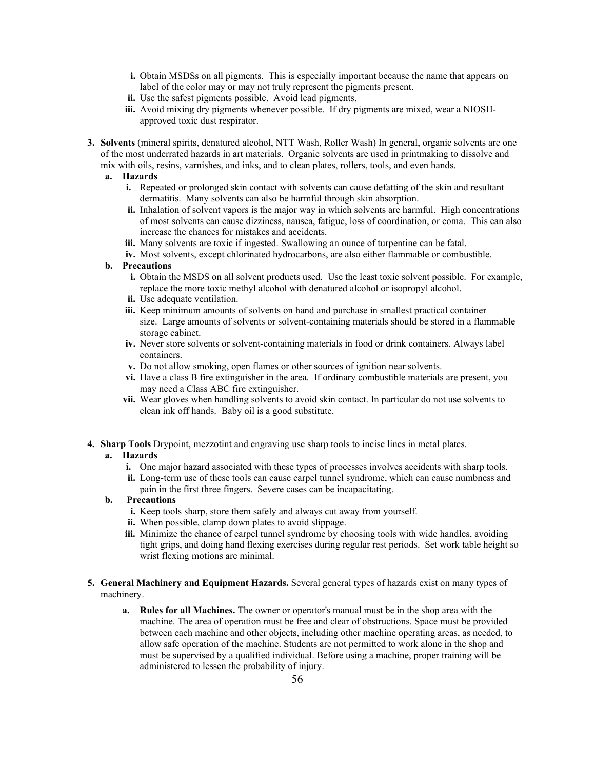- **i.** Obtain MSDSs on all pigments. This is especially important because the name that appears on label of the color may or may not truly represent the pigments present.
- **ii.** Use the safest pigments possible. Avoid lead pigments.
- **iii.** Avoid mixing dry pigments whenever possible. If dry pigments are mixed, wear a NIOSHapproved toxic dust respirator.
- **3. Solvents** (mineral spirits, denatured alcohol, NTT Wash, Roller Wash) In general, organic solvents are one of the most underrated hazards in art materials. Organic solvents are used in printmaking to dissolve and mix with oils, resins, varnishes, and inks, and to clean plates, rollers, tools, and even hands.
	- **a. Hazards**
		- **i.** Repeated or prolonged skin contact with solvents can cause defatting of the skin and resultant dermatitis. Many solvents can also be harmful through skin absorption.
		- **ii.** Inhalation of solvent vapors is the major way in which solvents are harmful. High concentrations of most solvents can cause dizziness, nausea, fatigue, loss of coordination, or coma. This can also increase the chances for mistakes and accidents.
		- **iii.** Many solvents are toxic if ingested. Swallowing an ounce of turpentine can be fatal.
		- **iv.** Most solvents, except chlorinated hydrocarbons, are also either flammable or combustible.

- **i.** Obtain the MSDS on all solvent products used. Use the least toxic solvent possible. For example, replace the more toxic methyl alcohol with denatured alcohol or isopropyl alcohol.
- **ii.** Use adequate ventilation.
- **iii.** Keep minimum amounts of solvents on hand and purchase in smallest practical container size. Large amounts of solvents or solvent-containing materials should be stored in a flammable storage cabinet.
- **iv.** Never store solvents or solvent-containing materials in food or drink containers. Always label containers.
- **v.** Do not allow smoking, open flames or other sources of ignition near solvents.
- **vi.** Have a class B fire extinguisher in the area. If ordinary combustible materials are present, you may need a Class ABC fire extinguisher.
- **vii.** Wear gloves when handling solvents to avoid skin contact. In particular do not use solvents to clean ink off hands. Baby oil is a good substitute.
- **4. Sharp Tools** Drypoint, mezzotint and engraving use sharp tools to incise lines in metal plates.

#### **a. Hazards**

- **i.** One major hazard associated with these types of processes involves accidents with sharp tools.
- **ii.** Long-term use of these tools can cause carpel tunnel syndrome, which can cause numbness and pain in the first three fingers. Severe cases can be incapacitating.

- **i.** Keep tools sharp, store them safely and always cut away from yourself.
- **ii.** When possible, clamp down plates to avoid slippage.
- **iii.** Minimize the chance of carpel tunnel syndrome by choosing tools with wide handles, avoiding tight grips, and doing hand flexing exercises during regular rest periods. Set work table height so wrist flexing motions are minimal.
- **5. General Machinery and Equipment Hazards.** Several general types of hazards exist on many types of machinery.
	- **a. Rules for all Machines.** The owner or operator's manual must be in the shop area with the machine. The area of operation must be free and clear of obstructions. Space must be provided between each machine and other objects, including other machine operating areas, as needed, to allow safe operation of the machine. Students are not permitted to work alone in the shop and must be supervised by a qualified individual. Before using a machine, proper training will be administered to lessen the probability of injury.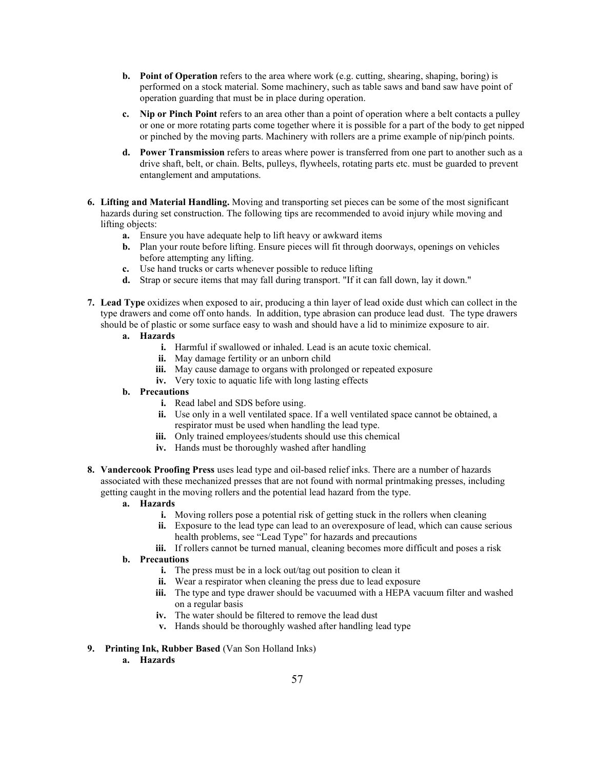- **b. Point of Operation** refers to the area where work (e.g. cutting, shearing, shaping, boring) is performed on a stock material. Some machinery, such as table saws and band saw have point of operation guarding that must be in place during operation.
- **c. Nip or Pinch Point** refers to an area other than a point of operation where a belt contacts a pulley or one or more rotating parts come together where it is possible for a part of the body to get nipped or pinched by the moving parts. Machinery with rollers are a prime example of nip/pinch points.
- **d. Power Transmission** refers to areas where power is transferred from one part to another such as a drive shaft, belt, or chain. Belts, pulleys, flywheels, rotating parts etc. must be guarded to prevent entanglement and amputations.
- **6. Lifting and Material Handling.** Moving and transporting set pieces can be some of the most significant hazards during set construction. The following tips are recommended to avoid injury while moving and lifting objects:
	- **a.** Ensure you have adequate help to lift heavy or awkward items
	- **b.** Plan your route before lifting. Ensure pieces will fit through doorways, openings on vehicles before attempting any lifting.
	- **c.** Use hand trucks or carts whenever possible to reduce lifting
	- **d.** Strap or secure items that may fall during transport. "If it can fall down, lay it down."
- **7. Lead Type** oxidizes when exposed to air, producing a thin layer of lead oxide dust which can collect in the type drawers and come off onto hands. In addition, type abrasion can produce lead dust. The type drawers should be of plastic or some surface easy to wash and should have a lid to minimize exposure to air.
	- **a. Hazards**
		- **i.** Harmful if swallowed or inhaled. Lead is an acute toxic chemical.
		- **ii.** May damage fertility or an unborn child
		- iii. May cause damage to organs with prolonged or repeated exposure
		- **iv.** Very toxic to aquatic life with long lasting effects

- **i.** Read label and SDS before using.
- **ii.** Use only in a well ventilated space. If a well ventilated space cannot be obtained, a respirator must be used when handling the lead type.
- **iii.** Only trained employees/students should use this chemical
- **iv.** Hands must be thoroughly washed after handling
- **8. Vandercook Proofing Press** uses lead type and oil-based relief inks. There are a number of hazards associated with these mechanized presses that are not found with normal printmaking presses, including getting caught in the moving rollers and the potential lead hazard from the type.

#### **a. Hazards**

- **i.** Moving rollers pose a potential risk of getting stuck in the rollers when cleaning
- **ii.** Exposure to the lead type can lead to an overexposure of lead, which can cause serious health problems, see "Lead Type" for hazards and precautions
- **iii.** If rollers cannot be turned manual, cleaning becomes more difficult and poses a risk
- **b. Precautions**
	- **i.** The press must be in a lock out/tag out position to clean it
	- **ii.** Wear a respirator when cleaning the press due to lead exposure
	- **iii.** The type and type drawer should be vacuumed with a HEPA vacuum filter and washed on a regular basis
	- **iv.** The water should be filtered to remove the lead dust
	- **v.** Hands should be thoroughly washed after handling lead type

#### **9. Printing Ink, Rubber Based** (Van Son Holland Inks)

**a. Hazards**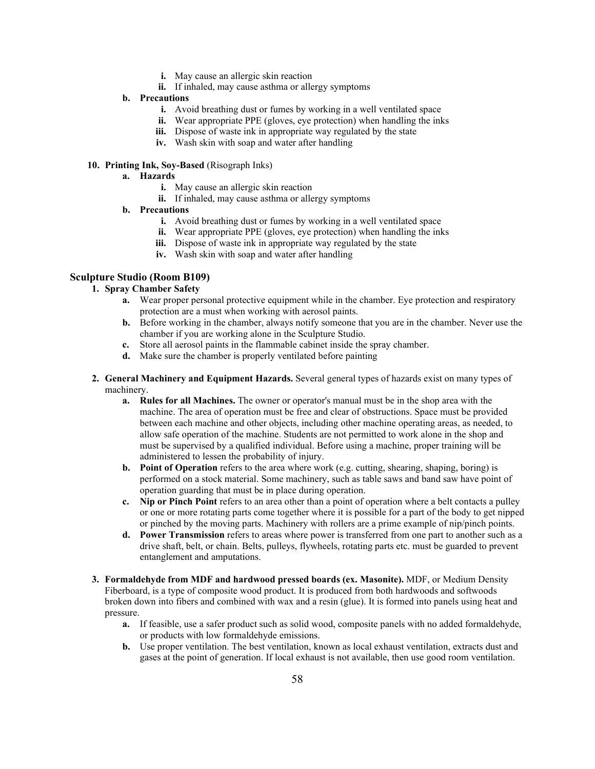- **i.** May cause an allergic skin reaction
- **ii.** If inhaled, may cause asthma or allergy symptoms

- **i.** Avoid breathing dust or fumes by working in a well ventilated space
- **ii.** Wear appropriate PPE (gloves, eve protection) when handling the inks
- **iii.** Dispose of waste ink in appropriate way regulated by the state
- **iv.** Wash skin with soap and water after handling

# **10. Printing Ink, Soy-Based** (Risograph Inks)

- **a. Hazards**
	- **i.** May cause an allergic skin reaction
	- **ii.** If inhaled, may cause asthma or allergy symptoms
- **b. Precautions**
	- **i.** Avoid breathing dust or fumes by working in a well ventilated space
	- **ii.** Wear appropriate PPE (gloves, eye protection) when handling the inks
	- **iii.** Dispose of waste ink in appropriate way regulated by the state
	- **iv.** Wash skin with soap and water after handling

# **Sculpture Studio (Room B109)**

# **1. Spray Chamber Safety**

- **a.** Wear proper personal protective equipment while in the chamber. Eye protection and respiratory protection are a must when working with aerosol paints.
- **b.** Before working in the chamber, always notify someone that you are in the chamber. Never use the chamber if you are working alone in the Sculpture Studio.
- **c.** Store all aerosol paints in the flammable cabinet inside the spray chamber.
- **d.** Make sure the chamber is properly ventilated before painting
- **2. General Machinery and Equipment Hazards.** Several general types of hazards exist on many types of machinery.
	- **a. Rules for all Machines.** The owner or operator's manual must be in the shop area with the machine. The area of operation must be free and clear of obstructions. Space must be provided between each machine and other objects, including other machine operating areas, as needed, to allow safe operation of the machine. Students are not permitted to work alone in the shop and must be supervised by a qualified individual. Before using a machine, proper training will be administered to lessen the probability of injury.
	- **b. Point of Operation** refers to the area where work (e.g. cutting, shearing, shaping, boring) is performed on a stock material. Some machinery, such as table saws and band saw have point of operation guarding that must be in place during operation.
	- **c. Nip or Pinch Point** refers to an area other than a point of operation where a belt contacts a pulley or one or more rotating parts come together where it is possible for a part of the body to get nipped or pinched by the moving parts. Machinery with rollers are a prime example of nip/pinch points.
	- **d. Power Transmission** refers to areas where power is transferred from one part to another such as a drive shaft, belt, or chain. Belts, pulleys, flywheels, rotating parts etc. must be guarded to prevent entanglement and amputations.
- **3. Formaldehyde from MDF and hardwood pressed boards (ex. Masonite).** MDF, or Medium Density Fiberboard, is a type of composite wood product. It is produced from both hardwoods and softwoods broken down into fibers and combined with wax and a resin (glue). It is formed into panels using heat and pressure.
	- **a.** If feasible, use a safer product such as solid wood, composite panels with no added formaldehyde, or products with low formaldehyde emissions.
	- **b.** Use proper ventilation. The best ventilation, known as local exhaust ventilation, extracts dust and gases at the point of generation. If local exhaust is not available, then use good room ventilation.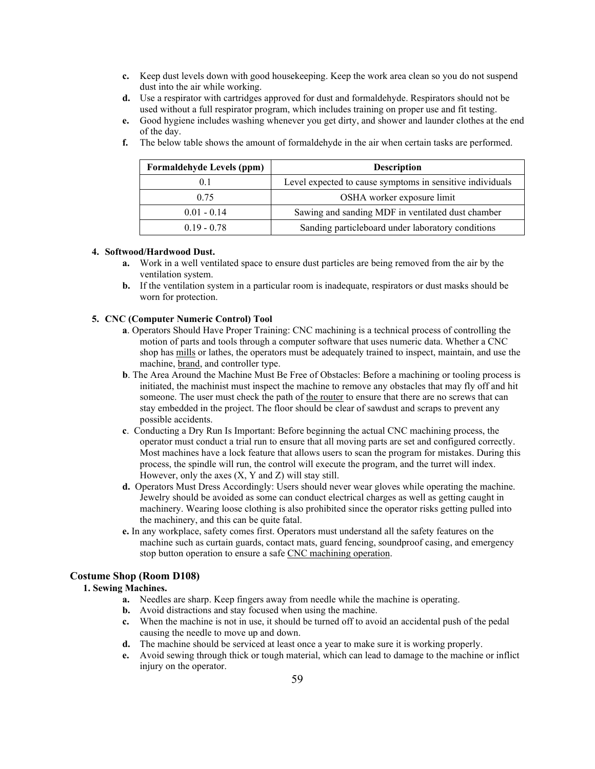- **c.** Keep dust levels down with good housekeeping. Keep the work area clean so you do not suspend dust into the air while working.
- **d.** Use a respirator with cartridges approved for dust and formaldehyde. Respirators should not be used without a full respirator program, which includes training on proper use and fit testing.
- **e.** Good hygiene includes washing whenever you get dirty, and shower and launder clothes at the end of the day.

| <b>Formaldehyde Levels (ppm)</b> | <b>Description</b>                                        |
|----------------------------------|-----------------------------------------------------------|
| 0.1                              | Level expected to cause symptoms in sensitive individuals |
| 0.75                             | OSHA worker exposure limit                                |
| $0.01 - 0.14$                    | Sawing and sanding MDF in ventilated dust chamber         |
| $0.19 - 0.78$                    | Sanding particleboard under laboratory conditions         |

**f.** The below table shows the amount of formaldehyde in the air when certain tasks are performed.

## **4. Softwood/Hardwood Dust.**

- **a.** Work in a well ventilated space to ensure dust particles are being removed from the air by the ventilation system.
- **b.** If the ventilation system in a particular room is inadequate, respirators or dust masks should be worn for protection.

#### **5. CNC (Computer Numeric Control) Tool**

- **a**. Operators Should Have Proper Training: CNC machining is a technical process of controlling the motion of parts and tools through a computer software that uses numeric data. Whether a CNC shop has [mills](http://www.cmsna.com/machining-capabilities/cnc-mills-c-56_61.html) or lathes, the operators must be adequately trained to inspect, maintain, and use the machine, [brand,](http://www.cmsna.com/cnc-machines/brands-c-54_201.html) and controller type.
- **b**. The Area Around the Machine Must Be Free of Obstacles: Before a machining or tooling process is initiated, the machinist must inspect the machine to remove any obstacles that may fly off and hit someone. The user must check the path of [the router](http://www.cmsna.com/machining-capabilities/cnc-routers-c-56_60.html) to ensure that there are no screws that can stay embedded in the project. The floor should be clear of sawdust and scraps to prevent any possible accidents.
- **c**. Conducting a Dry Run Is Important: Before beginning the actual CNC machining process, the operator must conduct a trial run to ensure that all moving parts are set and configured correctly. Most machines have a lock feature that allows users to scan the program for mistakes. During this process, the spindle will run, the control will execute the program, and the turret will index. However, only the axes (X, Y and Z) will stay still.
- **d.** Operators Must Dress Accordingly: Users should never wear gloves while operating the machine. Jewelry should be avoided as some can conduct electrical charges as well as getting caught in machinery. Wearing loose clothing is also prohibited since the operator risks getting pulled into the machinery, and this can be quite fatal.
- **e.** In any workplace, safety comes first. Operators must understand all the safety features on the machine such as curtain guards, contact mats, guard fencing, soundproof casing, and emergency stop button operation to ensure a safe [CNC machining operation.](http://www.cmsna.com/machining-capabilities/brief-history-cnc-machining-c-56_68.html)

# **Costume Shop (Room D108)**

# **1. Sewing Machines.**

- **a.** Needles are sharp. Keep fingers away from needle while the machine is operating.
- **b.** Avoid distractions and stay focused when using the machine.
- **c.** When the machine is not in use, it should be turned off to avoid an accidental push of the pedal causing the needle to move up and down.
- **d.** The machine should be serviced at least once a year to make sure it is working properly.
- **e.** Avoid sewing through thick or tough material, which can lead to damage to the machine or inflict injury on the operator.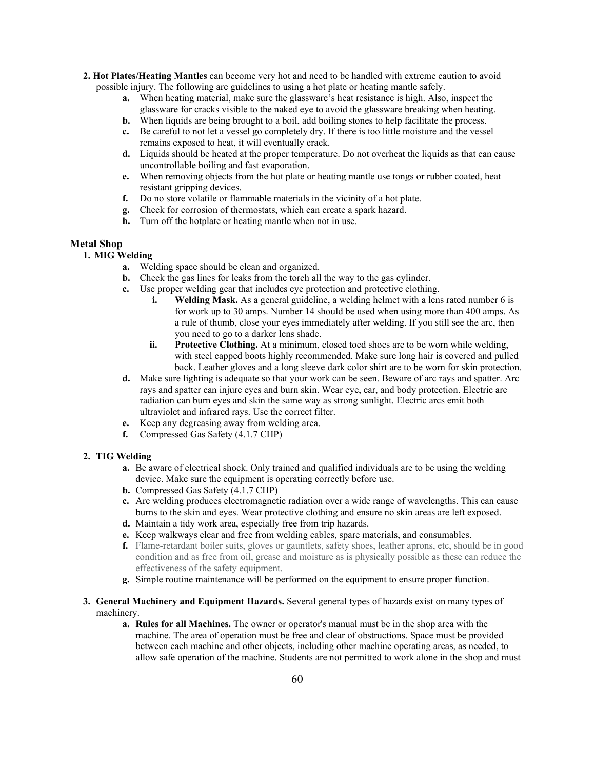- **2. Hot Plates/Heating Mantles** can become very hot and need to be handled with extreme caution to avoid possible injury. The following are guidelines to using a hot plate or heating mantle safely.
	- **a.** When heating material, make sure the glassware's heat resistance is high. Also, inspect the glassware for cracks visible to the naked eye to avoid the glassware breaking when heating.
	- **b.** When liquids are being brought to a boil, add boiling stones to help facilitate the process.
	- **c.** Be careful to not let a vessel go completely dry. If there is too little moisture and the vessel remains exposed to heat, it will eventually crack.
	- **d.** Liquids should be heated at the proper temperature. Do not overheat the liquids as that can cause uncontrollable boiling and fast evaporation.
	- **e.** When removing objects from the hot plate or heating mantle use tongs or rubber coated, heat resistant gripping devices.
	- **f.** Do no store volatile or flammable materials in the vicinity of a hot plate.
	- **g.** Check for corrosion of thermostats, which can create a spark hazard.
	- **h.** Turn off the hotplate or heating mantle when not in use.

#### **Metal Shop**

# **1. MIG Welding**

- **a.** Welding space should be clean and organized.
- **b.** Check the gas lines for leaks from the torch all the way to the gas cylinder.
- **c.** Use proper welding gear that includes eye protection and protective clothing.
	- **i. Welding Mask.** As a general guideline, a welding helmet with a lens rated number 6 is for work up to 30 amps. Number 14 should be used when using more than 400 amps. As a rule of thumb, close your eyes immediately after welding. If you still see the arc, then you need to go to a darker lens shade.
	- **ii. Protective Clothing.** At a minimum, closed toed shoes are to be worn while welding, with steel capped boots highly recommended. Make sure long hair is covered and pulled back. Leather gloves and a long sleeve dark color shirt are to be worn for skin protection.
- **d.** Make sure lighting is adequate so that your work can be seen. Beware of arc rays and spatter. Arc rays and spatter can injure eyes and burn skin. Wear eye, ear, and body protection. Electric arc radiation can burn eyes and skin the same way as strong sunlight. Electric arcs emit both ultraviolet and infrared rays. Use the correct filter.
- **e.** Keep any degreasing away from welding area.
- **f.** Compressed Gas Safety (4.1.7 CHP)

#### **2. TIG Welding**

- **a.** Be aware of electrical shock. Only trained and qualified individuals are to be using the welding device. Make sure the equipment is operating correctly before use.
- **b.** Compressed Gas Safety (4.1.7 CHP)
- **c.** Arc welding produces electromagnetic radiation over a wide range of wavelengths. This can cause burns to the skin and eyes. Wear protective clothing and ensure no skin areas are left exposed.
- **d.** Maintain a tidy work area, especially free from trip hazards.
- **e.** Keep walkways clear and free from welding cables, spare materials, and consumables.
- **f.** Flame-retardant boiler suits, gloves or gauntlets, safety shoes, leather aprons, etc, should be in good condition and as free from oil, grease and moisture as is physically possible as these can reduce the effectiveness of the safety equipment.
- **g.** Simple routine maintenance will be performed on the equipment to ensure proper function.
- **3. General Machinery and Equipment Hazards.** Several general types of hazards exist on many types of machinery.
	- **a. Rules for all Machines.** The owner or operator's manual must be in the shop area with the machine. The area of operation must be free and clear of obstructions. Space must be provided between each machine and other objects, including other machine operating areas, as needed, to allow safe operation of the machine. Students are not permitted to work alone in the shop and must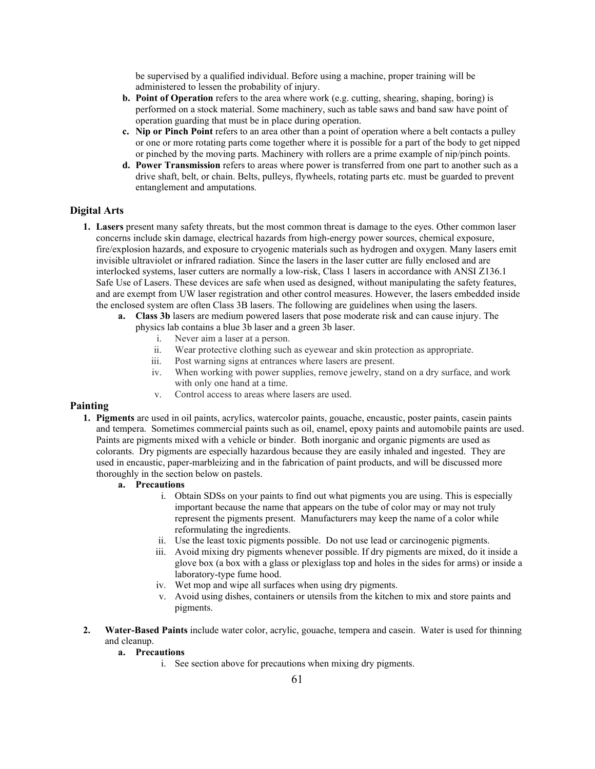be supervised by a qualified individual. Before using a machine, proper training will be administered to lessen the probability of injury.

- **b. Point of Operation** refers to the area where work (e.g. cutting, shearing, shaping, boring) is performed on a stock material. Some machinery, such as table saws and band saw have point of operation guarding that must be in place during operation.
- **c. Nip or Pinch Point** refers to an area other than a point of operation where a belt contacts a pulley or one or more rotating parts come together where it is possible for a part of the body to get nipped or pinched by the moving parts. Machinery with rollers are a prime example of nip/pinch points.
- **d. Power Transmission** refers to areas where power is transferred from one part to another such as a drive shaft, belt, or chain. Belts, pulleys, flywheels, rotating parts etc. must be guarded to prevent entanglement and amputations.

# **Digital Arts**

- **1. Lasers** present many safety threats, but the most common threat is damage to the eyes. Other common laser concerns include skin damage, electrical hazards from high-energy power sources, chemical exposure, fire/explosion hazards, and exposure to cryogenic materials such as hydrogen and oxygen. Many lasers emit invisible ultraviolet or infrared radiation. Since the lasers in the laser cutter are fully enclosed and are interlocked systems, laser cutters are normally a low-risk, Class 1 lasers in accordance with ANSI Z136.1 Safe Use of Lasers. These devices are safe when used as designed, without manipulating the safety features, and are exempt from UW laser registration and other control measures. However, the lasers embedded inside the enclosed system are often Class 3B lasers. The following are guidelines when using the lasers.
	- **a. Class 3b** lasers are medium powered lasers that pose moderate risk and can cause injury. The physics lab contains a blue 3b laser and a green 3b laser.
		- i. Never aim a laser at a person.
		- ii. Wear protective clothing such as eyewear and skin protection as appropriate.
		- iii. Post warning signs at entrances where lasers are present.
		- iv. When working with power supplies, remove jewelry, stand on a dry surface, and work with only one hand at a time.
		- v. Control access to areas where lasers are used.

## **Painting**

- **1. Pigments** are used in oil paints, acrylics, watercolor paints, gouache, encaustic, poster paints, casein paints and tempera. Sometimes commercial paints such as oil, enamel, epoxy paints and automobile paints are used. Paints are pigments mixed with a vehicle or binder. Both inorganic and organic pigments are used as colorants. Dry pigments are especially hazardous because they are easily inhaled and ingested. They are used in encaustic, paper-marbleizing and in the fabrication of paint products, and will be discussed more thoroughly in the section below on pastels.
	- **a. Precautions**
		- i. Obtain SDSs on your paints to find out what pigments you are using. This is especially important because the name that appears on the tube of color may or may not truly represent the pigments present. Manufacturers may keep the name of a color while reformulating the ingredients.
		- ii. Use the least toxic pigments possible. Do not use lead or carcinogenic pigments.
		- iii. Avoid mixing dry pigments whenever possible. If dry pigments are mixed, do it inside a glove box (a box with a glass or plexiglass top and holes in the sides for arms) or inside a laboratory-type fume hood.
		- iv. Wet mop and wipe all surfaces when using dry pigments.
		- v. Avoid using dishes, containers or utensils from the kitchen to mix and store paints and pigments.
- **2. Water-Based Paints** include water color, acrylic, gouache, tempera and casein. Water is used for thinning and cleanup.

# **a. Precautions**

i. See section above for precautions when mixing dry pigments.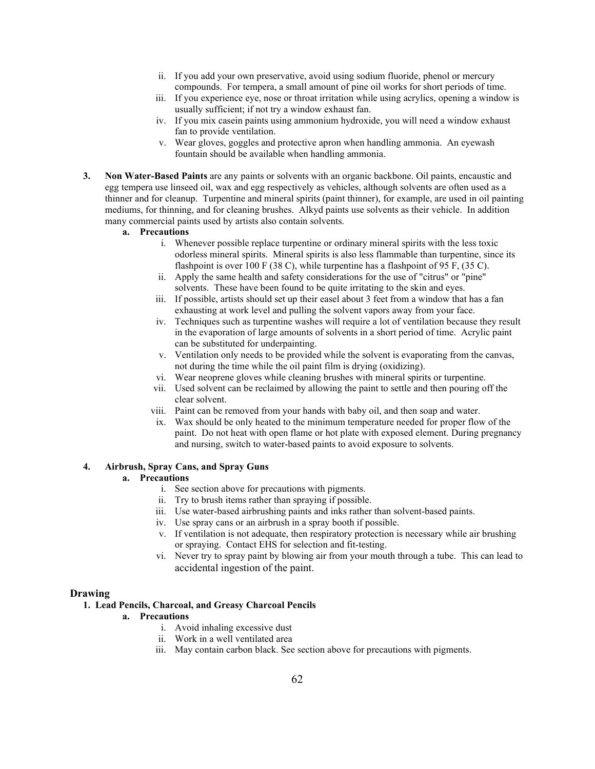- ii. If you add your own preservative, avoid using sodium fluoride, phenol or mercury compounds. For tempera, a small amount of pine oil works for short periods of time.
- iii. If you experience eye, nose or throat irritation while using acrylics, opening a window is usually sufficient; if not try a window exhaust fan.
- iv. If you mix casein paints using ammonium hydroxide, you will need a window exhaust fan to provide ventilation.
- v. Wear gloves, goggles and protective apron when handling ammonia. An eyewash fountain should be available when handling ammonia.
- **3. Non Water-Based Paints** are any paints or solvents with an organic backbone. Oil paints, encaustic and egg tempera use linseed oil, wax and egg respectively as vehicles, although solvents are often used as a thinner and for cleanup. Turpentine and mineral spirits (paint thinner), for example, are used in oil painting mediums, for thinning, and for cleaning brushes. Alkyd paints use solvents as their vehicle. In addition many commercial paints used by artists also contain solvents.

- i. Whenever possible replace turpentine or ordinary mineral spirits with the less toxic odorless mineral spirits. Mineral spirits is also less flammable than turpentine, since its flashpoint is over 100 F (38 C), while turpentine has a flashpoint of 95 F, (35 C).
- ii. Apply the same health and safety considerations for the use of "citrus" or "pine" solvents. These have been found to be quite irritating to the skin and eyes.
- iii. If possible, artists should set up their easel about 3 feet from a window that has a fan exhausting at work level and pulling the solvent vapors away from your face.
- iv. Techniques such as turpentine washes will require a lot of ventilation because they result in the evaporation of large amounts of solvents in a short period of time. Acrylic paint can be substituted for underpainting.
- v. Ventilation only needs to be provided while the solvent is evaporating from the canvas, not during the time while the oil paint film is drying (oxidizing).
- vi. Wear neoprene gloves while cleaning brushes with mineral spirits or turpentine.
- vii. Used solvent can be reclaimed by allowing the paint to settle and then pouring off the clear solvent.
- viii. Paint can be removed from your hands with baby oil, and then soap and water.
- ix. Wax should be only heated to the minimum temperature needed for proper flow of the paint. Do not heat with open flame or hot plate with exposed element. During pregnancy and nursing, switch to water-based paints to avoid exposure to solvents.

## **4. Airbrush, Spray Cans, and Spray Guns**

# **a. Precautions**

- i. See section above for precautions with pigments.
- ii. Try to brush items rather than spraying if possible.
- iii. Use water-based airbrushing paints and inks rather than solvent-based paints.
- iv. Use spray cans or an airbrush in a spray booth if possible.
- v. If ventilation is not adequate, then respiratory protection is necessary while air brushing or spraying. Contact EHS for selection and fit-testing.
- vi. Never try to spray paint by blowing air from your mouth through a tube. This can lead to accidental ingestion of the paint.

#### **Drawing**

#### **1. Lead Pencils, Charcoal, and Greasy Charcoal Pencils**

- i. Avoid inhaling excessive dust
- ii. Work in a well ventilated area
- iii. May contain carbon black. See section above for precautions with pigments.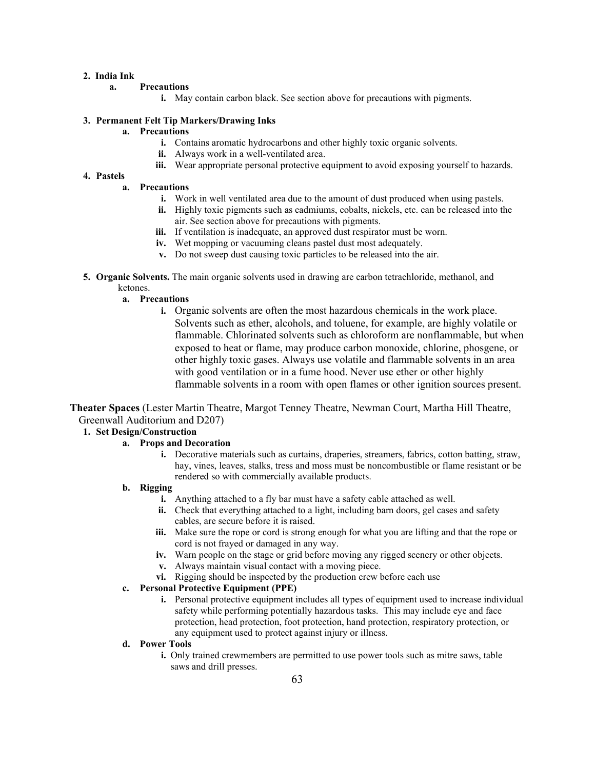# **2. India Ink**

#### **a. Precautions**

**i.** May contain carbon black. See section above for precautions with pigments.

#### **3. Permanent Felt Tip Markers/Drawing Inks**

- **a. Precautions**
	- **i.** Contains aromatic hydrocarbons and other highly toxic organic solvents.
	- **ii.** Always work in a well-ventilated area.
	- **iii.** Wear appropriate personal protective equipment to avoid exposing yourself to hazards.

# **4. Pastels**

# **a. Precautions**

- **i.** Work in well ventilated area due to the amount of dust produced when using pastels.
- **ii.** Highly toxic pigments such as cadmiums, cobalts, nickels, etc. can be released into the air. See section above for precautions with pigments.
- **iii.** If ventilation is inadequate, an approved dust respirator must be worn.
- **iv.** Wet mopping or vacuuming cleans pastel dust most adequately.
- **v.** Do not sweep dust causing toxic particles to be released into the air.
- **5. Organic Solvents.** The main organic solvents used in drawing are carbon tetrachloride, methanol, and ketones.

# **a. Precautions**

**i.** Organic solvents are often the most hazardous chemicals in the work place. Solvents such as ether, alcohols, and toluene, for example, are highly volatile or flammable. Chlorinated solvents such as chloroform are nonflammable, but when exposed to heat or flame, may produce carbon monoxide, chlorine, phosgene, or other highly toxic gases. Always use volatile and flammable solvents in an area with good ventilation or in a fume hood. Never use ether or other highly flammable solvents in a room with open flames or other ignition sources present.

**Theater Spaces** (Lester Martin Theatre, Margot Tenney Theatre, Newman Court, Martha Hill Theatre, Greenwall Auditorium and D207)

# **1. Set Design/Construction**

## **a. Props and Decoration**

**i.** Decorative materials such as curtains, draperies, streamers, fabrics, cotton batting, straw, hay, vines, leaves, stalks, tress and moss must be noncombustible or flame resistant or be rendered so with commercially available products.

### **b. Rigging**

- **i.** Anything attached to a fly bar must have a safety cable attached as well.
- **ii.** Check that everything attached to a light, including barn doors, gel cases and safety cables, are secure before it is raised.
- **iii.** Make sure the rope or cord is strong enough for what you are lifting and that the rope or cord is not frayed or damaged in any way.
- **iv.** Warn people on the stage or grid before moving any rigged scenery or other objects.
- **v.** Always maintain visual contact with a moving piece.
- **vi.** Rigging should be inspected by the production crew before each use

# **c. Personal Protective Equipment (PPE)**

**i.** Personal protective equipment includes all types of equipment used to increase individual safety while performing potentially hazardous tasks. This may include eye and face protection, head protection, foot protection, hand protection, respiratory protection, or any equipment used to protect against injury or illness.

## **d. Power Tools**

**i.** Only trained crewmembers are permitted to use power tools such as mitre saws, table saws and drill presses.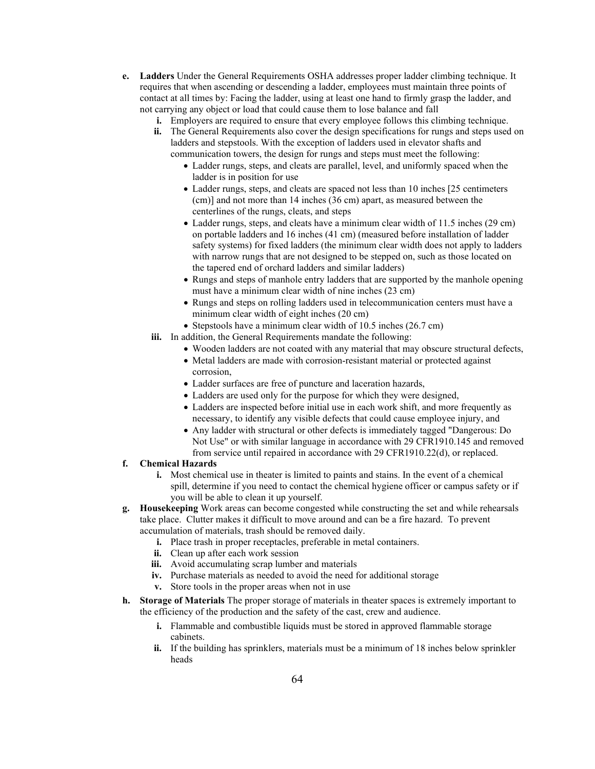- **e. Ladders** Under the General Requirements OSHA addresses proper ladder climbing technique. It requires that when ascending or descending a ladder, employees must maintain three points of contact at all times by: Facing the ladder, using at least one hand to firmly grasp the ladder, and not carrying any object or load that could cause them to lose balance and fall
	- **i.** Employers are required to ensure that every employee follows this climbing technique.
	- **ii.** The General Requirements also cover the design specifications for rungs and steps used on ladders and stepstools. With the exception of ladders used in elevator shafts and communication towers, the design for rungs and steps must meet the following:
		- Ladder rungs, steps, and cleats are parallel, level, and uniformly spaced when the ladder is in position for use
		- Ladder rungs, steps, and cleats are spaced not less than 10 inches [25 centimeters (cm)] and not more than 14 inches (36 cm) apart, as measured between the centerlines of the rungs, cleats, and steps
		- Ladder rungs, steps, and cleats have a minimum clear width of 11.5 inches (29 cm) on portable ladders and 16 inches (41 cm) (measured before installation of ladder safety systems) for fixed ladders (the minimum clear width does not apply to ladders with narrow rungs that are not designed to be stepped on, such as those located on the tapered end of orchard ladders and similar ladders)
		- Rungs and steps of manhole entry ladders that are supported by the manhole opening must have a minimum clear width of nine inches (23 cm)
		- Rungs and steps on rolling ladders used in telecommunication centers must have a minimum clear width of eight inches (20 cm)
		- Stepstools have a minimum clear width of 10.5 inches (26.7 cm)
	- **iii.** In addition, the General Requirements mandate the following:
		- Wooden ladders are not coated with any material that may obscure structural defects,
		- Metal ladders are made with corrosion-resistant material or protected against corrosion,
		- Ladder surfaces are free of puncture and laceration hazards,
		- Ladders are used only for the purpose for which they were designed,
		- Ladders are inspected before initial use in each work shift, and more frequently as necessary, to identify any visible defects that could cause employee injury, and
		- Any ladder with structural or other defects is immediately tagged "Dangerous: Do Not Use" or with similar language in accordance with [29 CFR1910.145](https://www.osha.gov/pls/oshaweb/owadisp.show_document?p_table=standards&p_id=9794) and removed from service until repaired in accordance with [29 CFR1910.22\(d\),](https://www.osha.gov/pls/oshaweb/owadisp.show_document?p_table=STANDARDS&p_id=9714) or replaced.
- **f. Chemical Hazards**
	- **i.** Most chemical use in theater is limited to paints and stains. In the event of a chemical spill, determine if you need to contact the chemical hygiene officer or campus safety or if you will be able to clean it up yourself.
- **g. Housekeeping** Work areas can become congested while constructing the set and while rehearsals take place. Clutter makes it difficult to move around and can be a fire hazard. To prevent accumulation of materials, trash should be removed daily.
	- **i.** Place trash in proper receptacles, preferable in metal containers.
	- **ii.** Clean up after each work session
	- **iii.** Avoid accumulating scrap lumber and materials
	- **iv.** Purchase materials as needed to avoid the need for additional storage
	- **v.** Store tools in the proper areas when not in use
- **h. Storage of Materials** The proper storage of materials in theater spaces is extremely important to the efficiency of the production and the safety of the cast, crew and audience.
	- **i.** Flammable and combustible liquids must be stored in approved flammable storage cabinets.
	- **ii.** If the building has sprinklers, materials must be a minimum of 18 inches below sprinkler heads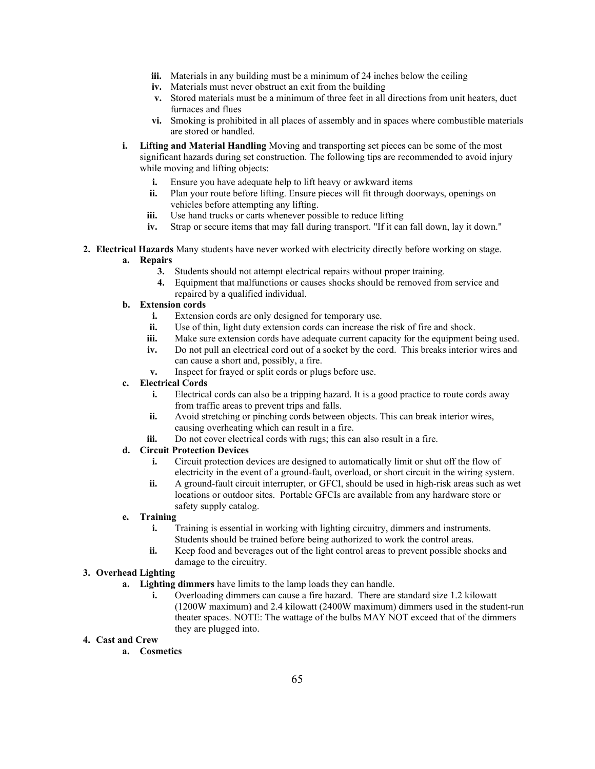- **iii.** Materials in any building must be a minimum of 24 inches below the ceiling
- **iv.** Materials must never obstruct an exit from the building
- **v.** Stored materials must be a minimum of three feet in all directions from unit heaters, duct furnaces and flues
- **vi.** Smoking is prohibited in all places of assembly and in spaces where combustible materials are stored or handled.
- **i. Lifting and Material Handling** Moving and transporting set pieces can be some of the most significant hazards during set construction. The following tips are recommended to avoid injury while moving and lifting objects:
	- **i.** Ensure you have adequate help to lift heavy or awkward items
	- **ii.** Plan your route before lifting. Ensure pieces will fit through doorways, openings on vehicles before attempting any lifting.
	- **iii.** Use hand trucks or carts whenever possible to reduce lifting
	- **iv.** Strap or secure items that may fall during transport. "If it can fall down, lay it down."
- **2. Electrical Hazards** Many students have never worked with electricity directly before working on stage.

# **a. Repairs**

- **3.** Students should not attempt electrical repairs without proper training.
- **4.** Equipment that malfunctions or causes shocks should be removed from service and repaired by a qualified individual.

# **b. Extension cords**

- **i.** Extension cords are only designed for temporary use.
- **ii.** Use of thin, light duty extension cords can increase the risk of fire and shock.
- **iii.** Make sure extension cords have adequate current capacity for the equipment being used.
- **iv.** Do not pull an electrical cord out of a socket by the cord. This breaks interior wires and can cause a short and, possibly, a fire.
- **v.** Inspect for frayed or split cords or plugs before use.

# **c. Electrical Cords**

- **i.** Electrical cords can also be a tripping hazard. It is a good practice to route cords away from traffic areas to prevent trips and falls.
- **ii.** Avoid stretching or pinching cords between objects. This can break interior wires, causing overheating which can result in a fire.
- **iii.** Do not cover electrical cords with rugs; this can also result in a fire.

# **d. Circuit Protection Devices**

- **i.** Circuit protection devices are designed to automatically limit or shut off the flow of electricity in the event of a ground-fault, overload, or short circuit in the wiring system.
- **ii.** A ground-fault circuit interrupter, or GFCI, should be used in high-risk areas such as wet locations or outdoor sites. Portable GFCIs are available from any hardware store or safety supply catalog.

#### **e. Training**

- **i.** Training is essential in working with lighting circuitry, dimmers and instruments. Students should be trained before being authorized to work the control areas.
- **ii.** Keep food and beverages out of the light control areas to prevent possible shocks and damage to the circuitry.

# **3. Overhead Lighting**

- **a. Lighting dimmers** have limits to the lamp loads they can handle.
	- **i.** Overloading dimmers can cause a fire hazard. There are standard size 1.2 kilowatt (1200W maximum) and 2.4 kilowatt (2400W maximum) dimmers used in the student-run theater spaces. NOTE: The wattage of the bulbs MAY NOT exceed that of the dimmers they are plugged into.

# **4. Cast and Crew**

**a. Cosmetics**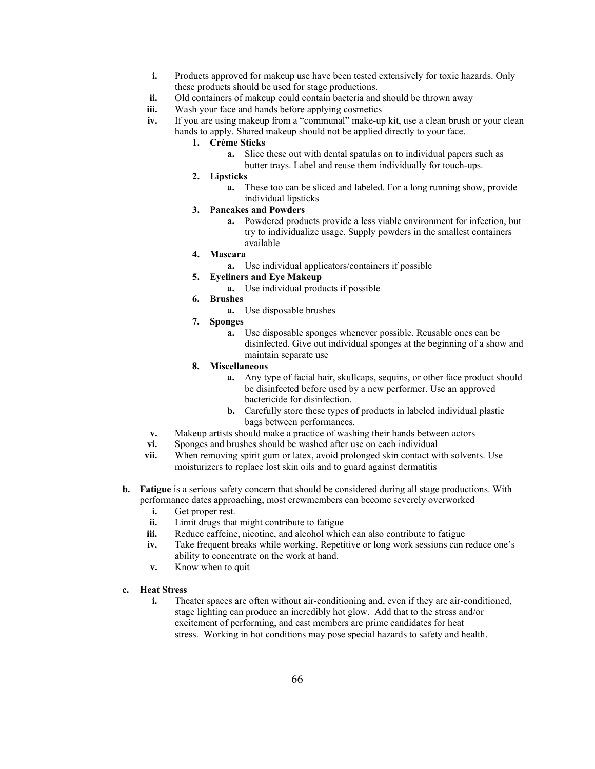- **i.** Products approved for makeup use have been tested extensively for toxic hazards. Only these products should be used for stage productions.
- **ii.** Old containers of makeup could contain bacteria and should be thrown away
- **iii.** Wash your face and hands before applying cosmetics
- **iv.** If you are using makeup from a "communal" make-up kit, use a clean brush or your clean hands to apply. Shared makeup should not be applied directly to your face.
	- **1. Crème Sticks**
		- **a.** Slice these out with dental spatulas on to individual papers such as butter trays. Label and reuse them individually for touch-ups.
	- **2. Lipsticks**
		- **a.** These too can be sliced and labeled. For a long running show, provide individual lipsticks
	- **3. Pancakes and Powders**
		- **a.** Powdered products provide a less viable environment for infection, but try to individualize usage. Supply powders in the smallest containers available
	- **4. Mascara**
		- **a.** Use individual applicators/containers if possible
	- **5. Eyeliners and Eye Makeup**
		- **a.** Use individual products if possible
	- **6. Brushes**
		- **a.** Use disposable brushes
	- **7. Sponges**
		- **a.** Use disposable sponges whenever possible. Reusable ones can be disinfected. Give out individual sponges at the beginning of a show and maintain separate use
	- **8. Miscellaneous**
		- **a.** Any type of facial hair, skullcaps, sequins, or other face product should be disinfected before used by a new performer. Use an approved bactericide for disinfection.
		- **b.** Carefully store these types of products in labeled individual plastic bags between performances.
- **v.** Makeup artists should make a practice of washing their hands between actors
- **vi.** Sponges and brushes should be washed after use on each individual
- **vii.** When removing spirit gum or latex, avoid prolonged skin contact with solvents. Use moisturizers to replace lost skin oils and to guard against dermatitis
- **b. Fatigue** is a serious safety concern that should be considered during all stage productions. With performance dates approaching, most crewmembers can become severely overworked
	- **i.** Get proper rest.
	- **ii.** Limit drugs that might contribute to fatigue
	- **iii.** Reduce caffeine, nicotine, and alcohol which can also contribute to fatigue
	- **iv.** Take frequent breaks while working. Repetitive or long work sessions can reduce one's ability to concentrate on the work at hand.
	- **v.** Know when to quit
- **c. Heat Stress**
	- **i.** Theater spaces are often without air-conditioning and, even if they are air-conditioned, stage lighting can produce an incredibly hot glow. Add that to the stress and/or excitement of performing, and cast members are prime candidates for heat stress. Working in hot conditions may pose special hazards to safety and health.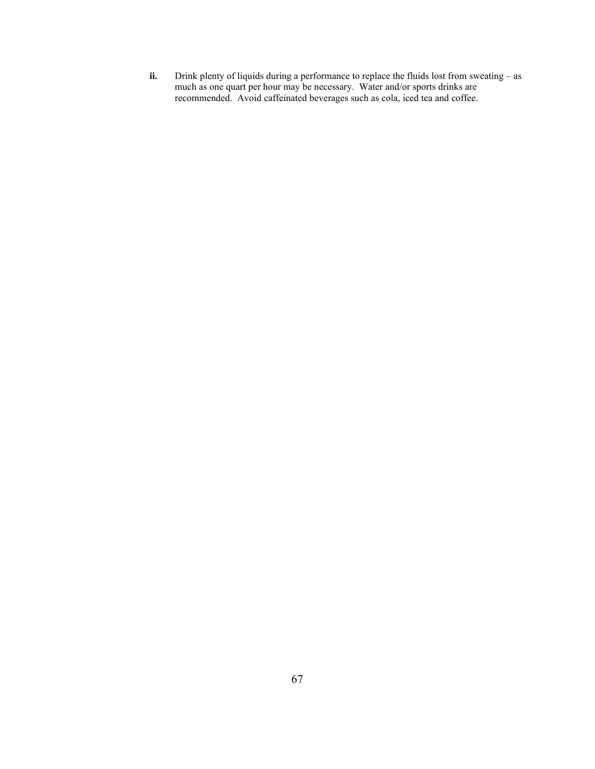**ii.** Drink plenty of liquids during a performance to replace the fluids lost from sweating – as much as one quart per hour may be necessary. Water and/or sports drinks are recommended. Avoid caffeinated beverages such as cola, iced tea and coffee.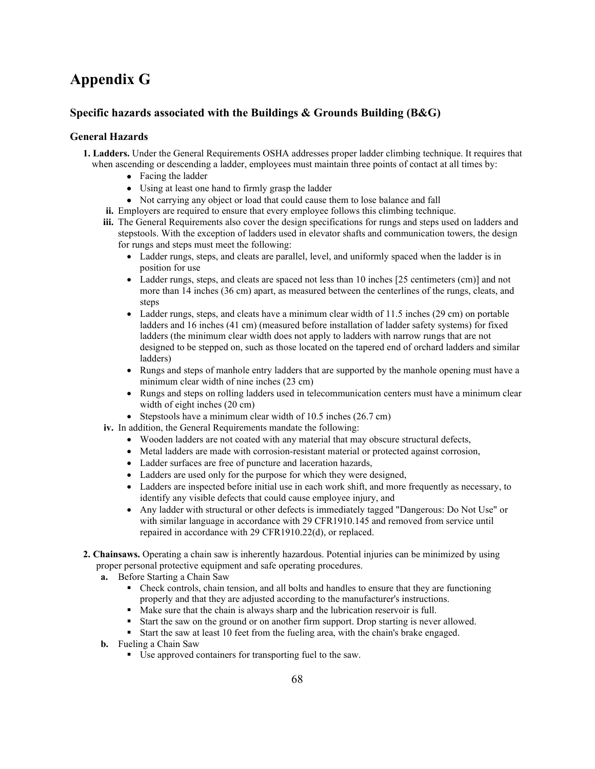# **Appendix G**

# **Specific hazards associated with the Buildings & Grounds Building (B&G)**

# **General Hazards**

- **1. Ladders.** Under the General Requirements OSHA addresses proper ladder climbing technique. It requires that when ascending or descending a ladder, employees must maintain three points of contact at all times by:
	- Facing the ladder
	- Using at least one hand to firmly grasp the ladder
	- Not carrying any object or load that could cause them to lose balance and fall
	- **ii.** Employers are required to ensure that every employee follows this climbing technique.
	- **iii.** The General Requirements also cover the design specifications for rungs and steps used on ladders and stepstools. With the exception of ladders used in elevator shafts and communication towers, the design for rungs and steps must meet the following:
		- Ladder rungs, steps, and cleats are parallel, level, and uniformly spaced when the ladder is in position for use
		- Ladder rungs, steps, and cleats are spaced not less than 10 inches [25 centimeters (cm)] and not more than 14 inches (36 cm) apart, as measured between the centerlines of the rungs, cleats, and steps
		- Ladder rungs, steps, and cleats have a minimum clear width of 11.5 inches (29 cm) on portable ladders and 16 inches (41 cm) (measured before installation of ladder safety systems) for fixed ladders (the minimum clear width does not apply to ladders with narrow rungs that are not designed to be stepped on, such as those located on the tapered end of orchard ladders and similar ladders)
		- Rungs and steps of manhole entry ladders that are supported by the manhole opening must have a minimum clear width of nine inches (23 cm)
		- Rungs and steps on rolling ladders used in telecommunication centers must have a minimum clear width of eight inches (20 cm)
		- Stepstools have a minimum clear width of 10.5 inches (26.7 cm)
	- **iv.** In addition, the General Requirements mandate the following:
		- Wooden ladders are not coated with any material that may obscure structural defects,
		- Metal ladders are made with corrosion-resistant material or protected against corrosion,
		- Ladder surfaces are free of puncture and laceration hazards,
		- Ladders are used only for the purpose for which they were designed,
		- Ladders are inspected before initial use in each work shift, and more frequently as necessary, to identify any visible defects that could cause employee injury, and
		- Any ladder with structural or other defects is immediately tagged "Dangerous: Do Not Use" or with similar language in accordance with [29 CFR1910.145](https://www.osha.gov/pls/oshaweb/owadisp.show_document?p_table=standards&p_id=9794) and removed from service until repaired in accordance with [29 CFR1910.22\(d\),](https://www.osha.gov/pls/oshaweb/owadisp.show_document?p_table=STANDARDS&p_id=9714) or replaced.
- **2. Chainsaws.** Operating a chain saw is inherently hazardous. Potential injuries can be minimized by using proper personal protective equipment and safe operating procedures.
	- **a.** Before Starting a Chain Saw
		- Check controls, chain tension, and all bolts and handles to ensure that they are functioning properly and that they are adjusted according to the manufacturer's instructions.
		- Make sure that the chain is always sharp and the lubrication reservoir is full.
		- Start the saw on the ground or on another firm support. Drop starting is never allowed.
		- Start the saw at least 10 feet from the fueling area, with the chain's brake engaged.
	- **b.** Fueling a Chain Saw
		- Use approved containers for transporting fuel to the saw.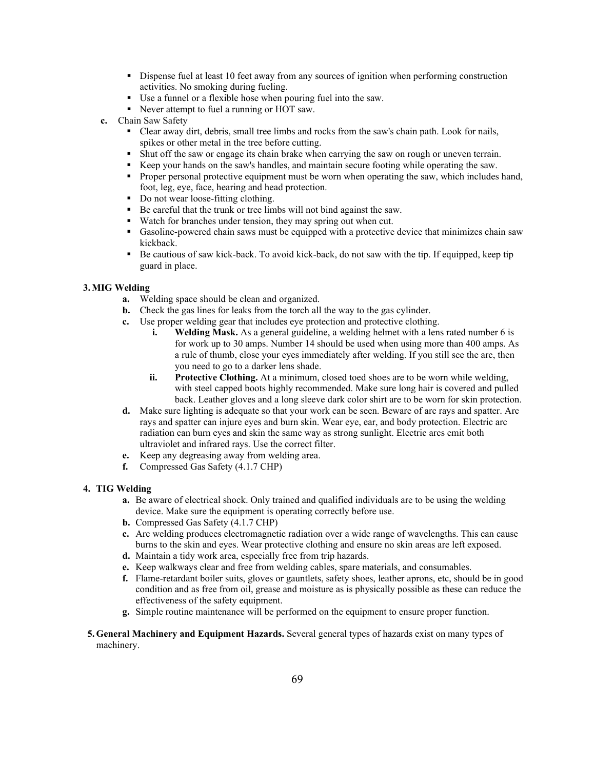- Dispense fuel at least 10 feet away from any sources of ignition when performing construction activities. No smoking during fueling.
- Use a funnel or a flexible hose when pouring fuel into the saw.
- Never attempt to fuel a running or HOT saw.
- **c.** Chain Saw Safety
	- Clear away dirt, debris, small tree limbs and rocks from the saw's chain path. Look for nails, spikes or other metal in the tree before cutting.
	- Shut off the saw or engage its chain brake when carrying the saw on rough or uneven terrain.
	- Keep your hands on the saw's handles, and maintain secure footing while operating the saw.
	- Proper personal protective equipment must be worn when operating the saw, which includes hand, foot, leg, eye, face, hearing and head protection.
	- Do not wear loose-fitting clothing.
	- Be careful that the trunk or tree limbs will not bind against the saw.
	- Watch for branches under tension, they may spring out when cut.
	- Gasoline-powered chain saws must be equipped with a protective device that minimizes chain saw kickback.
	- Be cautious of saw kick-back. To avoid kick-back, do not saw with the tip. If equipped, keep tip guard in place.

# **3.MIG Welding**

- **a.** Welding space should be clean and organized.
- **b.** Check the gas lines for leaks from the torch all the way to the gas cylinder.
- **c.** Use proper welding gear that includes eye protection and protective clothing.
	- **i. Welding Mask.** As a general guideline, a welding helmet with a lens rated number 6 is for work up to 30 amps. Number 14 should be used when using more than 400 amps. As a rule of thumb, close your eyes immediately after welding. If you still see the arc, then you need to go to a darker lens shade.
	- **ii. Protective Clothing.** At a minimum, closed toed shoes are to be worn while welding, with steel capped boots highly recommended. Make sure long hair is covered and pulled back. Leather gloves and a long sleeve dark color shirt are to be worn for skin protection.
- **d.** Make sure lighting is adequate so that your work can be seen. Beware of arc rays and spatter. Arc rays and spatter can injure eyes and burn skin. Wear eye, ear, and body protection. Electric arc radiation can burn eyes and skin the same way as strong sunlight. Electric arcs emit both ultraviolet and infrared rays. Use the correct filter.
- **e.** Keep any degreasing away from welding area.
- **f.** Compressed Gas Safety (4.1.7 CHP)

#### **4. TIG Welding**

- **a.** Be aware of electrical shock. Only trained and qualified individuals are to be using the welding device. Make sure the equipment is operating correctly before use.
- **b.** Compressed Gas Safety (4.1.7 CHP)
- **c.** Arc welding produces electromagnetic radiation over a wide range of wavelengths. This can cause burns to the skin and eyes. Wear protective clothing and ensure no skin areas are left exposed.
- **d.** Maintain a tidy work area, especially free from trip hazards.
- **e.** Keep walkways clear and free from welding cables, spare materials, and consumables.
- **f.** Flame-retardant boiler suits, gloves or gauntlets, safety shoes, leather aprons, etc, should be in good condition and as free from oil, grease and moisture as is physically possible as these can reduce the effectiveness of the safety equipment.
- **g.** Simple routine maintenance will be performed on the equipment to ensure proper function.
- **5.General Machinery and Equipment Hazards.** Several general types of hazards exist on many types of machinery.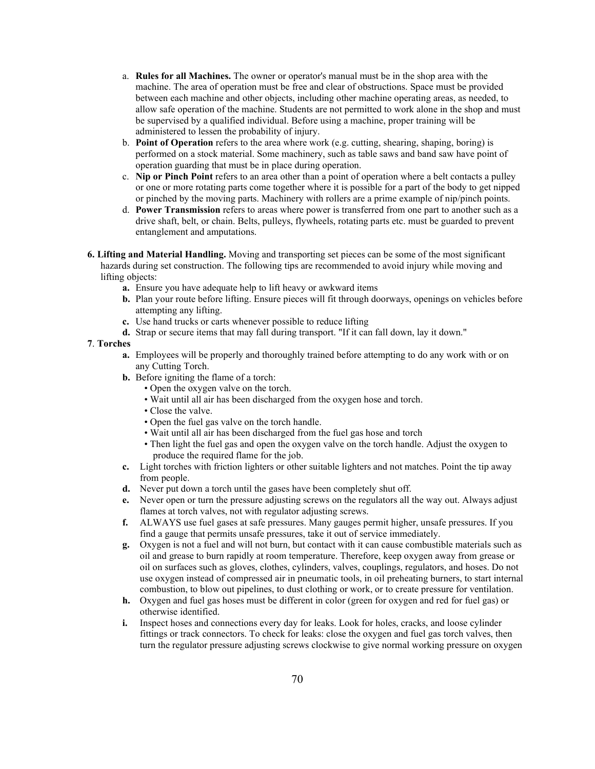- a. **Rules for all Machines.** The owner or operator's manual must be in the shop area with the machine. The area of operation must be free and clear of obstructions. Space must be provided between each machine and other objects, including other machine operating areas, as needed, to allow safe operation of the machine. Students are not permitted to work alone in the shop and must be supervised by a qualified individual. Before using a machine, proper training will be administered to lessen the probability of injury.
- b. **Point of Operation** refers to the area where work (e.g. cutting, shearing, shaping, boring) is performed on a stock material. Some machinery, such as table saws and band saw have point of operation guarding that must be in place during operation.
- c. **Nip or Pinch Point** refers to an area other than a point of operation where a belt contacts a pulley or one or more rotating parts come together where it is possible for a part of the body to get nipped or pinched by the moving parts. Machinery with rollers are a prime example of nip/pinch points.
- d. **Power Transmission** refers to areas where power is transferred from one part to another such as a drive shaft, belt, or chain. Belts, pulleys, flywheels, rotating parts etc. must be guarded to prevent entanglement and amputations.
- **6. Lifting and Material Handling.** Moving and transporting set pieces can be some of the most significant hazards during set construction. The following tips are recommended to avoid injury while moving and lifting objects:
	- **a.** Ensure you have adequate help to lift heavy or awkward items
	- **b.** Plan your route before lifting. Ensure pieces will fit through doorways, openings on vehicles before attempting any lifting.
	- **c.** Use hand trucks or carts whenever possible to reduce lifting
	- **d.** Strap or secure items that may fall during transport. "If it can fall down, lay it down."

#### **7**. **Torches**

- **a.** Employees will be properly and thoroughly trained before attempting to do any work with or on any Cutting Torch.
- **b.** Before igniting the flame of a torch:
	- Open the oxygen valve on the torch.
	- Wait until all air has been discharged from the oxygen hose and torch.
	- Close the valve.
	- Open the fuel gas valve on the torch handle.
	- Wait until all air has been discharged from the fuel gas hose and torch
	- Then light the fuel gas and open the oxygen valve on the torch handle. Adjust the oxygen to produce the required flame for the job.
- **c.** Light torches with friction lighters or other suitable lighters and not matches. Point the tip away from people.
- **d.** Never put down a torch until the gases have been completely shut off.
- **e.** Never open or turn the pressure adjusting screws on the regulators all the way out. Always adjust flames at torch valves, not with regulator adjusting screws.
- **f.** ALWAYS use fuel gases at safe pressures. Many gauges permit higher, unsafe pressures. If you find a gauge that permits unsafe pressures, take it out of service immediately.
- **g.** Oxygen is not a fuel and will not burn, but contact with it can cause combustible materials such as oil and grease to burn rapidly at room temperature. Therefore, keep oxygen away from grease or oil on surfaces such as gloves, clothes, cylinders, valves, couplings, regulators, and hoses. Do not use oxygen instead of compressed air in pneumatic tools, in oil preheating burners, to start internal combustion, to blow out pipelines, to dust clothing or work, or to create pressure for ventilation.
- **h.** Oxygen and fuel gas hoses must be different in color (green for oxygen and red for fuel gas) or otherwise identified.
- **i.** Inspect hoses and connections every day for leaks. Look for holes, cracks, and loose cylinder fittings or track connectors. To check for leaks: close the oxygen and fuel gas torch valves, then turn the regulator pressure adjusting screws clockwise to give normal working pressure on oxygen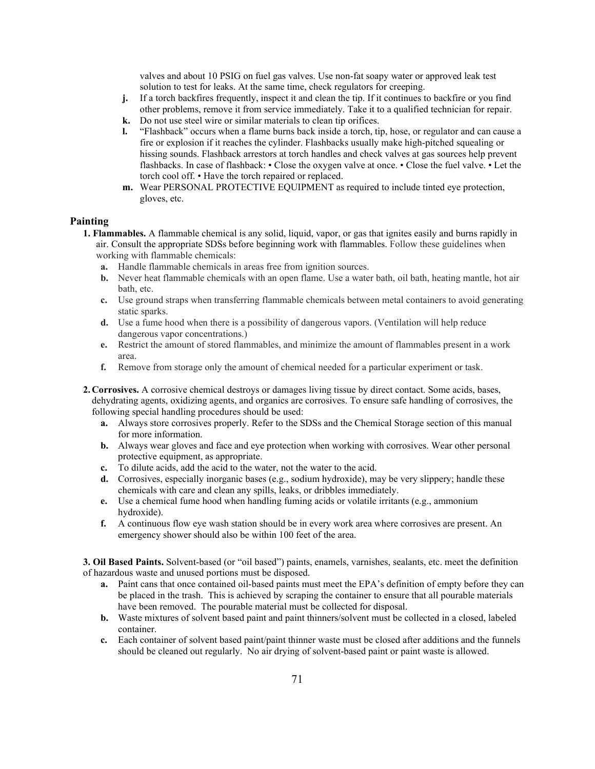valves and about 10 PSIG on fuel gas valves. Use non-fat soapy water or approved leak test solution to test for leaks. At the same time, check regulators for creeping.

- **j.** If a torch backfires frequently, inspect it and clean the tip. If it continues to backfire or you find other problems, remove it from service immediately. Take it to a qualified technician for repair.
- **k.** Do not use steel wire or similar materials to clean tip orifices.
- **l.** "Flashback" occurs when a flame burns back inside a torch, tip, hose, or regulator and can cause a fire or explosion if it reaches the cylinder. Flashbacks usually make high-pitched squealing or hissing sounds. Flashback arrestors at torch handles and check valves at gas sources help prevent flashbacks. In case of flashback: • Close the oxygen valve at once. • Close the fuel valve. • Let the torch cool off. • Have the torch repaired or replaced.
- **m.** Wear PERSONAL PROTECTIVE EQUIPMENT as required to include tinted eye protection, gloves, etc.

#### **Painting**

- **1. Flammables.** A flammable chemical is any solid, liquid, vapor, or gas that ignites easily and burns rapidly in air. Consult the appropriate SDSs before beginning work with flammables. Follow these guidelines when working with flammable chemicals:
	- **a.** Handle flammable chemicals in areas free from ignition sources.
	- **b.** Never heat flammable chemicals with an open flame. Use a water bath, oil bath, heating mantle, hot air bath, etc.
	- **c.** Use ground straps when transferring flammable chemicals between metal containers to avoid generating static sparks.
	- **d.** Use a fume hood when there is a possibility of dangerous vapors. (Ventilation will help reduce dangerous vapor concentrations.)
	- **e.** Restrict the amount of stored flammables, and minimize the amount of flammables present in a work area.
	- **f.** Remove from storage only the amount of chemical needed for a particular experiment or task.
- **2. Corrosives.** A corrosive chemical destroys or damages living tissue by direct contact. Some acids, bases, dehydrating agents, oxidizing agents, and organics are corrosives. To ensure safe handling of corrosives, the following special handling procedures should be used:
	- **a.** Always store corrosives properly. Refer to the SDSs and the Chemical Storage section of this manual for more information.
	- **b.** Always wear gloves and face and eye protection when working with corrosives. Wear other personal protective equipment, as appropriate.
	- **c.** To dilute acids, add the acid to the water, not the water to the acid.
	- **d.** Corrosives, especially inorganic bases (e.g., sodium hydroxide), may be very slippery; handle these chemicals with care and clean any spills, leaks, or dribbles immediately.
	- **e.** Use a chemical fume hood when handling fuming acids or volatile irritants (e.g., ammonium hydroxide).
	- **f.** A continuous flow eye wash station should be in every work area where corrosives are present. An emergency shower should also be within 100 feet of the area.

**3. Oil Based Paints.** Solvent-based (or "oil based") paints, enamels, varnishes, sealants, etc. meet the definition of hazardous waste and unused portions must be disposed.

- **a.** Paint cans that once contained oil-based paints must meet the EPA's definition of empty before they can be placed in the trash. This is achieved by scraping the container to ensure that all pourable materials have been removed. The pourable material must be collected for disposal.
- **b.** Waste mixtures of solvent based paint and paint thinners/solvent must be collected in a closed, labeled container.
- **c.** Each container of solvent based paint/paint thinner waste must be closed after additions and the funnels should be cleaned out regularly. No air drying of solvent-based paint or paint waste is allowed.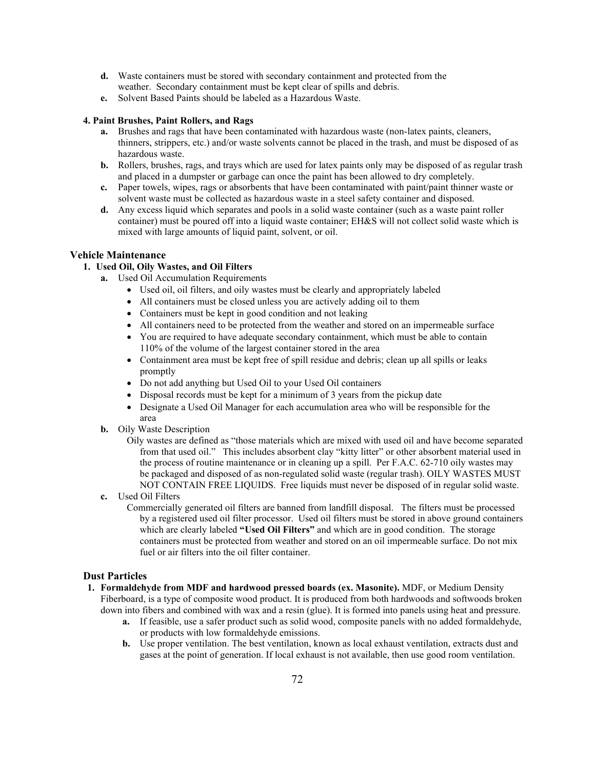- **d.** Waste containers must be stored with secondary containment and protected from the weather. Secondary containment must be kept clear of spills and debris.
- **e.** Solvent Based Paints should be labeled as a Hazardous Waste.

#### **4. Paint Brushes, Paint Rollers, and Rags**

- **a.** Brushes and rags that have been contaminated with hazardous waste (non-latex paints, cleaners, thinners, strippers, etc.) and/or waste solvents cannot be placed in the trash, and must be disposed of as hazardous waste.
- **b.** Rollers, brushes, rags, and trays which are used for latex paints only may be disposed of as regular trash and placed in a dumpster or garbage can once the paint has been allowed to dry completely.
- **c.** Paper towels, wipes, rags or absorbents that have been contaminated with paint/paint thinner waste or solvent waste must be collected as hazardous waste in a steel safety container and disposed.
- **d.** Any excess liquid which separates and pools in a solid waste container (such as a waste paint roller container) must be poured off into a liquid waste container; EH&S will not collect solid waste which is mixed with large amounts of liquid paint, solvent, or oil.

## **Vehicle Maintenance**

- **1. Used Oil, Oily Wastes, and Oil Filters**
	- **a.** Used Oil Accumulation Requirements
		- Used oil, oil filters, and oily wastes must be clearly and appropriately labeled
		- All containers must be closed unless you are actively adding oil to them
		- Containers must be kept in good condition and not leaking
		- All containers need to be protected from the weather and stored on an impermeable surface
		- You are required to have adequate secondary containment, which must be able to contain 110% of the volume of the largest container stored in the area
		- Containment area must be kept free of spill residue and debris; clean up all spills or leaks promptly
		- Do not add anything but Used Oil to your Used Oil containers
		- Disposal records must be kept for a minimum of 3 years from the pickup date
		- Designate a Used Oil Manager for each accumulation area who will be responsible for the area
	- **b.** Oily Waste Description
		- Oily wastes are defined as "those materials which are mixed with used oil and have become separated from that used oil." This includes absorbent clay "kitty litter" or other absorbent material used in the process of routine maintenance or in cleaning up a spill. Per F.A.C. 62-710 oily wastes may be packaged and disposed of as non-regulated solid waste (regular trash). OILY WASTES MUST NOT CONTAIN FREE LIQUIDS. Free liquids must never be disposed of in regular solid waste.
	- **c.** Used Oil Filters
		- Commercially generated oil filters are banned from landfill disposal. The filters must be processed by a registered used oil filter processor. Used oil filters must be stored in above ground containers which are clearly labeled **"Used Oil Filters"** and which are in good condition. The storage containers must be protected from weather and stored on an oil impermeable surface. Do not mix fuel or air filters into the oil filter container.

# **Dust Particles**

- **1. Formaldehyde from MDF and hardwood pressed boards (ex. Masonite).** MDF, or Medium Density Fiberboard, is a type of composite wood product. It is produced from both hardwoods and softwoods broken down into fibers and combined with wax and a resin (glue). It is formed into panels using heat and pressure.
	- **a.** If feasible, use a safer product such as solid wood, composite panels with no added formaldehyde, or products with low formaldehyde emissions.
	- **b.** Use proper ventilation. The best ventilation, known as local exhaust ventilation, extracts dust and gases at the point of generation. If local exhaust is not available, then use good room ventilation.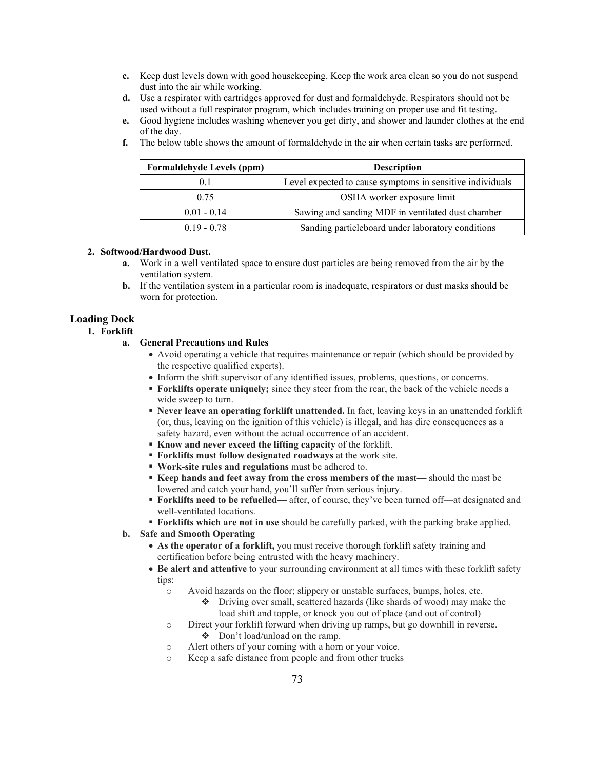- **c.** Keep dust levels down with good housekeeping. Keep the work area clean so you do not suspend dust into the air while working.
- **d.** Use a respirator with cartridges approved for dust and formaldehyde. Respirators should not be used without a full respirator program, which includes training on proper use and fit testing.
- **e.** Good hygiene includes washing whenever you get dirty, and shower and launder clothes at the end of the day.
	- **Formaldehyde Levels (ppm) Description** 0.1 **Level expected to cause symptoms in sensitive individuals** 0.75 OSHA worker exposure limit 0.01 - 0.14 Sawing and sanding MDF in ventilated dust chamber 0.19 - 0.78 Sanding particleboard under laboratory conditions
- **f.** The below table shows the amount of formaldehyde in the air when certain tasks are performed.

## **2. Softwood/Hardwood Dust.**

- **a.** Work in a well ventilated space to ensure dust particles are being removed from the air by the ventilation system.
- **b.** If the ventilation system in a particular room is inadequate, respirators or dust masks should be worn for protection.

### **Loading Dock**

**1. Forklift**

#### **a. General Precautions and Rules**

- Avoid operating a vehicle that requires maintenance or repair (which should be provided by the respective qualified experts).
- Inform the shift supervisor of any identified issues, problems, questions, or concerns.
- **Forklifts operate uniquely;** since they steer from the rear, the back of the vehicle needs a wide sweep to turn.
- **Never leave an operating forklift unattended.** In fact, leaving keys in an unattended forklift (or, thus, leaving on the ignition of this vehicle) is illegal, and has dire consequences as a safety hazard, even without the actual occurrence of an accident.
- **Know and never exceed the lifting capacity** of the forklift.
- **Forklifts must follow designated roadways** at the work site.
- **Work-site rules and regulations** must be adhered to.
- **Keep hands and feet away from the cross members of the mast—** should the mast be lowered and catch your hand, you'll suffer from serious injury.
- **Forklifts need to be refuelled—** after, of course, they've been turned off—at designated and well-ventilated locations.
- **Forklifts which are not in use** should be carefully parked, with the parking brake applied.
- **b. Safe and Smooth Operating**
	- **As the operator of a forklift,** you must receive thorough forklift safety training and certification before being entrusted with the heavy machinery.
	- **Be alert and attentive** to your surrounding environment at all times with these forklift safety tips:
		- o Avoid hazards on the floor; slippery or unstable surfaces, bumps, holes, etc.
			- Driving over small, scattered hazards (like shards of wood) may make the load shift and topple, or knock you out of place (and out of control)
		- o Direct your forklift forward when driving up ramps, but go downhill in reverse. Don't load/unload on the ramp.
		- o Alert others of your coming with a horn or your voice.
		- o Keep a safe distance from people and from other trucks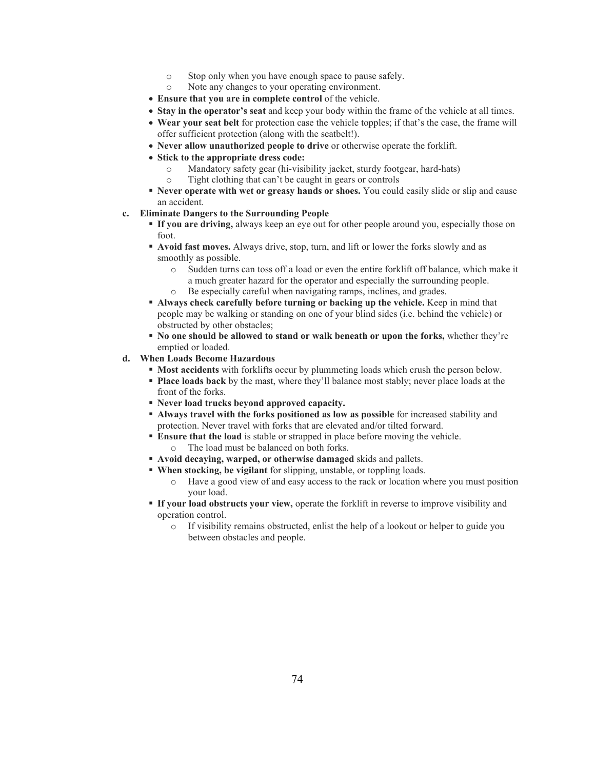- o Stop only when you have enough space to pause safely.
- o Note any changes to your operating environment.
- **Ensure that you are in complete control** of the vehicle.
- **Stay in the operator's seat** and keep your body within the frame of the vehicle at all times.
- **Wear your seat belt** for protection case the vehicle topples; if that's the case, the frame will offer sufficient protection (along with the seatbelt!).
- **Never allow unauthorized people to drive** or otherwise operate the forklift.
- **Stick to the appropriate dress code:**
	- $\circ$  Mandatory safety gear (hi-visibility jacket, sturdy footgear, hard-hats)<br> $\circ$  Tight clothing that can't be caught in gears or controls
	- Tight clothing that can't be caught in gears or controls
- **Never operate with wet or greasy hands or shoes.** You could easily slide or slip and cause an accident.
- **c. Eliminate Dangers to the Surrounding People**
	- **If you are driving,** always keep an eye out for other people around you, especially those on foot.
	- **Avoid fast moves.** Always drive, stop, turn, and lift or lower the forks slowly and as smoothly as possible.
		- o Sudden turns can toss off a load or even the entire forklift off balance, which make it a much greater hazard for the operator and especially the surrounding people. o Be especially careful when navigating ramps, inclines, and grades.
		-
	- **Always check carefully before turning or backing up the vehicle.** Keep in mind that people may be walking or standing on one of your blind sides (i.e. behind the vehicle) or obstructed by other obstacles;
	- **No one should be allowed to stand or walk beneath or upon the forks,** whether they're emptied or loaded.

# **d. When Loads Become Hazardous**

- **Most accidents** with forklifts occur by plummeting loads which crush the person below.
- **Place loads back** by the mast, where they'll balance most stably; never place loads at the front of the forks.
- **Never load trucks beyond approved capacity.**
- **Always travel with the forks positioned as low as possible** for increased stability and protection. Never travel with forks that are elevated and/or tilted forward.
- **Ensure that the load** is stable or strapped in place before moving the vehicle. o The load must be balanced on both forks.
- **Avoid decaying, warped, or otherwise damaged** skids and pallets.
- **When stocking, be vigilant** for slipping, unstable, or toppling loads.
	- o Have a good view of and easy access to the rack or location where you must position your load.
- **If your load obstructs your view,** operate the forklift in reverse to improve visibility and operation control.
	- o If visibility remains obstructed, enlist the help of a lookout or helper to guide you between obstacles and people.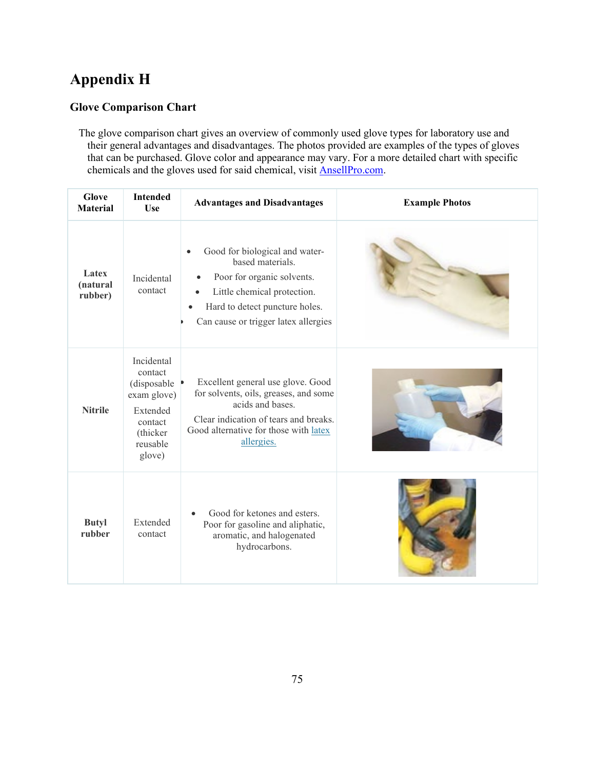# **Appendix H**

# **Glove Comparison Chart**

The glove comparison chart gives an overview of commonly used glove types for laboratory use and their general advantages and disadvantages. The photos provided are examples of the types of gloves that can be purchased. Glove color and appearance may vary. For a more detailed chart with specific chemicals and the gloves used for said chemical, visit AnsellPro.com.

| <b>Glove</b><br><b>Material</b> | <b>Intended</b><br><b>Use</b>                                                                                 | <b>Advantages and Disadvantages</b>                                                                                                                                                            | <b>Example Photos</b> |
|---------------------------------|---------------------------------------------------------------------------------------------------------------|------------------------------------------------------------------------------------------------------------------------------------------------------------------------------------------------|-----------------------|
| Latex<br>(natural<br>rubber)    | Incidental<br>contact                                                                                         | Good for biological and water-<br>based materials.<br>Poor for organic solvents.<br>Little chemical protection.<br>Hard to detect puncture holes.<br>Can cause or trigger latex allergies      |                       |
| <b>Nitrile</b>                  | Incidental<br>contact<br>(disposable)<br>exam glove)<br>Extended<br>contact<br>(thicker<br>reusable<br>glove) | Excellent general use glove. Good<br>for solvents, oils, greases, and some<br>acids and bases.<br>Clear indication of tears and breaks.<br>Good alternative for those with latex<br>allergies. |                       |
| <b>Butyl</b><br>rubber          | Extended<br>contact                                                                                           | Good for ketones and esters.<br>Poor for gasoline and aliphatic,<br>aromatic, and halogenated<br>hydrocarbons.                                                                                 |                       |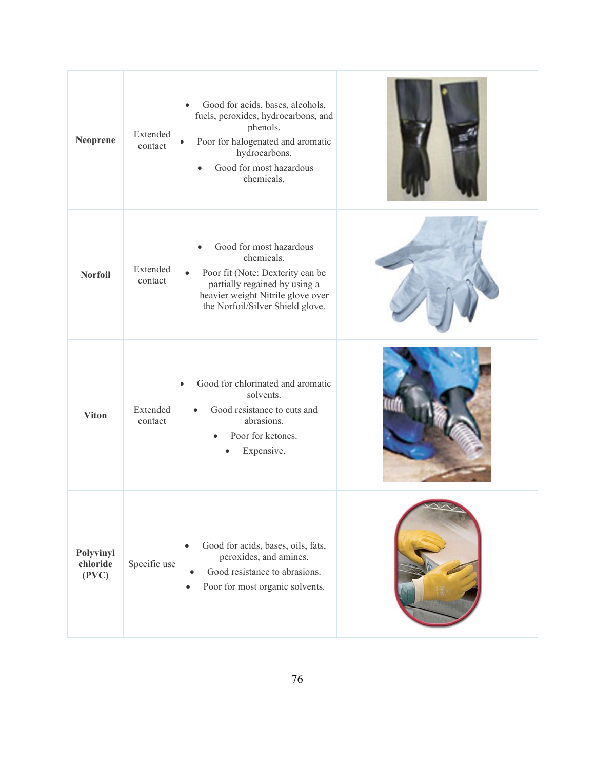| Neoprene                       | Extended<br>contact | Good for acids, bases, alcohols,<br>$\bullet$<br>fuels, peroxides, hydrocarbons, and<br>phenols.<br>Poor for halogenated and aromatic<br>hydrocarbons.<br>Good for most hazardous<br>$\bullet$<br>chemicals.  |  |
|--------------------------------|---------------------|---------------------------------------------------------------------------------------------------------------------------------------------------------------------------------------------------------------|--|
| <b>Norfoil</b>                 | Extended<br>contact | Good for most hazardous<br>$\bullet$<br>chemicals.<br>Poor fit (Note: Dexterity can be<br>$\bullet$<br>partially regained by using a<br>heavier weight Nitrile glove over<br>the Norfoil/Silver Shield glove. |  |
| <b>Viton</b>                   | Extended<br>contact | Good for chlorinated and aromatic<br>solvents.<br>Good resistance to cuts and<br>abrasions.<br>Poor for ketones.<br>$\bullet$<br>Expensive.                                                                   |  |
| Polyvinyl<br>chloride<br>(PVC) | Specific use        | Good for acids, bases, oils, fats,<br>$\bullet$<br>peroxides, and amines.<br>Good resistance to abrasions.<br>$\bullet$<br>Poor for most organic solvents.<br>$\bullet$                                       |  |